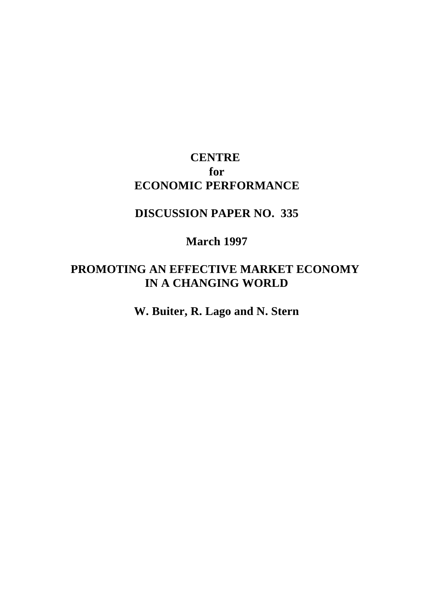## **CENTRE for ECONOMIC PERFORMANCE**

### **DISCUSSION PAPER NO. 335**

#### **March 1997**

### **PROMOTING AN EFFECTIVE MARKET ECONOMY IN A CHANGING WORLD**

**W. Buiter, R. Lago and N. Stern**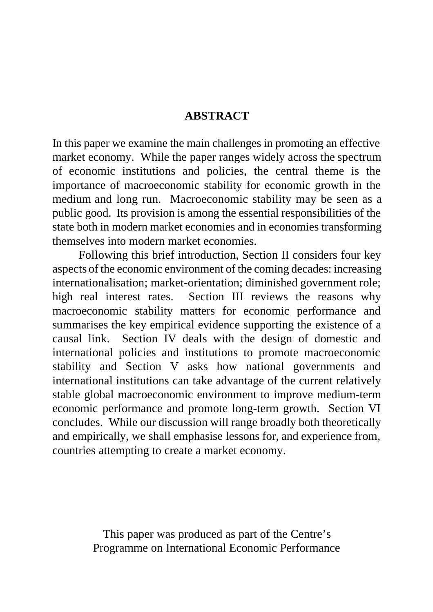#### **ABSTRACT**

In this paper we examine the main challenges in promoting an effective market economy. While the paper ranges widely across the spectrum of economic institutions and policies, the central theme is the importance of macroeconomic stability for economic growth in the medium and long run. Macroeconomic stability may be seen as a public good. Its provision is among the essential responsibilities of the state both in modern market economies and in economies transforming themselves into modern market economies.

Following this brief introduction, Section II considers four key aspects of the economic environment of the coming decades: increasing internationalisation; market-orientation; diminished government role; high real interest rates. Section III reviews the reasons why macroeconomic stability matters for economic performance and summarises the key empirical evidence supporting the existence of a causal link. Section IV deals with the design of domestic and international policies and institutions to promote macroeconomic stability and Section V asks how national governments and international institutions can take advantage of the current relatively stable global macroeconomic environment to improve medium-term economic performance and promote long-term growth. Section VI concludes. While our discussion will range broadly both theoretically and empirically, we shall emphasise lessons for, and experience from, countries attempting to create a market economy.

> This paper was produced as part of the Centre's Programme on International Economic Performance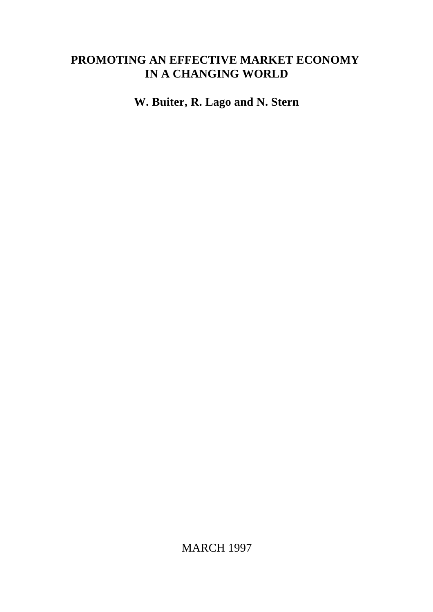# **PROMOTING AN EFFECTIVE MARKET ECONOMY IN A CHANGING WORLD**

**W. Buiter, R. Lago and N. Stern**

MARCH 1997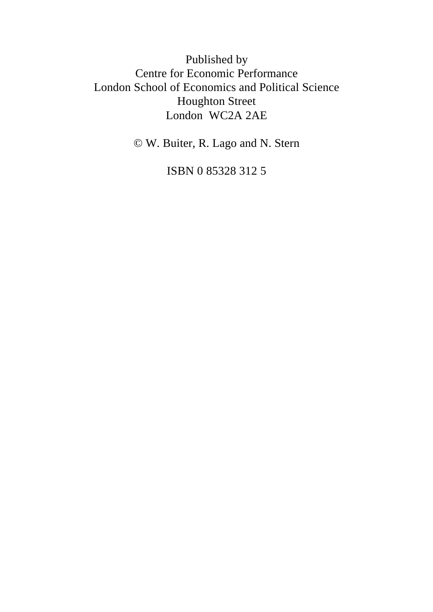Published by Centre for Economic Performance London School of Economics and Political Science Houghton Street London WC2A 2AE

© W. Buiter, R. Lago and N. Stern

ISBN 0 85328 312 5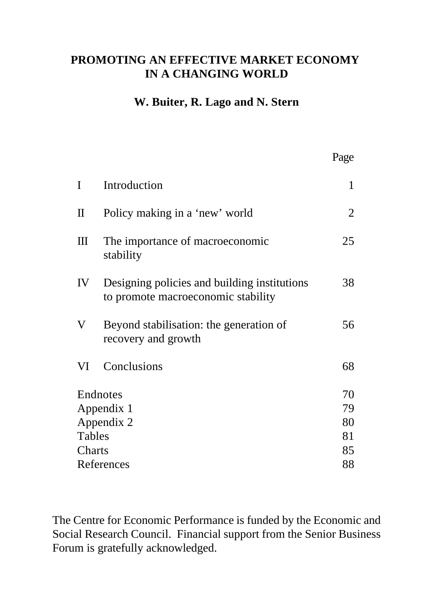# **PROMOTING AN EFFECTIVE MARKET ECONOMY IN A CHANGING WORLD**

### **W. Buiter, R. Lago and N. Stern**

Page

| $\mathbf I$  | Introduction                                                                       | $\mathbf{1}$ |
|--------------|------------------------------------------------------------------------------------|--------------|
| $\mathbf{I}$ | Policy making in a 'new' world                                                     | 2            |
| Ш            | The importance of macroeconomic<br>stability                                       | 25           |
| IV           | Designing policies and building institutions<br>to promote macroeconomic stability | 38           |
| V            | Beyond stabilisation: the generation of<br>recovery and growth                     | 56           |
| VI           | Conclusions                                                                        | 68           |
|              | Endnotes                                                                           | 70           |
| Appendix 1   |                                                                                    | 79           |
| Appendix 2   |                                                                                    | 80           |
| Tables       |                                                                                    | 81           |
| Charts       |                                                                                    | 85           |
| References   |                                                                                    | 88           |
|              |                                                                                    |              |

The Centre for Economic Performance is funded by the Economic and Social Research Council. Financial support from the Senior Business Forum is gratefully acknowledged.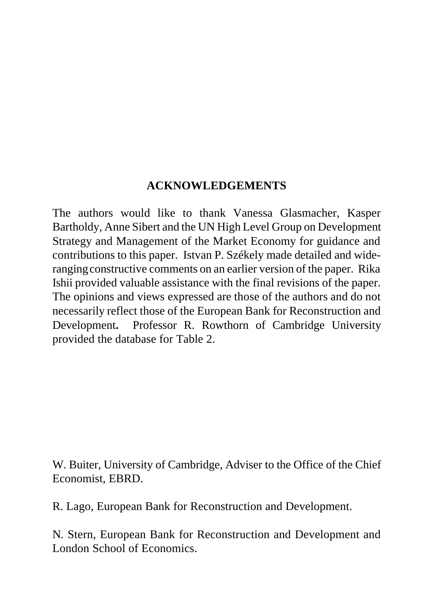### **ACKNOWLEDGEMENTS**

The authors would like to thank Vanessa Glasmacher, Kasper Bartholdy, Anne Sibert and the UN High Level Group on Development Strategy and Management of the Market Economy for guidance and contributions to this paper. Istvan P. Székely made detailed and wideranging constructive comments on an earlier version of the paper. Rika Ishii provided valuable assistance with the final revisions of the paper. The opinions and views expressed are those of the authors and do not necessarily reflect those of the European Bank for Reconstruction and Development**.** Professor R. Rowthorn of Cambridge University provided the database for Table 2.

W. Buiter, University of Cambridge, Adviser to the Office of the Chief Economist, EBRD.

R. Lago, European Bank for Reconstruction and Development.

N. Stern, European Bank for Reconstruction and Development and London School of Economics.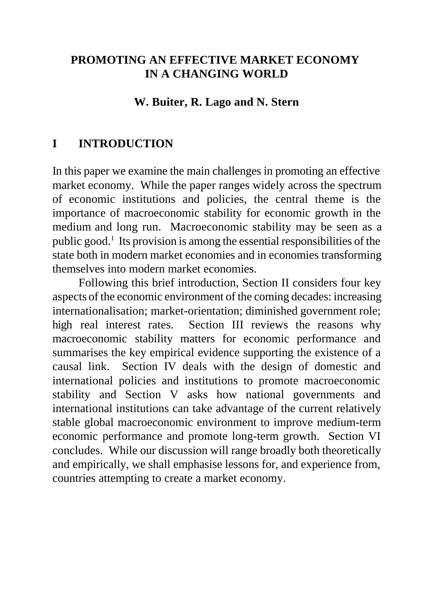## **PROMOTING AN EFFECTIVE MARKET ECONOMY IN A CHANGING WORLD**

#### **W. Buiter, R. Lago and N. Stern**

#### **I INTRODUCTION**

In this paper we examine the main challenges in promoting an effective market economy. While the paper ranges widely across the spectrum of economic institutions and policies, the central theme is the importance of macroeconomic stability for economic growth in the medium and long run. Macroeconomic stability may be seen as a public good.<sup>1</sup> Its provision is among the essential responsibilities of the state both in modern market economies and in economies transforming themselves into modern market economies.

Following this brief introduction, Section II considers four key aspects of the economic environment of the coming decades: increasing internationalisation; market-orientation; diminished government role; high real interest rates. Section III reviews the reasons why macroeconomic stability matters for economic performance and summarises the key empirical evidence supporting the existence of a causal link. Section IV deals with the design of domestic and international policies and institutions to promote macroeconomic stability and Section V asks how national governments and international institutions can take advantage of the current relatively stable global macroeconomic environment to improve medium-term economic performance and promote long-term growth. Section VI concludes. While our discussion will range broadly both theoretically and empirically, we shall emphasise lessons for, and experience from, countries attempting to create a market economy.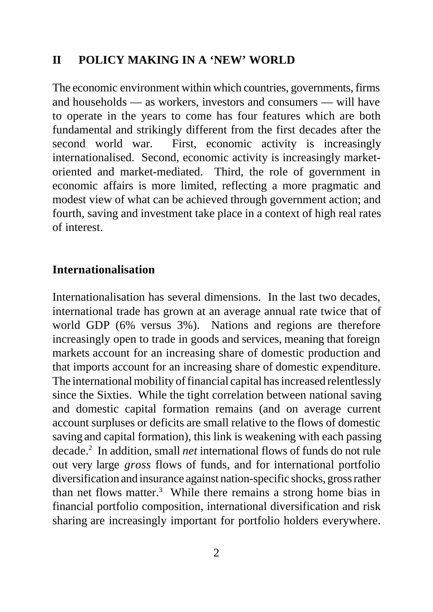#### **II POLICY MAKING IN A 'NEW' WORLD**

The economic environment within which countries, governments, firms and households — as workers, investors and consumers — will have to operate in the years to come has four features which are both fundamental and strikingly different from the first decades after the second world war. First, economic activity is increasingly internationalised. Second, economic activity is increasingly marketoriented and market-mediated. Third, the role of government in economic affairs is more limited, reflecting a more pragmatic and modest view of what can be achieved through government action; and fourth, saving and investment take place in a context of high real rates of interest.

#### **Internationalisation**

Internationalisation has several dimensions. In the last two decades, international trade has grown at an average annual rate twice that of world GDP (6% versus 3%). Nations and regions are therefore increasingly open to trade in goods and services, meaning that foreign markets account for an increasing share of domestic production and that imports account for an increasing share of domestic expenditure. The international mobility of financial capital has increased relentlessly since the Sixties. While the tight correlation between national saving and domestic capital formation remains (and on average current account surpluses or deficits are small relative to the flows of domestic saving and capital formation), this link is weakening with each passing decade.<sup>2</sup> In addition, small *net* international flows of funds do not rule out very large *gross* flows of funds, and for international portfolio diversification and insurance against nation-specific shocks, gross rather than net flows matter.<sup>3</sup> While there remains a strong home bias in financial portfolio composition, international diversification and risk sharing are increasingly important for portfolio holders everywhere.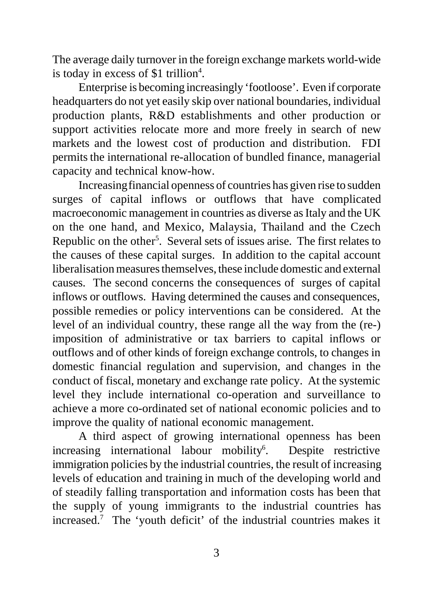The average daily turnover in the foreign exchange markets world-wide is today in excess of \$1 trillion<sup>4</sup>.

Enterprise is becoming increasingly 'footloose'. Even if corporate headquarters do not yet easily skip over national boundaries, individual production plants, R&D establishments and other production or support activities relocate more and more freely in search of new markets and the lowest cost of production and distribution. FDI permits the international re-allocation of bundled finance, managerial capacity and technical know-how.

Increasing financial openness of countries has given rise to sudden surges of capital inflows or outflows that have complicated macroeconomic management in countries as diverse as Italy and the UK on the one hand, and Mexico, Malaysia, Thailand and the Czech Republic on the other<sup>5</sup>. Several sets of issues arise. The first relates to the causes of these capital surges. In addition to the capital account liberalisation measures themselves, these include domestic and external causes. The second concerns the consequences of surges of capital inflows or outflows. Having determined the causes and consequences, possible remedies or policy interventions can be considered. At the level of an individual country, these range all the way from the (re-) imposition of administrative or tax barriers to capital inflows or outflows and of other kinds of foreign exchange controls, to changes in domestic financial regulation and supervision, and changes in the conduct of fiscal, monetary and exchange rate policy. At the systemic level they include international co-operation and surveillance to achieve a more co-ordinated set of national economic policies and to improve the quality of national economic management.

A third aspect of growing international openness has been increasing international labour mobility<sup>6</sup>. . Despite restrictive immigration policies by the industrial countries, the result of increasing levels of education and training in much of the developing world and of steadily falling transportation and information costs has been that the supply of young immigrants to the industrial countries has increased.<sup>7</sup> The 'youth deficit' of the industrial countries makes it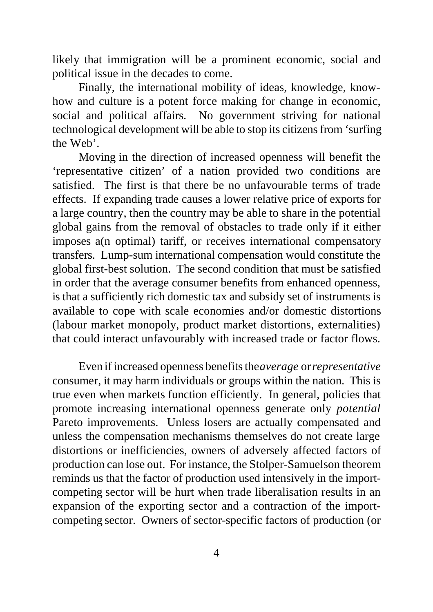likely that immigration will be a prominent economic, social and political issue in the decades to come.

Finally, the international mobility of ideas, knowledge, knowhow and culture is a potent force making for change in economic, social and political affairs. No government striving for national technological development will be able to stop its citizens from 'surfing the Web'.

Moving in the direction of increased openness will benefit the 'representative citizen' of a nation provided two conditions are satisfied. The first is that there be no unfavourable terms of trade effects. If expanding trade causes a lower relative price of exports for a large country, then the country may be able to share in the potential global gains from the removal of obstacles to trade only if it either imposes a(n optimal) tariff, or receives international compensatory transfers. Lump-sum international compensation would constitute the global first-best solution. The second condition that must be satisfied in order that the average consumer benefits from enhanced openness, is that a sufficiently rich domestic tax and subsidy set of instruments is available to cope with scale economies and/or domestic distortions (labour market monopoly, product market distortions, externalities) that could interact unfavourably with increased trade or factor flows.

Even if increased openness benefits the *average* or *representative* consumer, it may harm individuals or groups within the nation. This is true even when markets function efficiently. In general, policies that promote increasing international openness generate only *potential* Pareto improvements. Unless losers are actually compensated and unless the compensation mechanisms themselves do not create large distortions or inefficiencies, owners of adversely affected factors of production can lose out. For instance, the Stolper-Samuelson theorem reminds us that the factor of production used intensively in the importcompeting sector will be hurt when trade liberalisation results in an expansion of the exporting sector and a contraction of the importcompeting sector. Owners of sector-specific factors of production (or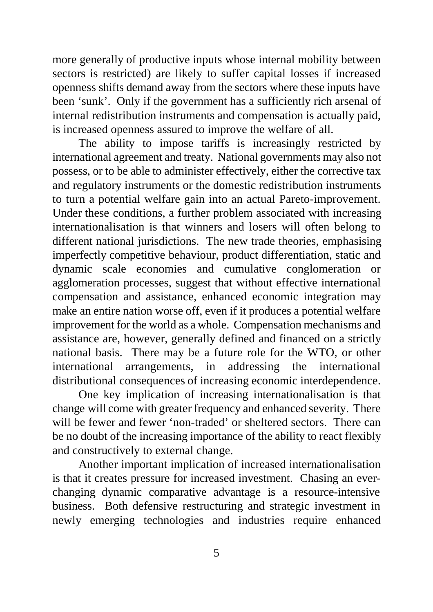more generally of productive inputs whose internal mobility between sectors is restricted) are likely to suffer capital losses if increased openness shifts demand away from the sectors where these inputs have been 'sunk'. Only if the government has a sufficiently rich arsenal of internal redistribution instruments and compensation is actually paid, is increased openness assured to improve the welfare of all.

The ability to impose tariffs is increasingly restricted by international agreement and treaty. National governments may also not possess, or to be able to administer effectively, either the corrective tax and regulatory instruments or the domestic redistribution instruments to turn a potential welfare gain into an actual Pareto-improvement. Under these conditions, a further problem associated with increasing internationalisation is that winners and losers will often belong to different national jurisdictions. The new trade theories, emphasising imperfectly competitive behaviour, product differentiation, static and dynamic scale economies and cumulative conglomeration or agglomeration processes, suggest that without effective international compensation and assistance, enhanced economic integration may make an entire nation worse off, even if it produces a potential welfare improvement for the world as a whole. Compensation mechanisms and assistance are, however, generally defined and financed on a strictly national basis. There may be a future role for the WTO, or other international arrangements, in addressing the international distributional consequences of increasing economic interdependence.

One key implication of increasing internationalisation is that change will come with greater frequency and enhanced severity. There will be fewer and fewer 'non-traded' or sheltered sectors. There can be no doubt of the increasing importance of the ability to react flexibly and constructively to external change.

Another important implication of increased internationalisation is that it creates pressure for increased investment. Chasing an everchanging dynamic comparative advantage is a resource-intensive business. Both defensive restructuring and strategic investment in newly emerging technologies and industries require enhanced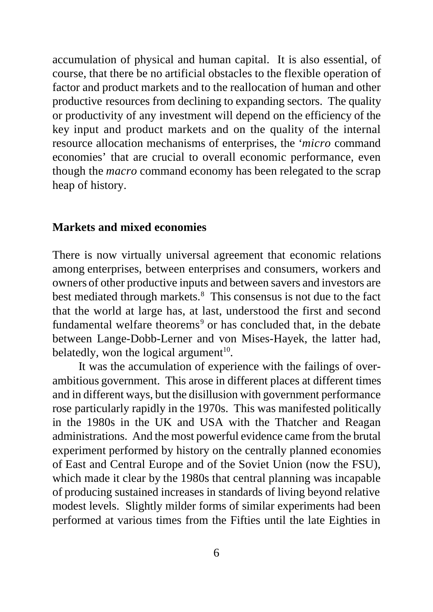accumulation of physical and human capital. It is also essential, of course, that there be no artificial obstacles to the flexible operation of factor and product markets and to the reallocation of human and other productive resources from declining to expanding sectors. The quality or productivity of any investment will depend on the efficiency of the key input and product markets and on the quality of the internal resource allocation mechanisms of enterprises, the '*micro* command economies' that are crucial to overall economic performance, even though the *macro* command economy has been relegated to the scrap heap of history.

#### **Markets and mixed economies**

There is now virtually universal agreement that economic relations among enterprises, between enterprises and consumers, workers and owners of other productive inputs and between savers and investors are best mediated through markets.<sup>8</sup> This consensus is not due to the fact that the world at large has, at last, understood the first and second fundamental welfare theorems<sup>9</sup> or has concluded that, in the debate between Lange-Dobb-Lerner and von Mises-Hayek, the latter had, belatedly, won the logical argument<sup>10</sup>.

It was the accumulation of experience with the failings of overambitious government. This arose in different places at different times and in different ways, but the disillusion with government performance rose particularly rapidly in the 1970s. This was manifested politically in the 1980s in the UK and USA with the Thatcher and Reagan administrations. And the most powerful evidence came from the brutal experiment performed by history on the centrally planned economies of East and Central Europe and of the Soviet Union (now the FSU), which made it clear by the 1980s that central planning was incapable of producing sustained increases in standards of living beyond relative modest levels. Slightly milder forms of similar experiments had been performed at various times from the Fifties until the late Eighties in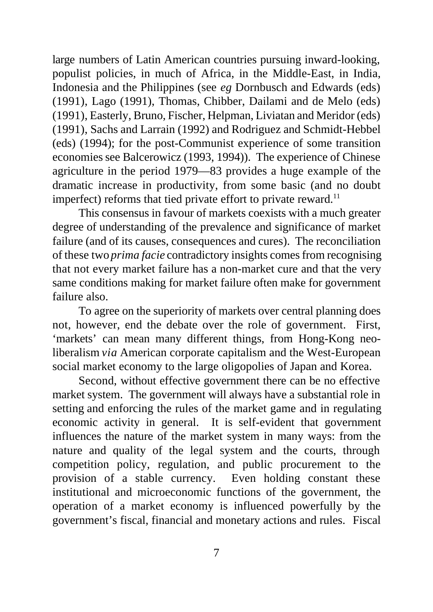large numbers of Latin American countries pursuing inward-looking, populist policies, in much of Africa, in the Middle-East, in India, Indonesia and the Philippines (see *eg* Dornbusch and Edwards (eds) (1991), Lago (1991), Thomas, Chibber, Dailami and de Melo (eds) (1991), Easterly, Bruno, Fischer, Helpman, Liviatan and Meridor (eds) (1991), Sachs and Larrain (1992) and Rodriguez and Schmidt-Hebbel (eds) (1994); for the post-Communist experience of some transition economies see Balcerowicz (1993, 1994)). The experience of Chinese agriculture in the period 1979—83 provides a huge example of the dramatic increase in productivity, from some basic (and no doubt imperfect) reforms that tied private effort to private reward. $^{11}$ 

This consensus in favour of markets coexists with a much greater degree of understanding of the prevalence and significance of market failure (and of its causes, consequences and cures). The reconciliation of these two *prima facie* contradictory insights comes from recognising that not every market failure has a non-market cure and that the very same conditions making for market failure often make for government failure also.

To agree on the superiority of markets over central planning does not, however, end the debate over the role of government. First, 'markets' can mean many different things, from Hong-Kong neoliberalism *via* American corporate capitalism and the West-European social market economy to the large oligopolies of Japan and Korea.

Second, without effective government there can be no effective market system. The government will always have a substantial role in setting and enforcing the rules of the market game and in regulating economic activity in general. It is self-evident that government influences the nature of the market system in many ways: from the nature and quality of the legal system and the courts, through competition policy, regulation, and public procurement to the provision of a stable currency. Even holding constant these institutional and microeconomic functions of the government, the operation of a market economy is influenced powerfully by the government's fiscal, financial and monetary actions and rules. Fiscal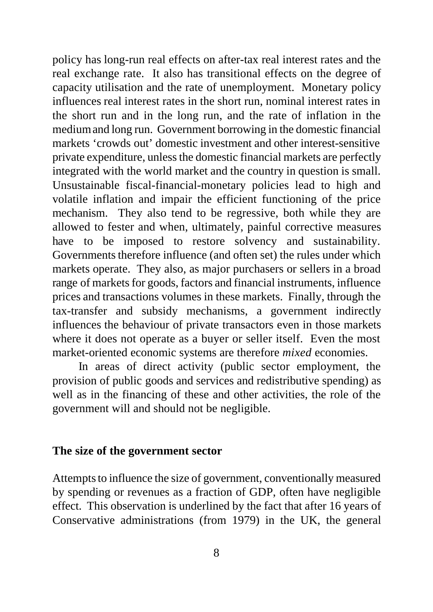policy has long-run real effects on after-tax real interest rates and the real exchange rate. It also has transitional effects on the degree of capacity utilisation and the rate of unemployment. Monetary policy influences real interest rates in the short run, nominal interest rates in the short run and in the long run, and the rate of inflation in the medium and long run. Government borrowing in the domestic financial markets 'crowds out' domestic investment and other interest-sensitive private expenditure, unless the domestic financial markets are perfectly integrated with the world market and the country in question is small. Unsustainable fiscal-financial-monetary policies lead to high and volatile inflation and impair the efficient functioning of the price mechanism. They also tend to be regressive, both while they are allowed to fester and when, ultimately, painful corrective measures have to be imposed to restore solvency and sustainability. Governments therefore influence (and often set) the rules under which markets operate. They also, as major purchasers or sellers in a broad range of markets for goods, factors and financial instruments, influence prices and transactions volumes in these markets. Finally, through the tax-transfer and subsidy mechanisms, a government indirectly influences the behaviour of private transactors even in those markets where it does not operate as a buyer or seller itself. Even the most market-oriented economic systems are therefore *mixed* economies.

In areas of direct activity (public sector employment, the provision of public goods and services and redistributive spending) as well as in the financing of these and other activities, the role of the government will and should not be negligible.

#### **The size of the government sector**

Attempts to influence the size of government, conventionally measured by spending or revenues as a fraction of GDP, often have negligible effect. This observation is underlined by the fact that after 16 years of Conservative administrations (from 1979) in the UK, the general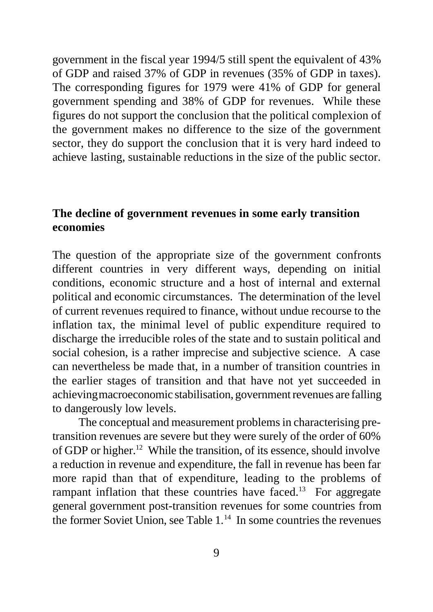government in the fiscal year 1994/5 still spent the equivalent of 43% of GDP and raised 37% of GDP in revenues (35% of GDP in taxes). The corresponding figures for 1979 were 41% of GDP for general government spending and 38% of GDP for revenues. While these figures do not support the conclusion that the political complexion of the government makes no difference to the size of the government sector, they do support the conclusion that it is very hard indeed to achieve lasting, sustainable reductions in the size of the public sector.

### **The decline of government revenues in some early transition economies**

The question of the appropriate size of the government confronts different countries in very different ways, depending on initial conditions, economic structure and a host of internal and external political and economic circumstances. The determination of the level of current revenues required to finance, without undue recourse to the inflation tax, the minimal level of public expenditure required to discharge the irreducible roles of the state and to sustain political and social cohesion, is a rather imprecise and subjective science. A case can nevertheless be made that, in a number of transition countries in the earlier stages of transition and that have not yet succeeded in achieving macroeconomic stabilisation, government revenues are falling to dangerously low levels.

The conceptual and measurement problems in characterising pretransition revenues are severe but they were surely of the order of 60% of GDP or higher.<sup>12</sup> While the transition, of its essence, should involve a reduction in revenue and expenditure, the fall in revenue has been far more rapid than that of expenditure, leading to the problems of rampant inflation that these countries have faced.<sup>13</sup> For aggregate general government post-transition revenues for some countries from the former Soviet Union, see Table  $1<sup>14</sup>$  In some countries the revenues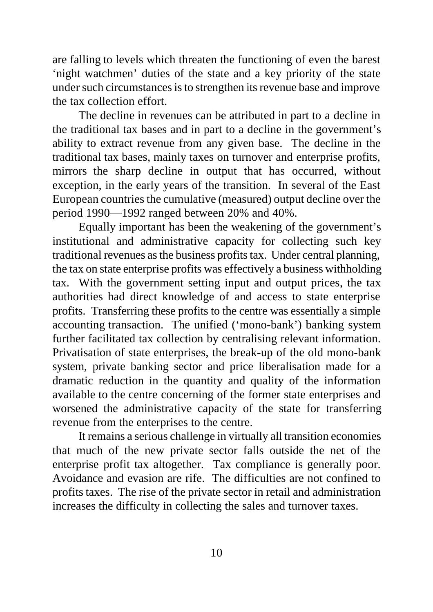are falling to levels which threaten the functioning of even the barest 'night watchmen' duties of the state and a key priority of the state under such circumstances is to strengthen its revenue base and improve the tax collection effort.

The decline in revenues can be attributed in part to a decline in the traditional tax bases and in part to a decline in the government's ability to extract revenue from any given base. The decline in the traditional tax bases, mainly taxes on turnover and enterprise profits, mirrors the sharp decline in output that has occurred, without exception, in the early years of the transition. In several of the East European countries the cumulative (measured) output decline over the period 1990—1992 ranged between 20% and 40%.

Equally important has been the weakening of the government's institutional and administrative capacity for collecting such key traditional revenues as the business profits tax. Under central planning, the tax on state enterprise profits was effectively a business withholding tax. With the government setting input and output prices, the tax authorities had direct knowledge of and access to state enterprise profits. Transferring these profits to the centre was essentially a simple accounting transaction. The unified ('mono-bank') banking system further facilitated tax collection by centralising relevant information. Privatisation of state enterprises, the break-up of the old mono-bank system, private banking sector and price liberalisation made for a dramatic reduction in the quantity and quality of the information available to the centre concerning of the former state enterprises and worsened the administrative capacity of the state for transferring revenue from the enterprises to the centre.

It remains a serious challenge in virtually all transition economies that much of the new private sector falls outside the net of the enterprise profit tax altogether. Tax compliance is generally poor. Avoidance and evasion are rife. The difficulties are not confined to profits taxes. The rise of the private sector in retail and administration increases the difficulty in collecting the sales and turnover taxes.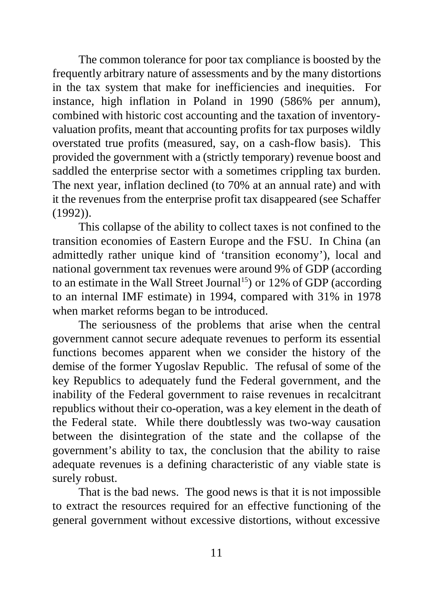The common tolerance for poor tax compliance is boosted by the frequently arbitrary nature of assessments and by the many distortions in the tax system that make for inefficiencies and inequities. For instance, high inflation in Poland in 1990 (586% per annum), combined with historic cost accounting and the taxation of inventoryvaluation profits, meant that accounting profits for tax purposes wildly overstated true profits (measured, say, on a cash-flow basis). This provided the government with a (strictly temporary) revenue boost and saddled the enterprise sector with a sometimes crippling tax burden. The next year, inflation declined (to 70% at an annual rate) and with it the revenues from the enterprise profit tax disappeared (see Schaffer (1992)).

This collapse of the ability to collect taxes is not confined to the transition economies of Eastern Europe and the FSU. In China (an admittedly rather unique kind of 'transition economy'), local and national government tax revenues were around 9% of GDP (according to an estimate in the Wall Street Journal<sup>15</sup>) or  $12\%$  of GDP (according to an internal IMF estimate) in 1994, compared with 31% in 1978 when market reforms began to be introduced.

The seriousness of the problems that arise when the central government cannot secure adequate revenues to perform its essential functions becomes apparent when we consider the history of the demise of the former Yugoslav Republic. The refusal of some of the key Republics to adequately fund the Federal government, and the inability of the Federal government to raise revenues in recalcitrant republics without their co-operation, was a key element in the death of the Federal state. While there doubtlessly was two-way causation between the disintegration of the state and the collapse of the government's ability to tax, the conclusion that the ability to raise adequate revenues is a defining characteristic of any viable state is surely robust.

That is the bad news. The good news is that it is not impossible to extract the resources required for an effective functioning of the general government without excessive distortions, without excessive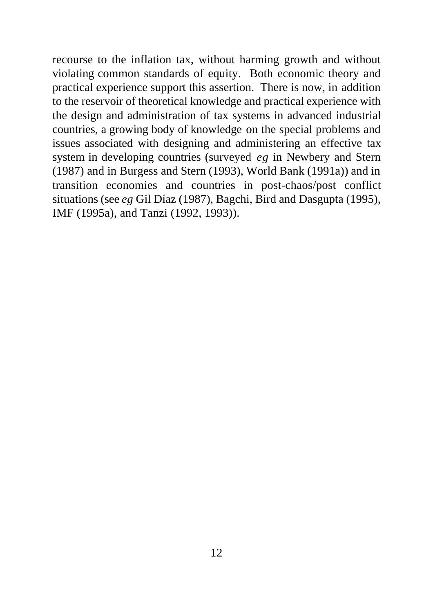recourse to the inflation tax, without harming growth and without violating common standards of equity. Both economic theory and practical experience support this assertion. There is now, in addition to the reservoir of theoretical knowledge and practical experience with the design and administration of tax systems in advanced industrial countries, a growing body of knowledge on the special problems and issues associated with designing and administering an effective tax system in developing countries (surveyed *eg* in Newbery and Stern (1987) and in Burgess and Stern (1993), World Bank (1991a)) and in transition economies and countries in post-chaos/post conflict situations (see *eg* Gil Díaz (1987), Bagchi, Bird and Dasgupta (1995), IMF (1995a), and Tanzi (1992, 1993)).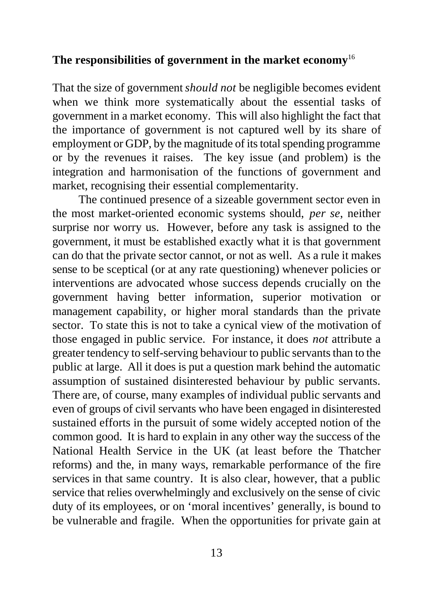#### **The responsibilities of government in the market economy**<sup>16</sup>

That the size of government *should not* be negligible becomes evident when we think more systematically about the essential tasks of government in a market economy. This will also highlight the fact that the importance of government is not captured well by its share of employment or GDP, by the magnitude of its total spending programme or by the revenues it raises. The key issue (and problem) is the integration and harmonisation of the functions of government and market, recognising their essential complementarity.

The continued presence of a sizeable government sector even in the most market-oriented economic systems should, *per se*, neither surprise nor worry us. However, before any task is assigned to the government, it must be established exactly what it is that government can do that the private sector cannot, or not as well. As a rule it makes sense to be sceptical (or at any rate questioning) whenever policies or interventions are advocated whose success depends crucially on the government having better information, superior motivation or management capability, or higher moral standards than the private sector. To state this is not to take a cynical view of the motivation of those engaged in public service. For instance, it does *not* attribute a greater tendency to self-serving behaviour to public servants than to the public at large. All it does is put a question mark behind the automatic assumption of sustained disinterested behaviour by public servants. There are, of course, many examples of individual public servants and even of groups of civil servants who have been engaged in disinterested sustained efforts in the pursuit of some widely accepted notion of the common good. It is hard to explain in any other way the success of the National Health Service in the UK (at least before the Thatcher reforms) and the, in many ways, remarkable performance of the fire services in that same country. It is also clear, however, that a public service that relies overwhelmingly and exclusively on the sense of civic duty of its employees, or on 'moral incentives' generally, is bound to be vulnerable and fragile. When the opportunities for private gain at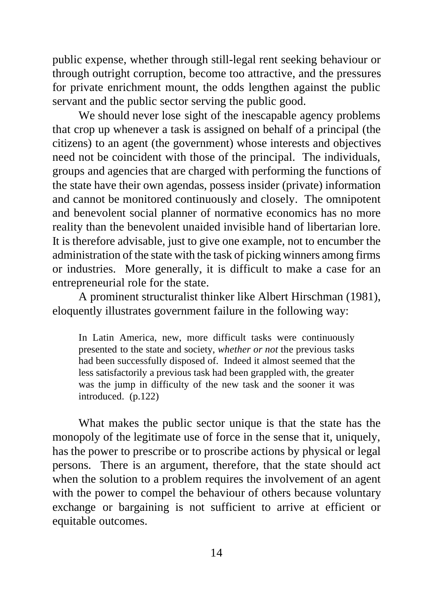public expense, whether through still-legal rent seeking behaviour or through outright corruption, become too attractive, and the pressures for private enrichment mount, the odds lengthen against the public servant and the public sector serving the public good.

We should never lose sight of the inescapable agency problems that crop up whenever a task is assigned on behalf of a principal (the citizens) to an agent (the government) whose interests and objectives need not be coincident with those of the principal. The individuals, groups and agencies that are charged with performing the functions of the state have their own agendas, possess insider (private) information and cannot be monitored continuously and closely. The omnipotent and benevolent social planner of normative economics has no more reality than the benevolent unaided invisible hand of libertarian lore. It is therefore advisable, just to give one example, not to encumber the administration of the state with the task of picking winners among firms or industries. More generally, it is difficult to make a case for an entrepreneurial role for the state.

A prominent structuralist thinker like Albert Hirschman (1981), eloquently illustrates government failure in the following way:

In Latin America, new, more difficult tasks were continuously presented to the state and society, *whether or not* the previous tasks had been successfully disposed of. Indeed it almost seemed that the less satisfactorily a previous task had been grappled with, the greater was the jump in difficulty of the new task and the sooner it was introduced. (p.122)

What makes the public sector unique is that the state has the monopoly of the legitimate use of force in the sense that it, uniquely, has the power to prescribe or to proscribe actions by physical or legal persons. There is an argument, therefore, that the state should act when the solution to a problem requires the involvement of an agent with the power to compel the behaviour of others because voluntary exchange or bargaining is not sufficient to arrive at efficient or equitable outcomes.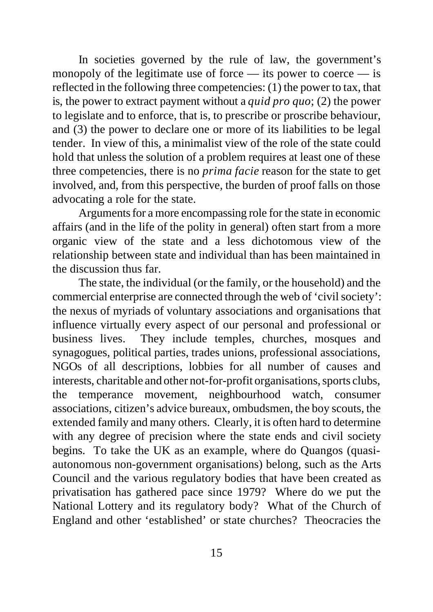In societies governed by the rule of law, the government's monopoly of the legitimate use of force — its power to coerce — is reflected in the following three competencies: (1) the power to tax, that is, the power to extract payment without a *quid pro quo*; (2) the power to legislate and to enforce, that is, to prescribe or proscribe behaviour, and (3) the power to declare one or more of its liabilities to be legal tender. In view of this, a minimalist view of the role of the state could hold that unless the solution of a problem requires at least one of these three competencies, there is no *prima facie* reason for the state to get involved, and, from this perspective, the burden of proof falls on those advocating a role for the state.

Arguments for a more encompassing role for the state in economic affairs (and in the life of the polity in general) often start from a more organic view of the state and a less dichotomous view of the relationship between state and individual than has been maintained in the discussion thus far.

The state, the individual (or the family, or the household) and the commercial enterprise are connected through the web of 'civil society': the nexus of myriads of voluntary associations and organisations that influence virtually every aspect of our personal and professional or business lives. They include temples, churches, mosques and synagogues, political parties, trades unions, professional associations, NGOs of all descriptions, lobbies for all number of causes and interests, charitable and other not-for-profit organisations, sports clubs, the temperance movement, neighbourhood watch, consumer associations, citizen's advice bureaux, ombudsmen, the boy scouts, the extended family and many others. Clearly, it is often hard to determine with any degree of precision where the state ends and civil society begins. To take the UK as an example, where do Quangos (quasiautonomous non-government organisations) belong, such as the Arts Council and the various regulatory bodies that have been created as privatisation has gathered pace since 1979? Where do we put the National Lottery and its regulatory body? What of the Church of England and other 'established' or state churches? Theocracies the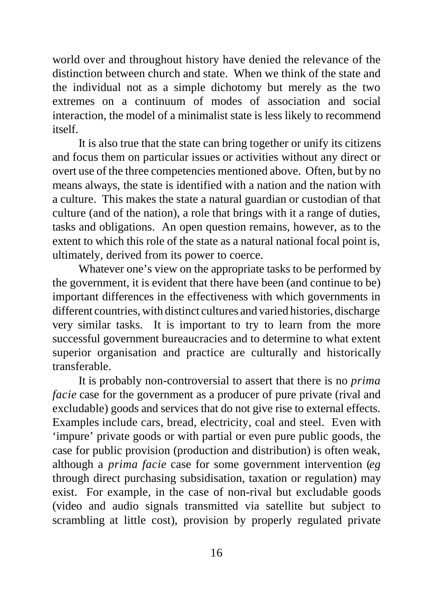world over and throughout history have denied the relevance of the distinction between church and state. When we think of the state and the individual not as a simple dichotomy but merely as the two extremes on a continuum of modes of association and social interaction, the model of a minimalist state is less likely to recommend itself.

It is also true that the state can bring together or unify its citizens and focus them on particular issues or activities without any direct or overt use of the three competencies mentioned above. Often, but by no means always, the state is identified with a nation and the nation with a culture. This makes the state a natural guardian or custodian of that culture (and of the nation), a role that brings with it a range of duties, tasks and obligations. An open question remains, however, as to the extent to which this role of the state as a natural national focal point is, ultimately, derived from its power to coerce.

Whatever one's view on the appropriate tasks to be performed by the government, it is evident that there have been (and continue to be) important differences in the effectiveness with which governments in different countries, with distinct cultures and varied histories, discharge very similar tasks. It is important to try to learn from the more successful government bureaucracies and to determine to what extent superior organisation and practice are culturally and historically transferable.

It is probably non-controversial to assert that there is no *prima facie* case for the government as a producer of pure private (rival and excludable) goods and services that do not give rise to external effects. Examples include cars, bread, electricity, coal and steel. Even with 'impure' private goods or with partial or even pure public goods, the case for public provision (production and distribution) is often weak, although a *prima facie* case for some government intervention (*eg* through direct purchasing subsidisation, taxation or regulation) may exist. For example, in the case of non-rival but excludable goods (video and audio signals transmitted via satellite but subject to scrambling at little cost), provision by properly regulated private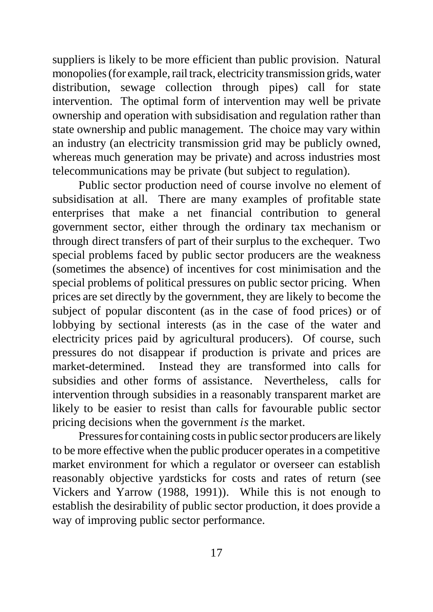suppliers is likely to be more efficient than public provision. Natural monopolies (for example, rail track, electricity transmission grids, water distribution, sewage collection through pipes) call for state intervention. The optimal form of intervention may well be private ownership and operation with subsidisation and regulation rather than state ownership and public management. The choice may vary within an industry (an electricity transmission grid may be publicly owned, whereas much generation may be private) and across industries most telecommunications may be private (but subject to regulation).

Public sector production need of course involve no element of subsidisation at all. There are many examples of profitable state enterprises that make a net financial contribution to general government sector, either through the ordinary tax mechanism or through direct transfers of part of their surplus to the exchequer. Two special problems faced by public sector producers are the weakness (sometimes the absence) of incentives for cost minimisation and the special problems of political pressures on public sector pricing. When prices are set directly by the government, they are likely to become the subject of popular discontent (as in the case of food prices) or of lobbying by sectional interests (as in the case of the water and electricity prices paid by agricultural producers). Of course, such pressures do not disappear if production is private and prices are market-determined. Instead they are transformed into calls for subsidies and other forms of assistance. Nevertheless, calls for intervention through subsidies in a reasonably transparent market are likely to be easier to resist than calls for favourable public sector pricing decisions when the government *is* the market.

Pressures for containing costs in public sector producers are likely to be more effective when the public producer operates in a competitive market environment for which a regulator or overseer can establish reasonably objective yardsticks for costs and rates of return (see Vickers and Yarrow (1988, 1991)). While this is not enough to establish the desirability of public sector production, it does provide a way of improving public sector performance.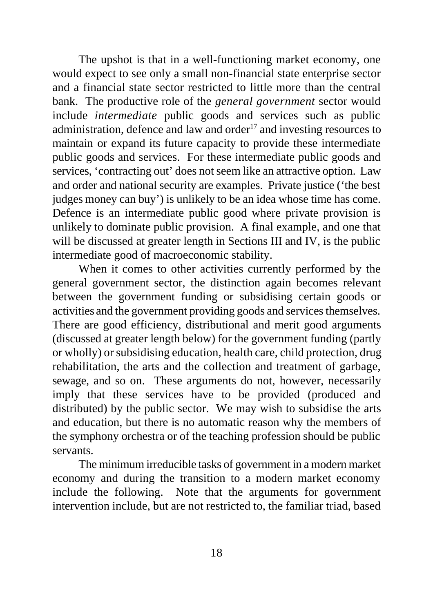The upshot is that in a well-functioning market economy, one would expect to see only a small non-financial state enterprise sector and a financial state sector restricted to little more than the central bank. The productive role of the *general government* sector would include *intermediate* public goods and services such as public administration, defence and law and order<sup>17</sup> and investing resources to maintain or expand its future capacity to provide these intermediate public goods and services. For these intermediate public goods and services, 'contracting out' does not seem like an attractive option. Law and order and national security are examples. Private justice ('the best judges money can buy') is unlikely to be an idea whose time has come. Defence is an intermediate public good where private provision is unlikely to dominate public provision. A final example, and one that will be discussed at greater length in Sections III and IV, is the public intermediate good of macroeconomic stability.

When it comes to other activities currently performed by the general government sector, the distinction again becomes relevant between the government funding or subsidising certain goods or activities and the government providing goods and services themselves. There are good efficiency, distributional and merit good arguments (discussed at greater length below) for the government funding (partly or wholly) or subsidising education, health care, child protection, drug rehabilitation, the arts and the collection and treatment of garbage, sewage, and so on. These arguments do not, however, necessarily imply that these services have to be provided (produced and distributed) by the public sector. We may wish to subsidise the arts and education, but there is no automatic reason why the members of the symphony orchestra or of the teaching profession should be public servants.

The minimum irreducible tasks of government in a modern market economy and during the transition to a modern market economy include the following. Note that the arguments for government intervention include, but are not restricted to, the familiar triad, based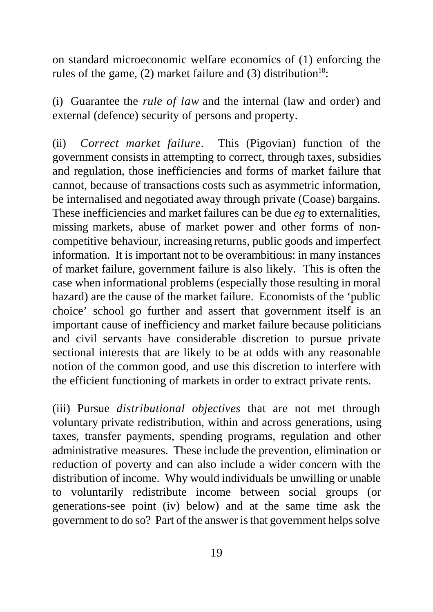on standard microeconomic welfare economics of (1) enforcing the rules of the game, (2) market failure and (3) distribution<sup>18</sup>:

(i) Guarantee the *rule of law* and the internal (law and order) and external (defence) security of persons and property.

(ii) *Correct market failure*. This (Pigovian) function of the government consists in attempting to correct, through taxes, subsidies and regulation, those inefficiencies and forms of market failure that cannot, because of transactions costs such as asymmetric information, be internalised and negotiated away through private (Coase) bargains. These inefficiencies and market failures can be due *eg* to externalities, missing markets, abuse of market power and other forms of noncompetitive behaviour, increasing returns, public goods and imperfect information. It is important not to be overambitious: in many instances of market failure, government failure is also likely. This is often the case when informational problems (especially those resulting in moral hazard) are the cause of the market failure. Economists of the 'public choice' school go further and assert that government itself is an important cause of inefficiency and market failure because politicians and civil servants have considerable discretion to pursue private sectional interests that are likely to be at odds with any reasonable notion of the common good, and use this discretion to interfere with the efficient functioning of markets in order to extract private rents.

(iii) Pursue *distributional objectives* that are not met through voluntary private redistribution, within and across generations, using taxes, transfer payments, spending programs, regulation and other administrative measures. These include the prevention, elimination or reduction of poverty and can also include a wider concern with the distribution of income. Why would individuals be unwilling or unable to voluntarily redistribute income between social groups (or generations-see point (iv) below) and at the same time ask the government to do so? Part of the answer is that government helps solve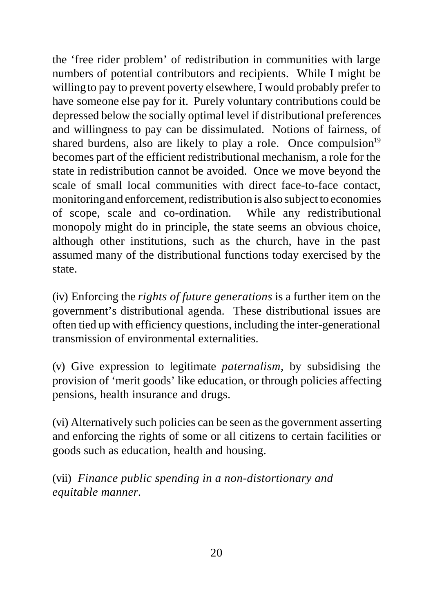the 'free rider problem' of redistribution in communities with large numbers of potential contributors and recipients. While I might be willing to pay to prevent poverty elsewhere, I would probably prefer to have someone else pay for it. Purely voluntary contributions could be depressed below the socially optimal level if distributional preferences and willingness to pay can be dissimulated. Notions of fairness, of shared burdens, also are likely to play a role. Once compulsion $19$ becomes part of the efficient redistributional mechanism, a role for the state in redistribution cannot be avoided. Once we move beyond the scale of small local communities with direct face-to-face contact, monitoring and enforcement, redistribution is also subject to economies of scope, scale and co-ordination. While any redistributional monopoly might do in principle, the state seems an obvious choice, although other institutions, such as the church, have in the past assumed many of the distributional functions today exercised by the state.

(iv) Enforcing the *rights of future generations* is a further item on the government's distributional agenda. These distributional issues are often tied up with efficiency questions, including the inter-generational transmission of environmental externalities.

(v) Give expression to legitimate *paternalism,* by subsidising the provision of 'merit goods' like education, or through policies affecting pensions, health insurance and drugs.

(vi) Alternatively such policies can be seen as the government asserting and enforcing the rights of some or all citizens to certain facilities or goods such as education, health and housing.

(vii) *Finance public spending in a non-distortionary and equitable manner.*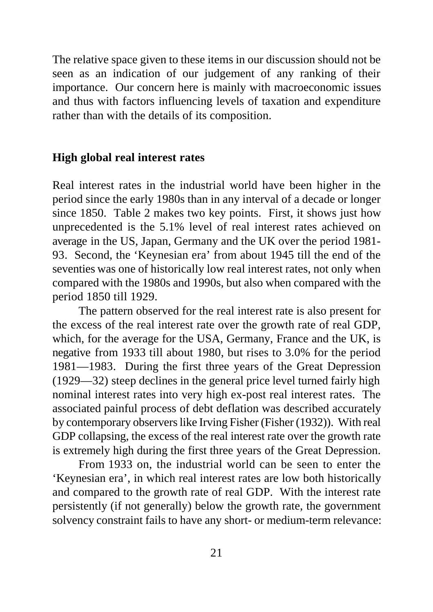The relative space given to these items in our discussion should not be seen as an indication of our judgement of any ranking of their importance. Our concern here is mainly with macroeconomic issues and thus with factors influencing levels of taxation and expenditure rather than with the details of its composition.

#### **High global real interest rates**

Real interest rates in the industrial world have been higher in the period since the early 1980s than in any interval of a decade or longer since 1850. Table 2 makes two key points. First, it shows just how unprecedented is the 5.1% level of real interest rates achieved on average in the US, Japan, Germany and the UK over the period 1981- 93. Second, the 'Keynesian era' from about 1945 till the end of the seventies was one of historically low real interest rates, not only when compared with the 1980s and 1990s, but also when compared with the period 1850 till 1929.

The pattern observed for the real interest rate is also present for the excess of the real interest rate over the growth rate of real GDP, which, for the average for the USA, Germany, France and the UK, is negative from 1933 till about 1980, but rises to 3.0% for the period 1981—1983. During the first three years of the Great Depression (1929—32) steep declines in the general price level turned fairly high nominal interest rates into very high ex-post real interest rates. The associated painful process of debt deflation was described accurately by contemporary observers like Irving Fisher (Fisher (1932)). With real GDP collapsing, the excess of the real interest rate over the growth rate is extremely high during the first three years of the Great Depression.

From 1933 on, the industrial world can be seen to enter the 'Keynesian era', in which real interest rates are low both historically and compared to the growth rate of real GDP. With the interest rate persistently (if not generally) below the growth rate, the government solvency constraint fails to have any short- or medium-term relevance: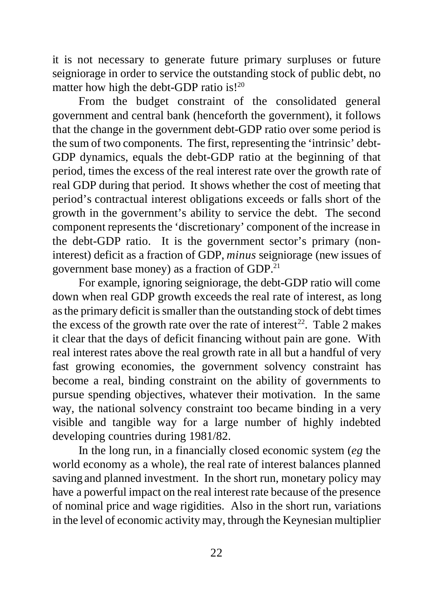it is not necessary to generate future primary surpluses or future seigniorage in order to service the outstanding stock of public debt, no matter how high the debt-GDP ratio is!<sup>20</sup>

From the budget constraint of the consolidated general government and central bank (henceforth the government), it follows that the change in the government debt-GDP ratio over some period is the sum of two components. The first, representing the 'intrinsic' debt-GDP dynamics, equals the debt-GDP ratio at the beginning of that period, times the excess of the real interest rate over the growth rate of real GDP during that period. It shows whether the cost of meeting that period's contractual interest obligations exceeds or falls short of the growth in the government's ability to service the debt. The second component represents the 'discretionary' component of the increase in the debt-GDP ratio. It is the government sector's primary (noninterest) deficit as a fraction of GDP, *minus* seigniorage (new issues of government base money) as a fraction of GDP.<sup>21</sup>

For example, ignoring seigniorage, the debt-GDP ratio will come down when real GDP growth exceeds the real rate of interest, as long as the primary deficit is smaller than the outstanding stock of debt times the excess of the growth rate over the rate of interest<sup>22</sup>. Table 2 makes it clear that the days of deficit financing without pain are gone. With real interest rates above the real growth rate in all but a handful of very fast growing economies, the government solvency constraint has become a real, binding constraint on the ability of governments to pursue spending objectives, whatever their motivation. In the same way, the national solvency constraint too became binding in a very visible and tangible way for a large number of highly indebted developing countries during 1981/82.

In the long run, in a financially closed economic system (*eg* the world economy as a whole), the real rate of interest balances planned saving and planned investment. In the short run, monetary policy may have a powerful impact on the real interest rate because of the presence of nominal price and wage rigidities. Also in the short run, variations in the level of economic activity may, through the Keynesian multiplier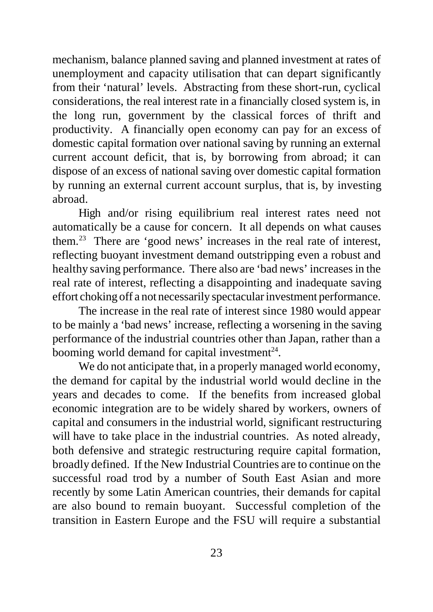mechanism, balance planned saving and planned investment at rates of unemployment and capacity utilisation that can depart significantly from their 'natural' levels. Abstracting from these short-run, cyclical considerations, the real interest rate in a financially closed system is, in the long run, government by the classical forces of thrift and productivity. A financially open economy can pay for an excess of domestic capital formation over national saving by running an external current account deficit, that is, by borrowing from abroad; it can dispose of an excess of national saving over domestic capital formation by running an external current account surplus, that is, by investing abroad.

High and/or rising equilibrium real interest rates need not automatically be a cause for concern. It all depends on what causes them.<sup>23</sup> There are 'good news' increases in the real rate of interest, reflecting buoyant investment demand outstripping even a robust and healthy saving performance. There also are 'bad news' increases in the real rate of interest, reflecting a disappointing and inadequate saving effort choking off a not necessarily spectacular investment performance.

The increase in the real rate of interest since 1980 would appear to be mainly a 'bad news' increase, reflecting a worsening in the saving performance of the industrial countries other than Japan, rather than a booming world demand for capital investment $^{24}$ .

We do not anticipate that, in a properly managed world economy, the demand for capital by the industrial world would decline in the years and decades to come. If the benefits from increased global economic integration are to be widely shared by workers, owners of capital and consumers in the industrial world, significant restructuring will have to take place in the industrial countries. As noted already, both defensive and strategic restructuring require capital formation, broadly defined. If the New Industrial Countries are to continue on the successful road trod by a number of South East Asian and more recently by some Latin American countries, their demands for capital are also bound to remain buoyant. Successful completion of the transition in Eastern Europe and the FSU will require a substantial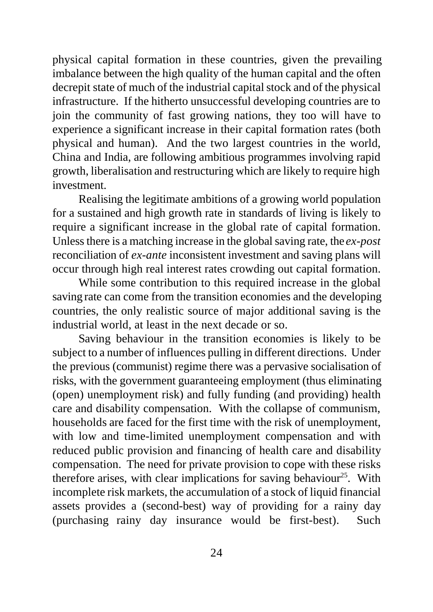physical capital formation in these countries, given the prevailing imbalance between the high quality of the human capital and the often decrepit state of much of the industrial capital stock and of the physical infrastructure. If the hitherto unsuccessful developing countries are to join the community of fast growing nations, they too will have to experience a significant increase in their capital formation rates (both physical and human). And the two largest countries in the world, China and India, are following ambitious programmes involving rapid growth, liberalisation and restructuring which are likely to require high investment.

Realising the legitimate ambitions of a growing world population for a sustained and high growth rate in standards of living is likely to require a significant increase in the global rate of capital formation. Unless there is a matching increase in the global saving rate, the *ex-post* reconciliation of *ex-ante* inconsistent investment and saving plans will occur through high real interest rates crowding out capital formation.

While some contribution to this required increase in the global saving rate can come from the transition economies and the developing countries, the only realistic source of major additional saving is the industrial world, at least in the next decade or so.

Saving behaviour in the transition economies is likely to be subject to a number of influences pulling in different directions. Under the previous (communist) regime there was a pervasive socialisation of risks, with the government guaranteeing employment (thus eliminating (open) unemployment risk) and fully funding (and providing) health care and disability compensation. With the collapse of communism, households are faced for the first time with the risk of unemployment, with low and time-limited unemployment compensation and with reduced public provision and financing of health care and disability compensation. The need for private provision to cope with these risks therefore arises, with clear implications for saving behaviour<sup>25</sup>. With incomplete risk markets, the accumulation of a stock of liquid financial assets provides a (second-best) way of providing for a rainy day (purchasing rainy day insurance would be first-best). Such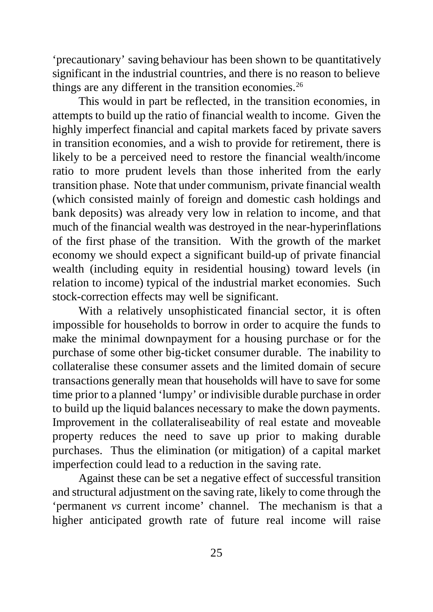'precautionary' saving behaviour has been shown to be quantitatively significant in the industrial countries, and there is no reason to believe things are any different in the transition economies.<sup>26</sup>

This would in part be reflected, in the transition economies, in attempts to build up the ratio of financial wealth to income. Given the highly imperfect financial and capital markets faced by private savers in transition economies, and a wish to provide for retirement, there is likely to be a perceived need to restore the financial wealth/income ratio to more prudent levels than those inherited from the early transition phase. Note that under communism, private financial wealth (which consisted mainly of foreign and domestic cash holdings and bank deposits) was already very low in relation to income, and that much of the financial wealth was destroyed in the near-hyperinflations of the first phase of the transition. With the growth of the market economy we should expect a significant build-up of private financial wealth (including equity in residential housing) toward levels (in relation to income) typical of the industrial market economies. Such stock-correction effects may well be significant.

With a relatively unsophisticated financial sector, it is often impossible for households to borrow in order to acquire the funds to make the minimal downpayment for a housing purchase or for the purchase of some other big-ticket consumer durable. The inability to collateralise these consumer assets and the limited domain of secure transactions generally mean that households will have to save for some time prior to a planned 'lumpy' or indivisible durable purchase in order to build up the liquid balances necessary to make the down payments. Improvement in the collateraliseability of real estate and moveable property reduces the need to save up prior to making durable purchases. Thus the elimination (or mitigation) of a capital market imperfection could lead to a reduction in the saving rate.

Against these can be set a negative effect of successful transition and structural adjustment on the saving rate, likely to come through the 'permanent *vs* current income' channel. The mechanism is that a higher anticipated growth rate of future real income will raise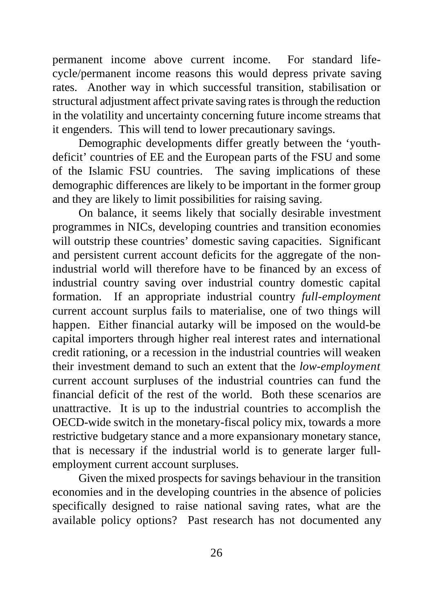permanent income above current income. For standard lifecycle/permanent income reasons this would depress private saving rates. Another way in which successful transition, stabilisation or structural adjustment affect private saving rates is through the reduction in the volatility and uncertainty concerning future income streams that it engenders. This will tend to lower precautionary savings.

Demographic developments differ greatly between the 'youthdeficit' countries of EE and the European parts of the FSU and some of the Islamic FSU countries. The saving implications of these demographic differences are likely to be important in the former group and they are likely to limit possibilities for raising saving.

On balance, it seems likely that socially desirable investment programmes in NICs, developing countries and transition economies will outstrip these countries' domestic saving capacities. Significant and persistent current account deficits for the aggregate of the nonindustrial world will therefore have to be financed by an excess of industrial country saving over industrial country domestic capital formation. If an appropriate industrial country *full-employment* current account surplus fails to materialise, one of two things will happen. Either financial autarky will be imposed on the would-be capital importers through higher real interest rates and international credit rationing, or a recession in the industrial countries will weaken their investment demand to such an extent that the *low-employment* current account surpluses of the industrial countries can fund the financial deficit of the rest of the world. Both these scenarios are unattractive. It is up to the industrial countries to accomplish the OECD-wide switch in the monetary-fiscal policy mix, towards a more restrictive budgetary stance and a more expansionary monetary stance, that is necessary if the industrial world is to generate larger fullemployment current account surpluses.

Given the mixed prospects for savings behaviour in the transition economies and in the developing countries in the absence of policies specifically designed to raise national saving rates, what are the available policy options? Past research has not documented any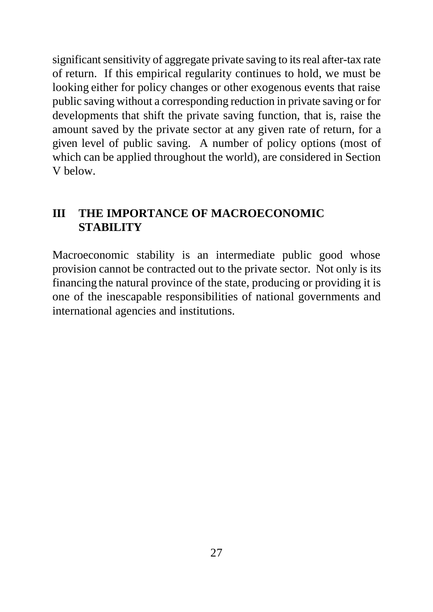significant sensitivity of aggregate private saving to its real after-tax rate of return. If this empirical regularity continues to hold, we must be looking either for policy changes or other exogenous events that raise public saving without a corresponding reduction in private saving or for developments that shift the private saving function, that is, raise the amount saved by the private sector at any given rate of return, for a given level of public saving. A number of policy options (most of which can be applied throughout the world), are considered in Section V below.

# **III THE IMPORTANCE OF MACROECONOMIC STABILITY**

Macroeconomic stability is an intermediate public good whose provision cannot be contracted out to the private sector. Not only is its financing the natural province of the state, producing or providing it is one of the inescapable responsibilities of national governments and international agencies and institutions.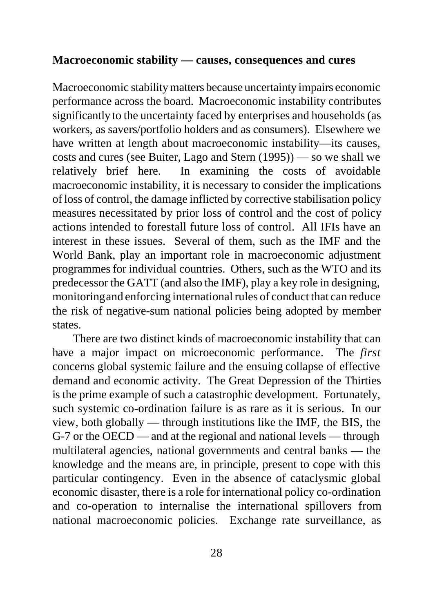#### **Macroeconomic stability — causes, consequences and cures**

Macroeconomic stability matters because uncertainty impairs economic performance across the board. Macroeconomic instability contributes significantly to the uncertainty faced by enterprises and households (as workers, as savers/portfolio holders and as consumers). Elsewhere we have written at length about macroeconomic instability—its causes, costs and cures (see Buiter, Lago and Stern (1995)) — so we shall we relatively brief here. In examining the costs of avoidable macroeconomic instability, it is necessary to consider the implications of loss of control, the damage inflicted by corrective stabilisation policy measures necessitated by prior loss of control and the cost of policy actions intended to forestall future loss of control. All IFIs have an interest in these issues. Several of them, such as the IMF and the World Bank, play an important role in macroeconomic adjustment programmes for individual countries. Others, such as the WTO and its predecessor the GATT (and also the IMF), play a key role in designing, monitoring and enforcing international rules of conduct that can reduce the risk of negative-sum national policies being adopted by member states.

There are two distinct kinds of macroeconomic instability that can have a major impact on microeconomic performance. The *first* concerns global systemic failure and the ensuing collapse of effective demand and economic activity. The Great Depression of the Thirties is the prime example of such a catastrophic development. Fortunately, such systemic co-ordination failure is as rare as it is serious. In our view, both globally — through institutions like the IMF, the BIS, the G-7 or the OECD — and at the regional and national levels — through multilateral agencies, national governments and central banks — the knowledge and the means are, in principle, present to cope with this particular contingency. Even in the absence of cataclysmic global economic disaster, there is a role for international policy co-ordination and co-operation to internalise the international spillovers from national macroeconomic policies. Exchange rate surveillance, as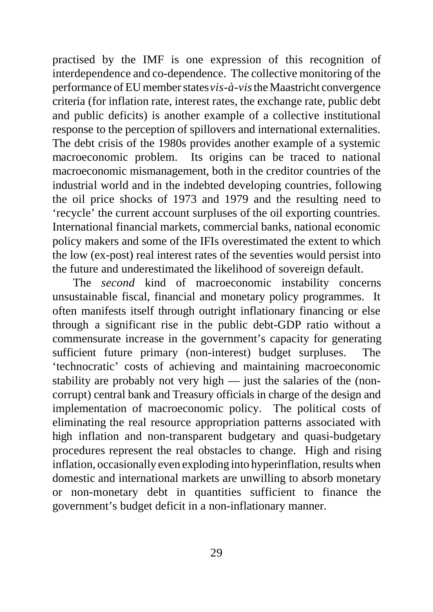practised by the IMF is one expression of this recognition of interdependence and co-dependence. The collective monitoring of the performance of EU member states *vis-à-vis* the Maastricht convergence criteria (for inflation rate, interest rates, the exchange rate, public debt and public deficits) is another example of a collective institutional response to the perception of spillovers and international externalities. The debt crisis of the 1980s provides another example of a systemic macroeconomic problem. Its origins can be traced to national macroeconomic mismanagement, both in the creditor countries of the industrial world and in the indebted developing countries, following the oil price shocks of 1973 and 1979 and the resulting need to 'recycle' the current account surpluses of the oil exporting countries. International financial markets, commercial banks, national economic policy makers and some of the IFIs overestimated the extent to which the low (ex-post) real interest rates of the seventies would persist into the future and underestimated the likelihood of sovereign default.

The *second* kind of macroeconomic instability concerns unsustainable fiscal, financial and monetary policy programmes. It often manifests itself through outright inflationary financing or else through a significant rise in the public debt-GDP ratio without a commensurate increase in the government's capacity for generating sufficient future primary (non-interest) budget surpluses. The 'technocratic' costs of achieving and maintaining macroeconomic stability are probably not very high — just the salaries of the (noncorrupt) central bank and Treasury officials in charge of the design and implementation of macroeconomic policy. The political costs of eliminating the real resource appropriation patterns associated with high inflation and non-transparent budgetary and quasi-budgetary procedures represent the real obstacles to change. High and rising inflation, occasionally even exploding into hyperinflation, results when domestic and international markets are unwilling to absorb monetary or non-monetary debt in quantities sufficient to finance the government's budget deficit in a non-inflationary manner.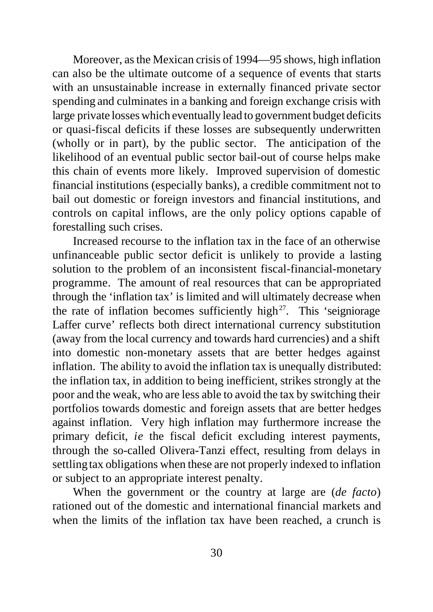Moreover, as the Mexican crisis of 1994—95 shows, high inflation can also be the ultimate outcome of a sequence of events that starts with an unsustainable increase in externally financed private sector spending and culminates in a banking and foreign exchange crisis with large private losses which eventually lead to government budget deficits or quasi-fiscal deficits if these losses are subsequently underwritten (wholly or in part), by the public sector. The anticipation of the likelihood of an eventual public sector bail-out of course helps make this chain of events more likely. Improved supervision of domestic financial institutions (especially banks), a credible commitment not to bail out domestic or foreign investors and financial institutions, and controls on capital inflows, are the only policy options capable of forestalling such crises.

Increased recourse to the inflation tax in the face of an otherwise unfinanceable public sector deficit is unlikely to provide a lasting solution to the problem of an inconsistent fiscal-financial-monetary programme. The amount of real resources that can be appropriated through the 'inflation tax' is limited and will ultimately decrease when the rate of inflation becomes sufficiently high $2^7$ . This 'seigniorage Laffer curve' reflects both direct international currency substitution (away from the local currency and towards hard currencies) and a shift into domestic non-monetary assets that are better hedges against inflation. The ability to avoid the inflation tax is unequally distributed: the inflation tax, in addition to being inefficient, strikes strongly at the poor and the weak, who are less able to avoid the tax by switching their portfolios towards domestic and foreign assets that are better hedges against inflation. Very high inflation may furthermore increase the primary deficit, *ie* the fiscal deficit excluding interest payments, through the so-called Olivera-Tanzi effect, resulting from delays in settling tax obligations when these are not properly indexed to inflation or subject to an appropriate interest penalty.

When the government or the country at large are (*de facto*) rationed out of the domestic and international financial markets and when the limits of the inflation tax have been reached, a crunch is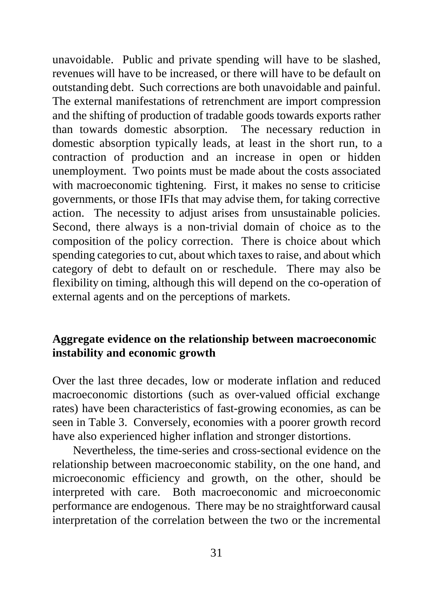unavoidable. Public and private spending will have to be slashed, revenues will have to be increased, or there will have to be default on outstanding debt. Such corrections are both unavoidable and painful. The external manifestations of retrenchment are import compression and the shifting of production of tradable goods towards exports rather than towards domestic absorption. The necessary reduction in domestic absorption typically leads, at least in the short run, to a contraction of production and an increase in open or hidden unemployment. Two points must be made about the costs associated with macroeconomic tightening. First, it makes no sense to criticise governments, or those IFIs that may advise them, for taking corrective action. The necessity to adjust arises from unsustainable policies. Second, there always is a non-trivial domain of choice as to the composition of the policy correction. There is choice about which spending categories to cut, about which taxes to raise, and about which category of debt to default on or reschedule. There may also be flexibility on timing, although this will depend on the co-operation of external agents and on the perceptions of markets.

## **Aggregate evidence on the relationship between macroeconomic instability and economic growth**

Over the last three decades, low or moderate inflation and reduced macroeconomic distortions (such as over-valued official exchange rates) have been characteristics of fast-growing economies, as can be seen in Table 3. Conversely, economies with a poorer growth record have also experienced higher inflation and stronger distortions.

Nevertheless, the time-series and cross-sectional evidence on the relationship between macroeconomic stability, on the one hand, and microeconomic efficiency and growth, on the other, should be interpreted with care. Both macroeconomic and microeconomic performance are endogenous. There may be no straightforward causal interpretation of the correlation between the two or the incremental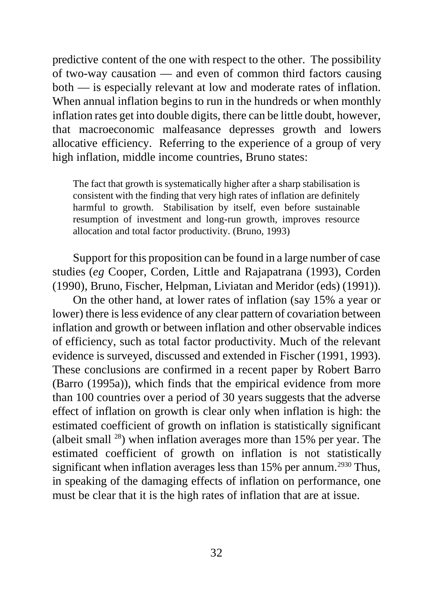predictive content of the one with respect to the other. The possibility of two-way causation — and even of common third factors causing both — is especially relevant at low and moderate rates of inflation. When annual inflation begins to run in the hundreds or when monthly inflation rates get into double digits, there can be little doubt, however, that macroeconomic malfeasance depresses growth and lowers allocative efficiency. Referring to the experience of a group of very high inflation, middle income countries, Bruno states:

The fact that growth is systematically higher after a sharp stabilisation is consistent with the finding that very high rates of inflation are definitely harmful to growth. Stabilisation by itself, even before sustainable resumption of investment and long-run growth, improves resource allocation and total factor productivity. (Bruno, 1993)

Support for this proposition can be found in a large number of case studies (*eg* Cooper, Corden, Little and Rajapatrana (1993), Corden (1990), Bruno, Fischer, Helpman, Liviatan and Meridor (eds) (1991)).

On the other hand, at lower rates of inflation (say 15% a year or lower) there is less evidence of any clear pattern of covariation between inflation and growth or between inflation and other observable indices of efficiency, such as total factor productivity. Much of the relevant evidence is surveyed, discussed and extended in Fischer (1991, 1993). These conclusions are confirmed in a recent paper by Robert Barro (Barro (1995a)), which finds that the empirical evidence from more than 100 countries over a period of 30 years suggests that the adverse effect of inflation on growth is clear only when inflation is high: the estimated coefficient of growth on inflation is statistically significant (albeit small  $^{28}$ ) when inflation averages more than 15% per year. The estimated coefficient of growth on inflation is not statistically significant when inflation averages less than  $15\%$  per annum.<sup>2930</sup> Thus, in speaking of the damaging effects of inflation on performance, one must be clear that it is the high rates of inflation that are at issue.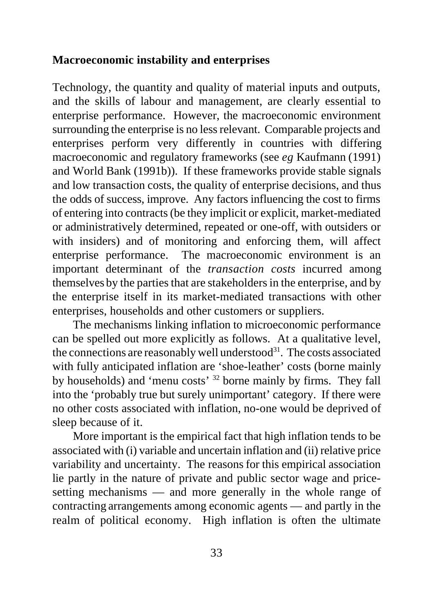## **Macroeconomic instability and enterprises**

Technology, the quantity and quality of material inputs and outputs, and the skills of labour and management, are clearly essential to enterprise performance. However, the macroeconomic environment surrounding the enterprise is no less relevant. Comparable projects and enterprises perform very differently in countries with differing macroeconomic and regulatory frameworks (see *eg* Kaufmann (1991) and World Bank (1991b)). If these frameworks provide stable signals and low transaction costs, the quality of enterprise decisions, and thus the odds of success, improve. Any factors influencing the cost to firms of entering into contracts (be they implicit or explicit, market-mediated or administratively determined, repeated or one-off, with outsiders or with insiders) and of monitoring and enforcing them, will affect enterprise performance. The macroeconomic environment is an important determinant of the *transaction costs* incurred among themselves by the parties that are stakeholders in the enterprise, and by the enterprise itself in its market-mediated transactions with other enterprises, households and other customers or suppliers.

The mechanisms linking inflation to microeconomic performance can be spelled out more explicitly as follows. At a qualitative level, the connections are reasonably well understood<sup>31</sup>. The costs associated with fully anticipated inflation are 'shoe-leather' costs (borne mainly by households) and 'menu costs' <sup>32</sup> borne mainly by firms. They fall into the 'probably true but surely unimportant' category. If there were no other costs associated with inflation, no-one would be deprived of sleep because of it.

More important is the empirical fact that high inflation tends to be associated with (i) variable and uncertain inflation and (ii) relative price variability and uncertainty. The reasons for this empirical association lie partly in the nature of private and public sector wage and pricesetting mechanisms — and more generally in the whole range of contracting arrangements among economic agents — and partly in the realm of political economy. High inflation is often the ultimate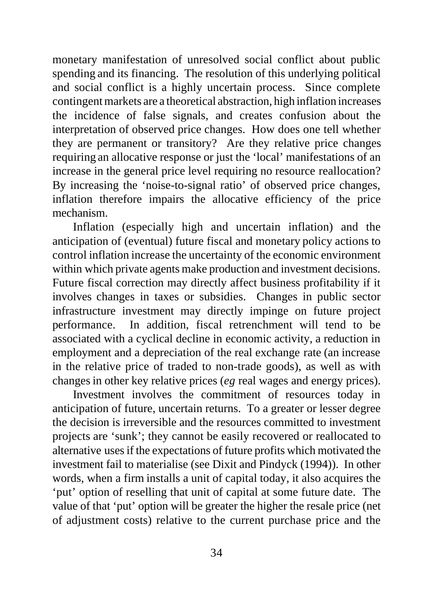monetary manifestation of unresolved social conflict about public spending and its financing. The resolution of this underlying political and social conflict is a highly uncertain process. Since complete contingent markets are a theoretical abstraction, high inflation increases the incidence of false signals, and creates confusion about the interpretation of observed price changes. How does one tell whether they are permanent or transitory? Are they relative price changes requiring an allocative response or just the 'local' manifestations of an increase in the general price level requiring no resource reallocation? By increasing the 'noise-to-signal ratio' of observed price changes, inflation therefore impairs the allocative efficiency of the price mechanism.

Inflation (especially high and uncertain inflation) and the anticipation of (eventual) future fiscal and monetary policy actions to control inflation increase the uncertainty of the economic environment within which private agents make production and investment decisions. Future fiscal correction may directly affect business profitability if it involves changes in taxes or subsidies. Changes in public sector infrastructure investment may directly impinge on future project performance. In addition, fiscal retrenchment will tend to be associated with a cyclical decline in economic activity, a reduction in employment and a depreciation of the real exchange rate (an increase in the relative price of traded to non-trade goods), as well as with changes in other key relative prices (*eg* real wages and energy prices).

Investment involves the commitment of resources today in anticipation of future, uncertain returns. To a greater or lesser degree the decision is irreversible and the resources committed to investment projects are 'sunk'; they cannot be easily recovered or reallocated to alternative uses if the expectations of future profits which motivated the investment fail to materialise (see Dixit and Pindyck (1994)). In other words, when a firm installs a unit of capital today, it also acquires the 'put' option of reselling that unit of capital at some future date. The value of that 'put' option will be greater the higher the resale price (net of adjustment costs) relative to the current purchase price and the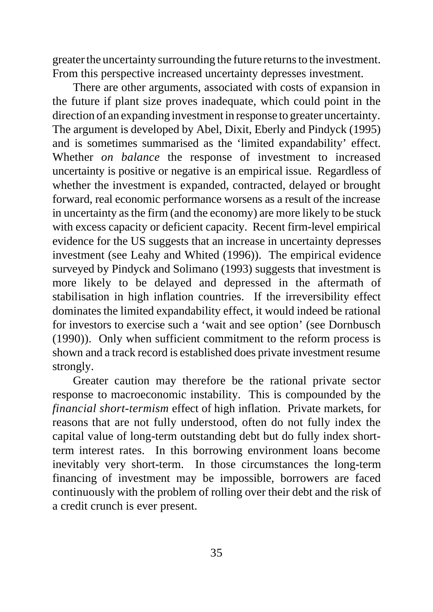greater the uncertainty surrounding the future returns to the investment. From this perspective increased uncertainty depresses investment.

There are other arguments, associated with costs of expansion in the future if plant size proves inadequate, which could point in the direction of an expanding investment in response to greater uncertainty. The argument is developed by Abel, Dixit, Eberly and Pindyck (1995) and is sometimes summarised as the 'limited expandability' effect. Whether *on balance* the response of investment to increased uncertainty is positive or negative is an empirical issue. Regardless of whether the investment is expanded, contracted, delayed or brought forward, real economic performance worsens as a result of the increase in uncertainty as the firm (and the economy) are more likely to be stuck with excess capacity or deficient capacity. Recent firm-level empirical evidence for the US suggests that an increase in uncertainty depresses investment (see Leahy and Whited (1996)). The empirical evidence surveyed by Pindyck and Solimano (1993) suggests that investment is more likely to be delayed and depressed in the aftermath of stabilisation in high inflation countries. If the irreversibility effect dominates the limited expandability effect, it would indeed be rational for investors to exercise such a 'wait and see option' (see Dornbusch (1990)). Only when sufficient commitment to the reform process is shown and a track record is established does private investment resume strongly.

Greater caution may therefore be the rational private sector response to macroeconomic instability. This is compounded by the *financial short-termism* effect of high inflation. Private markets, for reasons that are not fully understood, often do not fully index the capital value of long-term outstanding debt but do fully index shortterm interest rates. In this borrowing environment loans become inevitably very short-term. In those circumstances the long-term financing of investment may be impossible, borrowers are faced continuously with the problem of rolling over their debt and the risk of a credit crunch is ever present.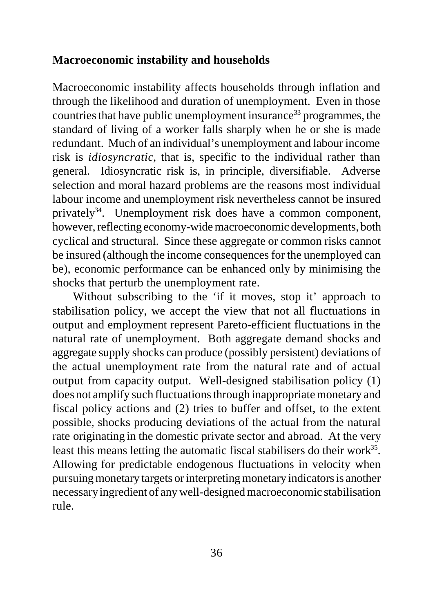## **Macroeconomic instability and households**

Macroeconomic instability affects households through inflation and through the likelihood and duration of unemployment. Even in those countries that have public unemployment insurance<sup>33</sup> programmes, the standard of living of a worker falls sharply when he or she is made redundant. Much of an individual's unemployment and labour income risk is *idiosyncratic*, that is, specific to the individual rather than general. Idiosyncratic risk is, in principle, diversifiable. Adverse selection and moral hazard problems are the reasons most individual labour income and unemployment risk nevertheless cannot be insured privately<sup>34</sup>. Unemployment risk does have a common component, however, reflecting economy-wide macroeconomic developments, both cyclical and structural. Since these aggregate or common risks cannot be insured (although the income consequences for the unemployed can be), economic performance can be enhanced only by minimising the shocks that perturb the unemployment rate.

Without subscribing to the 'if it moves, stop it' approach to stabilisation policy, we accept the view that not all fluctuations in output and employment represent Pareto-efficient fluctuations in the natural rate of unemployment. Both aggregate demand shocks and aggregate supply shocks can produce (possibly persistent) deviations of the actual unemployment rate from the natural rate and of actual output from capacity output. Well-designed stabilisation policy (1) does not amplify such fluctuations through inappropriate monetary and fiscal policy actions and (2) tries to buffer and offset, to the extent possible, shocks producing deviations of the actual from the natural rate originating in the domestic private sector and abroad. At the very least this means letting the automatic fiscal stabilisers do their work $35$ . Allowing for predictable endogenous fluctuations in velocity when pursuing monetary targets or interpreting monetary indicators is another necessary ingredient of any well-designed macroeconomic stabilisation rule.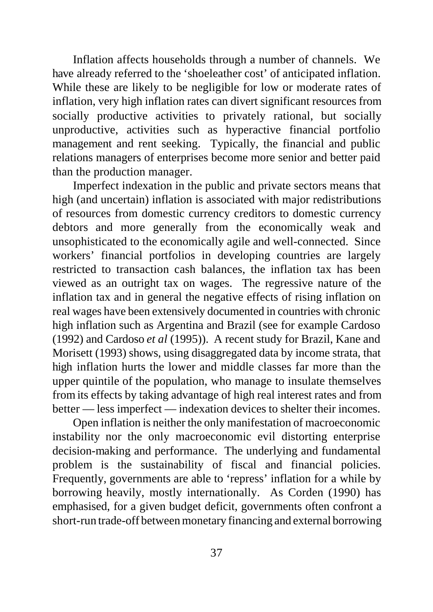Inflation affects households through a number of channels. We have already referred to the 'shoeleather cost' of anticipated inflation. While these are likely to be negligible for low or moderate rates of inflation, very high inflation rates can divert significant resources from socially productive activities to privately rational, but socially unproductive, activities such as hyperactive financial portfolio management and rent seeking. Typically, the financial and public relations managers of enterprises become more senior and better paid than the production manager.

Imperfect indexation in the public and private sectors means that high (and uncertain) inflation is associated with major redistributions of resources from domestic currency creditors to domestic currency debtors and more generally from the economically weak and unsophisticated to the economically agile and well-connected. Since workers' financial portfolios in developing countries are largely restricted to transaction cash balances, the inflation tax has been viewed as an outright tax on wages. The regressive nature of the inflation tax and in general the negative effects of rising inflation on real wages have been extensively documented in countries with chronic high inflation such as Argentina and Brazil (see for example Cardoso (1992) and Cardoso *et al* (1995)). A recent study for Brazil, Kane and Morisett (1993) shows, using disaggregated data by income strata, that high inflation hurts the lower and middle classes far more than the upper quintile of the population, who manage to insulate themselves from its effects by taking advantage of high real interest rates and from better — less imperfect — indexation devices to shelter their incomes.

Open inflation is neither the only manifestation of macroeconomic instability nor the only macroeconomic evil distorting enterprise decision-making and performance. The underlying and fundamental problem is the sustainability of fiscal and financial policies. Frequently, governments are able to 'repress' inflation for a while by borrowing heavily, mostly internationally. As Corden (1990) has emphasised, for a given budget deficit, governments often confront a short-run trade-off between monetary financing and external borrowing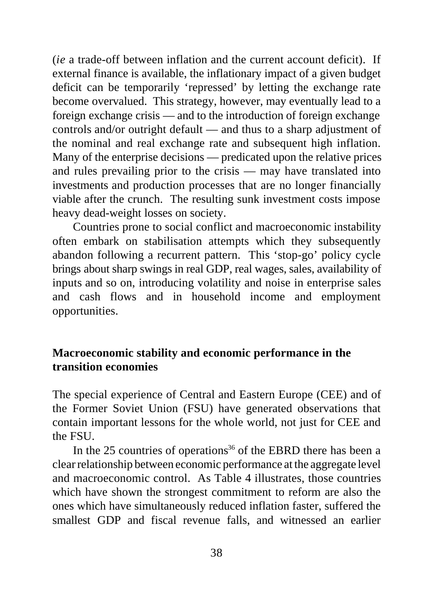(*ie* a trade-off between inflation and the current account deficit). If external finance is available, the inflationary impact of a given budget deficit can be temporarily 'repressed' by letting the exchange rate become overvalued. This strategy, however, may eventually lead to a foreign exchange crisis — and to the introduction of foreign exchange controls and/or outright default — and thus to a sharp adjustment of the nominal and real exchange rate and subsequent high inflation. Many of the enterprise decisions — predicated upon the relative prices and rules prevailing prior to the crisis — may have translated into investments and production processes that are no longer financially viable after the crunch. The resulting sunk investment costs impose heavy dead-weight losses on society.

Countries prone to social conflict and macroeconomic instability often embark on stabilisation attempts which they subsequently abandon following a recurrent pattern. This 'stop-go' policy cycle brings about sharp swings in real GDP, real wages, sales, availability of inputs and so on, introducing volatility and noise in enterprise sales and cash flows and in household income and employment opportunities.

## **Macroeconomic stability and economic performance in the transition economies**

The special experience of Central and Eastern Europe (CEE) and of the Former Soviet Union (FSU) have generated observations that contain important lessons for the whole world, not just for CEE and the FSU.

In the 25 countries of operations<sup>36</sup> of the EBRD there has been a clear relationship between economic performance at the aggregate level and macroeconomic control. As Table 4 illustrates, those countries which have shown the strongest commitment to reform are also the ones which have simultaneously reduced inflation faster, suffered the smallest GDP and fiscal revenue falls, and witnessed an earlier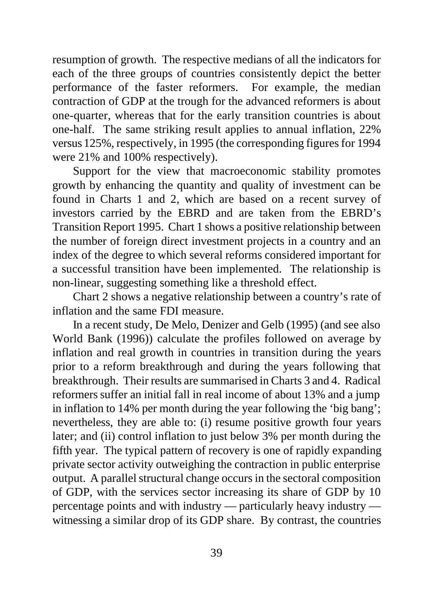resumption of growth. The respective medians of all the indicators for each of the three groups of countries consistently depict the better performance of the faster reformers. For example, the median contraction of GDP at the trough for the advanced reformers is about one-quarter, whereas that for the early transition countries is about one-half. The same striking result applies to annual inflation, 22% versus 125%, respectively, in 1995 (the corresponding figures for 1994 were 21% and 100% respectively).

Support for the view that macroeconomic stability promotes growth by enhancing the quantity and quality of investment can be found in Charts 1 and 2, which are based on a recent survey of investors carried by the EBRD and are taken from the EBRD's Transition Report 1995. Chart 1 shows a positive relationship between the number of foreign direct investment projects in a country and an index of the degree to which several reforms considered important for a successful transition have been implemented. The relationship is non-linear, suggesting something like a threshold effect.

Chart 2 shows a negative relationship between a country's rate of inflation and the same FDI measure.

In a recent study, De Melo, Denizer and Gelb (1995) (and see also World Bank (1996)) calculate the profiles followed on average by inflation and real growth in countries in transition during the years prior to a reform breakthrough and during the years following that breakthrough. Their results are summarised in Charts 3 and 4. Radical reformers suffer an initial fall in real income of about 13% and a jump in inflation to 14% per month during the year following the 'big bang'; nevertheless, they are able to: (i) resume positive growth four years later; and (ii) control inflation to just below 3% per month during the fifth year. The typical pattern of recovery is one of rapidly expanding private sector activity outweighing the contraction in public enterprise output. A parallel structural change occurs in the sectoral composition of GDP, with the services sector increasing its share of GDP by 10 percentage points and with industry — particularly heavy industry witnessing a similar drop of its GDP share. By contrast, the countries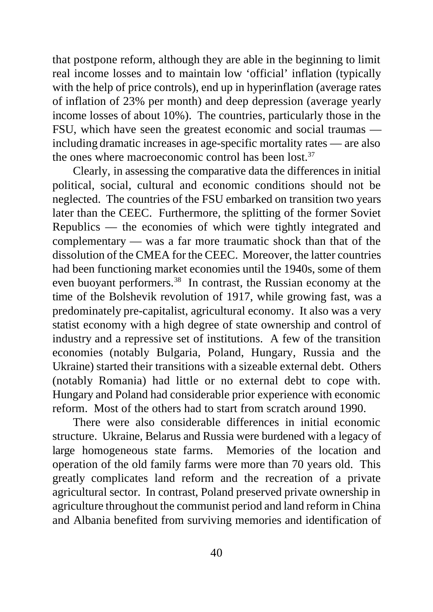that postpone reform, although they are able in the beginning to limit real income losses and to maintain low 'official' inflation (typically with the help of price controls), end up in hyperinflation (average rates of inflation of 23% per month) and deep depression (average yearly income losses of about 10%). The countries, particularly those in the FSU, which have seen the greatest economic and social traumas including dramatic increases in age-specific mortality rates — are also the ones where macroeconomic control has been lost.<sup>37</sup>

Clearly, in assessing the comparative data the differences in initial political, social, cultural and economic conditions should not be neglected. The countries of the FSU embarked on transition two years later than the CEEC. Furthermore, the splitting of the former Soviet Republics — the economies of which were tightly integrated and complementary — was a far more traumatic shock than that of the dissolution of the CMEA for the CEEC. Moreover, the latter countries had been functioning market economies until the 1940s, some of them even buoyant performers.<sup>38</sup> In contrast, the Russian economy at the time of the Bolshevik revolution of 1917, while growing fast, was a predominately pre-capitalist, agricultural economy. It also was a very statist economy with a high degree of state ownership and control of industry and a repressive set of institutions. A few of the transition economies (notably Bulgaria, Poland, Hungary, Russia and the Ukraine) started their transitions with a sizeable external debt. Others (notably Romania) had little or no external debt to cope with. Hungary and Poland had considerable prior experience with economic reform. Most of the others had to start from scratch around 1990.

There were also considerable differences in initial economic structure. Ukraine, Belarus and Russia were burdened with a legacy of large homogeneous state farms. Memories of the location and operation of the old family farms were more than 70 years old. This greatly complicates land reform and the recreation of a private agricultural sector. In contrast, Poland preserved private ownership in agriculture throughout the communist period and land reform in China and Albania benefited from surviving memories and identification of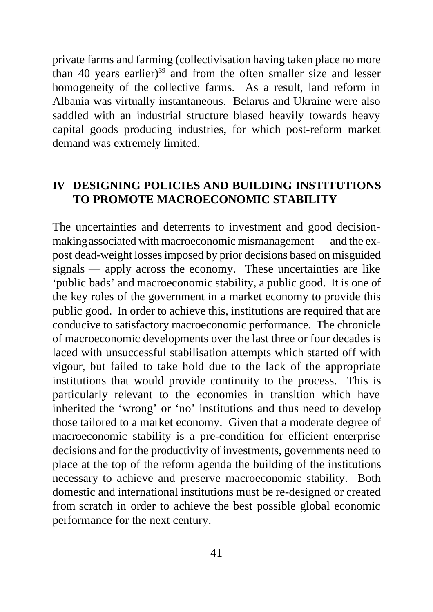private farms and farming (collectivisation having taken place no more than 40 years earlier) $39$  and from the often smaller size and lesser homogeneity of the collective farms. As a result, land reform in Albania was virtually instantaneous. Belarus and Ukraine were also saddled with an industrial structure biased heavily towards heavy capital goods producing industries, for which post-reform market demand was extremely limited.

## **IV DESIGNING POLICIES AND BUILDING INSTITUTIONS TO PROMOTE MACROECONOMIC STABILITY**

The uncertainties and deterrents to investment and good decisionmaking associated with macroeconomic mismanagement — and the expost dead-weight losses imposed by prior decisions based on misguided signals — apply across the economy. These uncertainties are like 'public bads' and macroeconomic stability, a public good. It is one of the key roles of the government in a market economy to provide this public good. In order to achieve this, institutions are required that are conducive to satisfactory macroeconomic performance. The chronicle of macroeconomic developments over the last three or four decades is laced with unsuccessful stabilisation attempts which started off with vigour, but failed to take hold due to the lack of the appropriate institutions that would provide continuity to the process. This is particularly relevant to the economies in transition which have inherited the 'wrong' or 'no' institutions and thus need to develop those tailored to a market economy. Given that a moderate degree of macroeconomic stability is a pre-condition for efficient enterprise decisions and for the productivity of investments, governments need to place at the top of the reform agenda the building of the institutions necessary to achieve and preserve macroeconomic stability. Both domestic and international institutions must be re-designed or created from scratch in order to achieve the best possible global economic performance for the next century.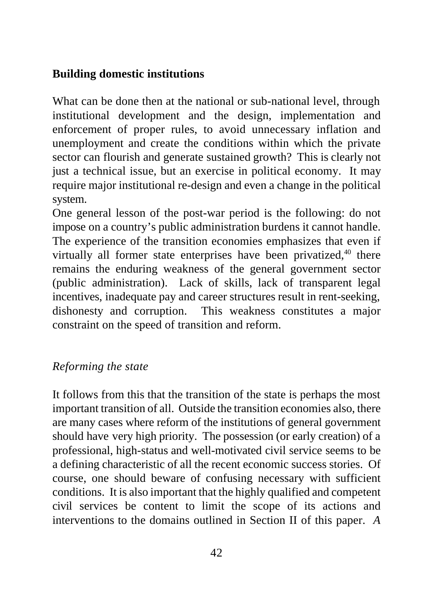# **Building domestic institutions**

What can be done then at the national or sub-national level, through institutional development and the design, implementation and enforcement of proper rules, to avoid unnecessary inflation and unemployment and create the conditions within which the private sector can flourish and generate sustained growth? This is clearly not just a technical issue, but an exercise in political economy. It may require major institutional re-design and even a change in the political system.

One general lesson of the post-war period is the following: do not impose on a country's public administration burdens it cannot handle. The experience of the transition economies emphasizes that even if virtually all former state enterprises have been privatized,<sup>40</sup> there remains the enduring weakness of the general government sector (public administration). Lack of skills, lack of transparent legal incentives, inadequate pay and career structures result in rent-seeking, dishonesty and corruption. This weakness constitutes a major constraint on the speed of transition and reform.

# *Reforming the state*

It follows from this that the transition of the state is perhaps the most important transition of all. Outside the transition economies also, there are many cases where reform of the institutions of general government should have very high priority. The possession (or early creation) of a professional, high-status and well-motivated civil service seems to be a defining characteristic of all the recent economic success stories. Of course, one should beware of confusing necessary with sufficient conditions. It is also important that the highly qualified and competent civil services be content to limit the scope of its actions and interventions to the domains outlined in Section II of this paper. *A*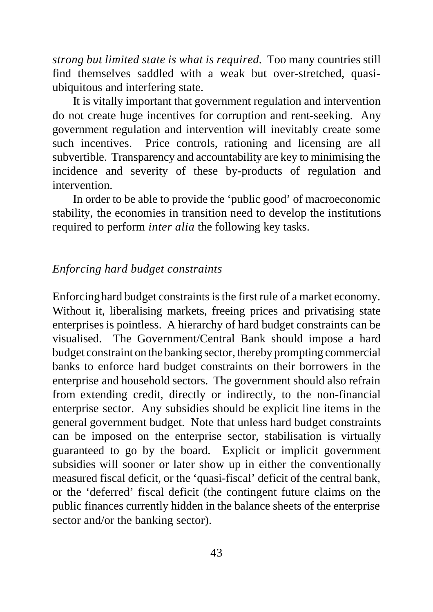*strong but limited state is what is required.* Too many countries still find themselves saddled with a weak but over-stretched, quasiubiquitous and interfering state.

It is vitally important that government regulation and intervention do not create huge incentives for corruption and rent-seeking. Any government regulation and intervention will inevitably create some such incentives. Price controls, rationing and licensing are all subvertible. Transparency and accountability are key to minimising the incidence and severity of these by-products of regulation and intervention.

In order to be able to provide the 'public good' of macroeconomic stability, the economies in transition need to develop the institutions required to perform *inter alia* the following key tasks.

### *Enforcing hard budget constraints*

Enforcing hard budget constraints is the first rule of a market economy. Without it, liberalising markets, freeing prices and privatising state enterprises is pointless. A hierarchy of hard budget constraints can be visualised. The Government/Central Bank should impose a hard budget constraint on the banking sector, thereby prompting commercial banks to enforce hard budget constraints on their borrowers in the enterprise and household sectors. The government should also refrain from extending credit, directly or indirectly, to the non-financial enterprise sector. Any subsidies should be explicit line items in the general government budget. Note that unless hard budget constraints can be imposed on the enterprise sector, stabilisation is virtually guaranteed to go by the board. Explicit or implicit government subsidies will sooner or later show up in either the conventionally measured fiscal deficit, or the 'quasi-fiscal' deficit of the central bank, or the 'deferred' fiscal deficit (the contingent future claims on the public finances currently hidden in the balance sheets of the enterprise sector and/or the banking sector).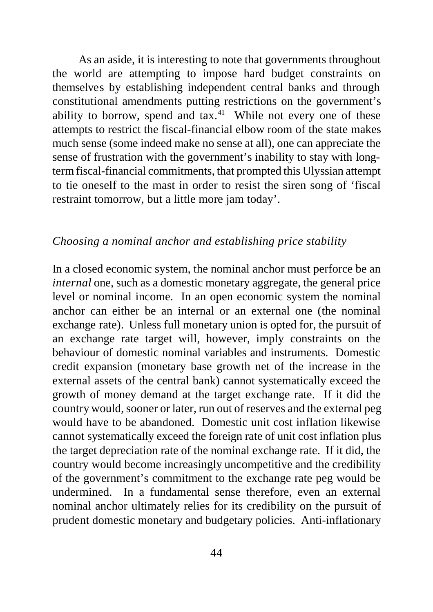As an aside, it is interesting to note that governments throughout the world are attempting to impose hard budget constraints on themselves by establishing independent central banks and through constitutional amendments putting restrictions on the government's ability to borrow, spend and  $tax.<sup>41</sup>$  While not every one of these attempts to restrict the fiscal-financial elbow room of the state makes much sense (some indeed make no sense at all), one can appreciate the sense of frustration with the government's inability to stay with longterm fiscal-financial commitments, that prompted this Ulyssian attempt to tie oneself to the mast in order to resist the siren song of 'fiscal restraint tomorrow, but a little more jam today'.

### *Choosing a nominal anchor and establishing price stability*

In a closed economic system, the nominal anchor must perforce be an *internal* one, such as a domestic monetary aggregate, the general price level or nominal income. In an open economic system the nominal anchor can either be an internal or an external one (the nominal exchange rate). Unless full monetary union is opted for, the pursuit of an exchange rate target will, however, imply constraints on the behaviour of domestic nominal variables and instruments. Domestic credit expansion (monetary base growth net of the increase in the external assets of the central bank) cannot systematically exceed the growth of money demand at the target exchange rate. If it did the country would, sooner or later, run out of reserves and the external peg would have to be abandoned. Domestic unit cost inflation likewise cannot systematically exceed the foreign rate of unit cost inflation plus the target depreciation rate of the nominal exchange rate. If it did, the country would become increasingly uncompetitive and the credibility of the government's commitment to the exchange rate peg would be undermined. In a fundamental sense therefore, even an external nominal anchor ultimately relies for its credibility on the pursuit of prudent domestic monetary and budgetary policies. Anti-inflationary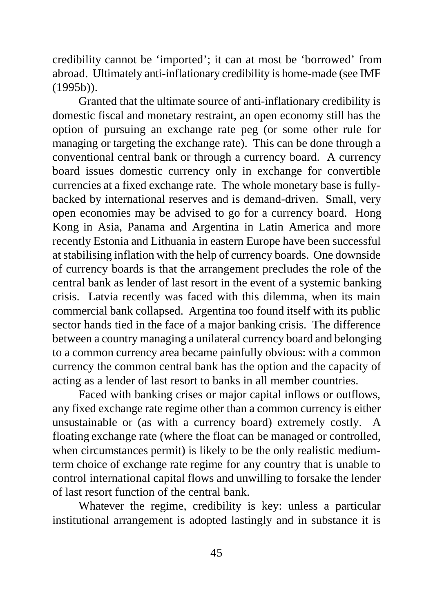credibility cannot be 'imported'; it can at most be 'borrowed' from abroad. Ultimately anti-inflationary credibility is home-made (see IMF (1995b)).

Granted that the ultimate source of anti-inflationary credibility is domestic fiscal and monetary restraint, an open economy still has the option of pursuing an exchange rate peg (or some other rule for managing or targeting the exchange rate). This can be done through a conventional central bank or through a currency board. A currency board issues domestic currency only in exchange for convertible currencies at a fixed exchange rate. The whole monetary base is fullybacked by international reserves and is demand-driven. Small, very open economies may be advised to go for a currency board. Hong Kong in Asia, Panama and Argentina in Latin America and more recently Estonia and Lithuania in eastern Europe have been successful at stabilising inflation with the help of currency boards. One downside of currency boards is that the arrangement precludes the role of the central bank as lender of last resort in the event of a systemic banking crisis. Latvia recently was faced with this dilemma, when its main commercial bank collapsed. Argentina too found itself with its public sector hands tied in the face of a major banking crisis. The difference between a country managing a unilateral currency board and belonging to a common currency area became painfully obvious: with a common currency the common central bank has the option and the capacity of acting as a lender of last resort to banks in all member countries.

Faced with banking crises or major capital inflows or outflows, any fixed exchange rate regime other than a common currency is either unsustainable or (as with a currency board) extremely costly. A floating exchange rate (where the float can be managed or controlled, when circumstances permit) is likely to be the only realistic mediumterm choice of exchange rate regime for any country that is unable to control international capital flows and unwilling to forsake the lender of last resort function of the central bank.

Whatever the regime, credibility is key: unless a particular institutional arrangement is adopted lastingly and in substance it is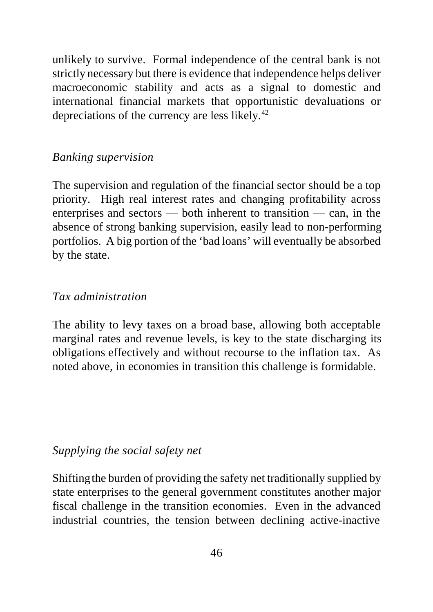unlikely to survive. Formal independence of the central bank is not strictly necessary but there is evidence that independence helps deliver macroeconomic stability and acts as a signal to domestic and international financial markets that opportunistic devaluations or depreciations of the currency are less likely.<sup>42</sup>

## *Banking supervision*

The supervision and regulation of the financial sector should be a top priority. High real interest rates and changing profitability across enterprises and sectors — both inherent to transition — can, in the absence of strong banking supervision, easily lead to non-performing portfolios. A big portion of the 'bad loans' will eventually be absorbed by the state.

#### *Tax administration*

The ability to levy taxes on a broad base, allowing both acceptable marginal rates and revenue levels, is key to the state discharging its obligations effectively and without recourse to the inflation tax. As noted above, in economies in transition this challenge is formidable.

### *Supplying the social safety net*

Shifting the burden of providing the safety net traditionally supplied by state enterprises to the general government constitutes another major fiscal challenge in the transition economies. Even in the advanced industrial countries, the tension between declining active-inactive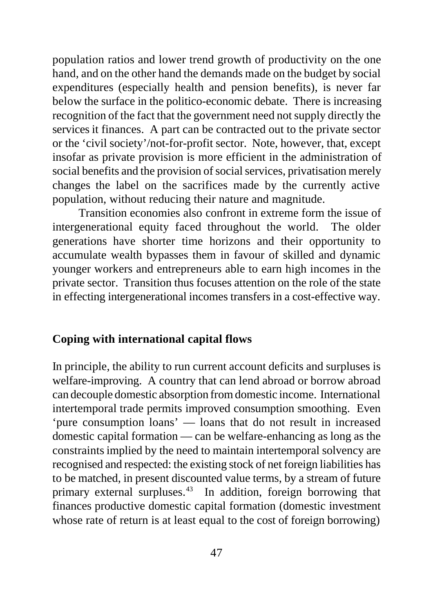population ratios and lower trend growth of productivity on the one hand, and on the other hand the demands made on the budget by social expenditures (especially health and pension benefits), is never far below the surface in the politico-economic debate. There is increasing recognition of the fact that the government need not supply directly the services it finances. A part can be contracted out to the private sector or the 'civil society'/not-for-profit sector. Note, however, that, except insofar as private provision is more efficient in the administration of social benefits and the provision of social services, privatisation merely changes the label on the sacrifices made by the currently active population, without reducing their nature and magnitude.

Transition economies also confront in extreme form the issue of intergenerational equity faced throughout the world. The older generations have shorter time horizons and their opportunity to accumulate wealth bypasses them in favour of skilled and dynamic younger workers and entrepreneurs able to earn high incomes in the private sector. Transition thus focuses attention on the role of the state in effecting intergenerational incomes transfers in a cost-effective way.

## **Coping with international capital flows**

In principle, the ability to run current account deficits and surpluses is welfare-improving. A country that can lend abroad or borrow abroad can decouple domestic absorption from domestic income. International intertemporal trade permits improved consumption smoothing. Even 'pure consumption loans' — loans that do not result in increased domestic capital formation — can be welfare-enhancing as long as the constraints implied by the need to maintain intertemporal solvency are recognised and respected: the existing stock of net foreign liabilities has to be matched, in present discounted value terms, by a stream of future primary external surpluses.<sup>43</sup> In addition, foreign borrowing that finances productive domestic capital formation (domestic investment whose rate of return is at least equal to the cost of foreign borrowing)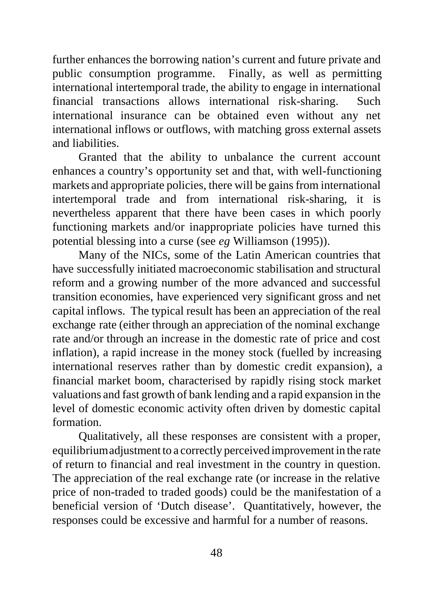further enhances the borrowing nation's current and future private and public consumption programme. Finally, as well as permitting international intertemporal trade, the ability to engage in international financial transactions allows international risk-sharing. Such international insurance can be obtained even without any net international inflows or outflows, with matching gross external assets and liabilities.

Granted that the ability to unbalance the current account enhances a country's opportunity set and that, with well-functioning markets and appropriate policies, there will be gains from international intertemporal trade and from international risk-sharing, it is nevertheless apparent that there have been cases in which poorly functioning markets and/or inappropriate policies have turned this potential blessing into a curse (see *eg* Williamson (1995)).

Many of the NICs, some of the Latin American countries that have successfully initiated macroeconomic stabilisation and structural reform and a growing number of the more advanced and successful transition economies, have experienced very significant gross and net capital inflows. The typical result has been an appreciation of the real exchange rate (either through an appreciation of the nominal exchange rate and/or through an increase in the domestic rate of price and cost inflation), a rapid increase in the money stock (fuelled by increasing international reserves rather than by domestic credit expansion), a financial market boom, characterised by rapidly rising stock market valuations and fast growth of bank lending and a rapid expansion in the level of domestic economic activity often driven by domestic capital formation.

Qualitatively, all these responses are consistent with a proper, equilibrium adjustment to a correctly perceived improvement in the rate of return to financial and real investment in the country in question. The appreciation of the real exchange rate (or increase in the relative price of non-traded to traded goods) could be the manifestation of a beneficial version of 'Dutch disease'. Quantitatively, however, the responses could be excessive and harmful for a number of reasons.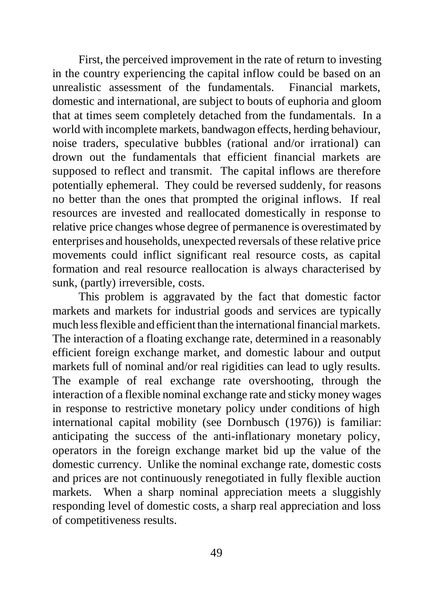First, the perceived improvement in the rate of return to investing in the country experiencing the capital inflow could be based on an unrealistic assessment of the fundamentals. Financial markets, domestic and international, are subject to bouts of euphoria and gloom that at times seem completely detached from the fundamentals. In a world with incomplete markets, bandwagon effects, herding behaviour, noise traders, speculative bubbles (rational and/or irrational) can drown out the fundamentals that efficient financial markets are supposed to reflect and transmit. The capital inflows are therefore potentially ephemeral. They could be reversed suddenly, for reasons no better than the ones that prompted the original inflows. If real resources are invested and reallocated domestically in response to relative price changes whose degree of permanence is overestimated by enterprises and households, unexpected reversals of these relative price movements could inflict significant real resource costs, as capital formation and real resource reallocation is always characterised by sunk, (partly) irreversible, costs.

This problem is aggravated by the fact that domestic factor markets and markets for industrial goods and services are typically much less flexible and efficient than the international financial markets. The interaction of a floating exchange rate, determined in a reasonably efficient foreign exchange market, and domestic labour and output markets full of nominal and/or real rigidities can lead to ugly results. The example of real exchange rate overshooting, through the interaction of a flexible nominal exchange rate and sticky money wages in response to restrictive monetary policy under conditions of high international capital mobility (see Dornbusch (1976)) is familiar: anticipating the success of the anti-inflationary monetary policy, operators in the foreign exchange market bid up the value of the domestic currency. Unlike the nominal exchange rate, domestic costs and prices are not continuously renegotiated in fully flexible auction markets. When a sharp nominal appreciation meets a sluggishly responding level of domestic costs, a sharp real appreciation and loss of competitiveness results.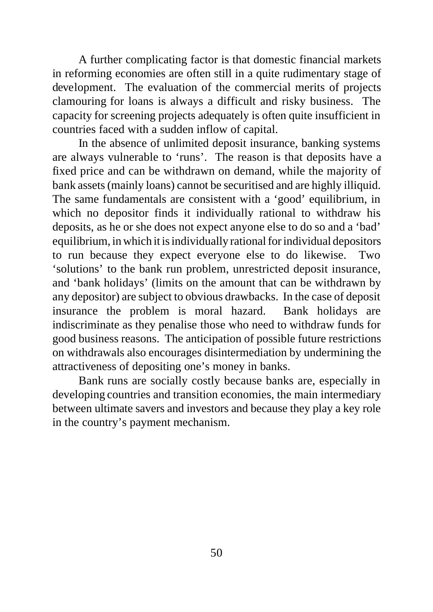A further complicating factor is that domestic financial markets in reforming economies are often still in a quite rudimentary stage of development. The evaluation of the commercial merits of projects clamouring for loans is always a difficult and risky business. The capacity for screening projects adequately is often quite insufficient in countries faced with a sudden inflow of capital.

In the absence of unlimited deposit insurance, banking systems are always vulnerable to 'runs'. The reason is that deposits have a fixed price and can be withdrawn on demand, while the majority of bank assets (mainly loans) cannot be securitised and are highly illiquid. The same fundamentals are consistent with a 'good' equilibrium, in which no depositor finds it individually rational to withdraw his deposits, as he or she does not expect anyone else to do so and a 'bad' equilibrium, in which it is individually rational for individual depositors to run because they expect everyone else to do likewise. Two 'solutions' to the bank run problem, unrestricted deposit insurance, and 'bank holidays' (limits on the amount that can be withdrawn by any depositor) are subject to obvious drawbacks. In the case of deposit insurance the problem is moral hazard. Bank holidays are indiscriminate as they penalise those who need to withdraw funds for good business reasons. The anticipation of possible future restrictions on withdrawals also encourages disintermediation by undermining the attractiveness of depositing one's money in banks.

Bank runs are socially costly because banks are, especially in developing countries and transition economies, the main intermediary between ultimate savers and investors and because they play a key role in the country's payment mechanism.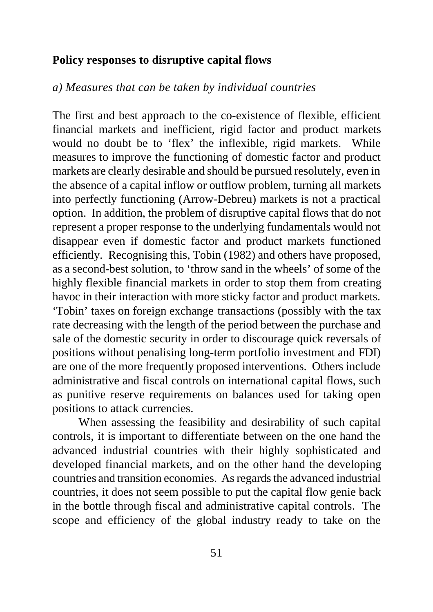#### **Policy responses to disruptive capital flows**

### *a) Measures that can be taken by individual countries*

The first and best approach to the co-existence of flexible, efficient financial markets and inefficient, rigid factor and product markets would no doubt be to 'flex' the inflexible, rigid markets. While measures to improve the functioning of domestic factor and product markets are clearly desirable and should be pursued resolutely, even in the absence of a capital inflow or outflow problem, turning all markets into perfectly functioning (Arrow-Debreu) markets is not a practical option. In addition, the problem of disruptive capital flows that do not represent a proper response to the underlying fundamentals would not disappear even if domestic factor and product markets functioned efficiently. Recognising this, Tobin (1982) and others have proposed, as a second-best solution, to 'throw sand in the wheels' of some of the highly flexible financial markets in order to stop them from creating havoc in their interaction with more sticky factor and product markets. 'Tobin' taxes on foreign exchange transactions (possibly with the tax rate decreasing with the length of the period between the purchase and sale of the domestic security in order to discourage quick reversals of positions without penalising long-term portfolio investment and FDI) are one of the more frequently proposed interventions. Others include administrative and fiscal controls on international capital flows, such as punitive reserve requirements on balances used for taking open positions to attack currencies.

When assessing the feasibility and desirability of such capital controls, it is important to differentiate between on the one hand the advanced industrial countries with their highly sophisticated and developed financial markets, and on the other hand the developing countries and transition economies. As regards the advanced industrial countries, it does not seem possible to put the capital flow genie back in the bottle through fiscal and administrative capital controls. The scope and efficiency of the global industry ready to take on the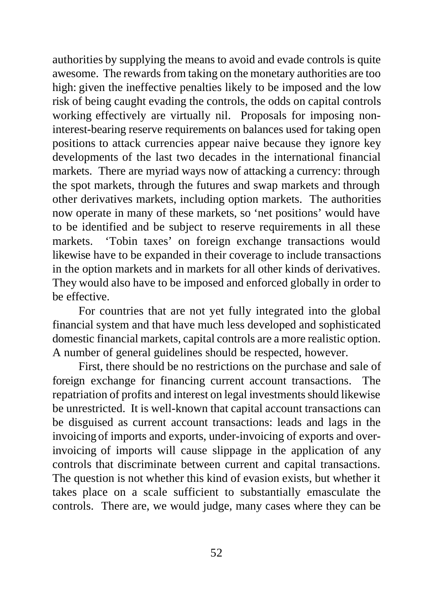authorities by supplying the means to avoid and evade controls is quite awesome. The rewards from taking on the monetary authorities are too high: given the ineffective penalties likely to be imposed and the low risk of being caught evading the controls, the odds on capital controls working effectively are virtually nil. Proposals for imposing noninterest-bearing reserve requirements on balances used for taking open positions to attack currencies appear naive because they ignore key developments of the last two decades in the international financial markets. There are myriad ways now of attacking a currency: through the spot markets, through the futures and swap markets and through other derivatives markets, including option markets. The authorities now operate in many of these markets, so 'net positions' would have to be identified and be subject to reserve requirements in all these markets. 'Tobin taxes' on foreign exchange transactions would likewise have to be expanded in their coverage to include transactions in the option markets and in markets for all other kinds of derivatives. They would also have to be imposed and enforced globally in order to be effective.

For countries that are not yet fully integrated into the global financial system and that have much less developed and sophisticated domestic financial markets, capital controls are a more realistic option. A number of general guidelines should be respected, however.

First, there should be no restrictions on the purchase and sale of foreign exchange for financing current account transactions. The repatriation of profits and interest on legal investments should likewise be unrestricted. It is well-known that capital account transactions can be disguised as current account transactions: leads and lags in the invoicing of imports and exports, under-invoicing of exports and overinvoicing of imports will cause slippage in the application of any controls that discriminate between current and capital transactions. The question is not whether this kind of evasion exists, but whether it takes place on a scale sufficient to substantially emasculate the controls. There are, we would judge, many cases where they can be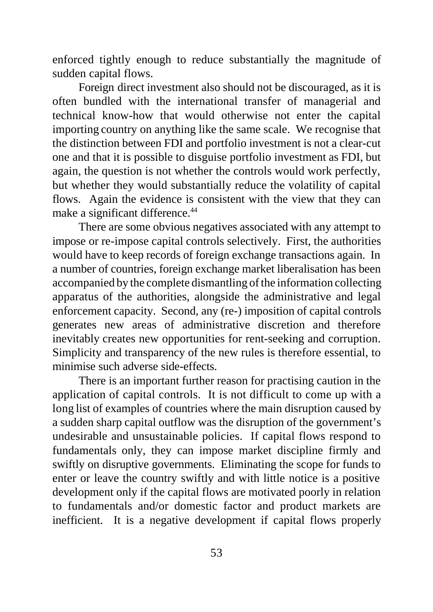enforced tightly enough to reduce substantially the magnitude of sudden capital flows.

Foreign direct investment also should not be discouraged, as it is often bundled with the international transfer of managerial and technical know-how that would otherwise not enter the capital importing country on anything like the same scale. We recognise that the distinction between FDI and portfolio investment is not a clear-cut one and that it is possible to disguise portfolio investment as FDI, but again, the question is not whether the controls would work perfectly, but whether they would substantially reduce the volatility of capital flows. Again the evidence is consistent with the view that they can make a significant difference.<sup>44</sup>

There are some obvious negatives associated with any attempt to impose or re-impose capital controls selectively. First, the authorities would have to keep records of foreign exchange transactions again. In a number of countries, foreign exchange market liberalisation has been accompanied by the complete dismantling of the information collecting apparatus of the authorities, alongside the administrative and legal enforcement capacity. Second, any (re-) imposition of capital controls generates new areas of administrative discretion and therefore inevitably creates new opportunities for rent-seeking and corruption. Simplicity and transparency of the new rules is therefore essential, to minimise such adverse side-effects.

There is an important further reason for practising caution in the application of capital controls. It is not difficult to come up with a long list of examples of countries where the main disruption caused by a sudden sharp capital outflow was the disruption of the government's undesirable and unsustainable policies. If capital flows respond to fundamentals only, they can impose market discipline firmly and swiftly on disruptive governments. Eliminating the scope for funds to enter or leave the country swiftly and with little notice is a positive development only if the capital flows are motivated poorly in relation to fundamentals and/or domestic factor and product markets are inefficient. It is a negative development if capital flows properly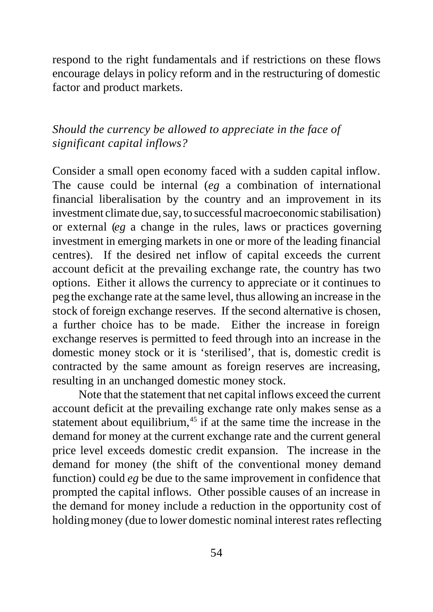respond to the right fundamentals and if restrictions on these flows encourage delays in policy reform and in the restructuring of domestic factor and product markets.

# *Should the currency be allowed to appreciate in the face of significant capital inflows?*

Consider a small open economy faced with a sudden capital inflow. The cause could be internal (*eg* a combination of international financial liberalisation by the country and an improvement in its investment climate due, say, to successful macroeconomic stabilisation) or external (*eg* a change in the rules, laws or practices governing investment in emerging markets in one or more of the leading financial centres). If the desired net inflow of capital exceeds the current account deficit at the prevailing exchange rate, the country has two options. Either it allows the currency to appreciate or it continues to peg the exchange rate at the same level, thus allowing an increase in the stock of foreign exchange reserves. If the second alternative is chosen, a further choice has to be made. Either the increase in foreign exchange reserves is permitted to feed through into an increase in the domestic money stock or it is 'sterilised', that is, domestic credit is contracted by the same amount as foreign reserves are increasing, resulting in an unchanged domestic money stock.

Note that the statement that net capital inflows exceed the current account deficit at the prevailing exchange rate only makes sense as a statement about equilibrium,<sup>45</sup> if at the same time the increase in the demand for money at the current exchange rate and the current general price level exceeds domestic credit expansion. The increase in the demand for money (the shift of the conventional money demand function) could *eg* be due to the same improvement in confidence that prompted the capital inflows. Other possible causes of an increase in the demand for money include a reduction in the opportunity cost of holding money (due to lower domestic nominal interest rates reflecting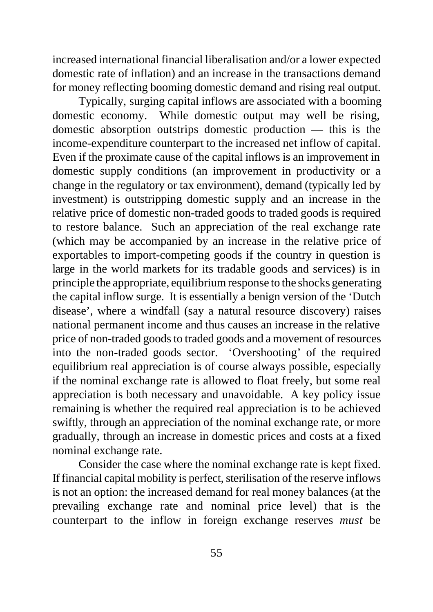increased international financial liberalisation and/or a lower expected domestic rate of inflation) and an increase in the transactions demand for money reflecting booming domestic demand and rising real output.

Typically, surging capital inflows are associated with a booming domestic economy. While domestic output may well be rising, domestic absorption outstrips domestic production — this is the income-expenditure counterpart to the increased net inflow of capital. Even if the proximate cause of the capital inflows is an improvement in domestic supply conditions (an improvement in productivity or a change in the regulatory or tax environment), demand (typically led by investment) is outstripping domestic supply and an increase in the relative price of domestic non-traded goods to traded goods is required to restore balance. Such an appreciation of the real exchange rate (which may be accompanied by an increase in the relative price of exportables to import-competing goods if the country in question is large in the world markets for its tradable goods and services) is in principle the appropriate, equilibrium response to the shocks generating the capital inflow surge. It is essentially a benign version of the 'Dutch disease', where a windfall (say a natural resource discovery) raises national permanent income and thus causes an increase in the relative price of non-traded goods to traded goods and a movement of resources into the non-traded goods sector. 'Overshooting' of the required equilibrium real appreciation is of course always possible, especially if the nominal exchange rate is allowed to float freely, but some real appreciation is both necessary and unavoidable. A key policy issue remaining is whether the required real appreciation is to be achieved swiftly, through an appreciation of the nominal exchange rate, or more gradually, through an increase in domestic prices and costs at a fixed nominal exchange rate.

Consider the case where the nominal exchange rate is kept fixed. If financial capital mobility is perfect, sterilisation of the reserve inflows is not an option: the increased demand for real money balances (at the prevailing exchange rate and nominal price level) that is the counterpart to the inflow in foreign exchange reserves *must* be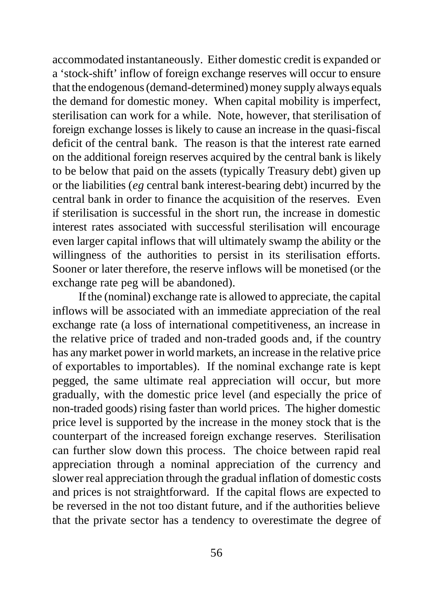accommodated instantaneously. Either domestic credit is expanded or a 'stock-shift' inflow of foreign exchange reserves will occur to ensure that the endogenous (demand-determined) money supply always equals the demand for domestic money. When capital mobility is imperfect, sterilisation can work for a while. Note, however, that sterilisation of foreign exchange losses is likely to cause an increase in the quasi-fiscal deficit of the central bank. The reason is that the interest rate earned on the additional foreign reserves acquired by the central bank is likely to be below that paid on the assets (typically Treasury debt) given up or the liabilities (*eg* central bank interest-bearing debt) incurred by the central bank in order to finance the acquisition of the reserves. Even if sterilisation is successful in the short run, the increase in domestic interest rates associated with successful sterilisation will encourage even larger capital inflows that will ultimately swamp the ability or the willingness of the authorities to persist in its sterilisation efforts. Sooner or later therefore, the reserve inflows will be monetised (or the exchange rate peg will be abandoned).

If the (nominal) exchange rate is allowed to appreciate, the capital inflows will be associated with an immediate appreciation of the real exchange rate (a loss of international competitiveness, an increase in the relative price of traded and non-traded goods and, if the country has any market power in world markets, an increase in the relative price of exportables to importables). If the nominal exchange rate is kept pegged, the same ultimate real appreciation will occur, but more gradually, with the domestic price level (and especially the price of non-traded goods) rising faster than world prices. The higher domestic price level is supported by the increase in the money stock that is the counterpart of the increased foreign exchange reserves. Sterilisation can further slow down this process. The choice between rapid real appreciation through a nominal appreciation of the currency and slower real appreciation through the gradual inflation of domestic costs and prices is not straightforward. If the capital flows are expected to be reversed in the not too distant future, and if the authorities believe that the private sector has a tendency to overestimate the degree of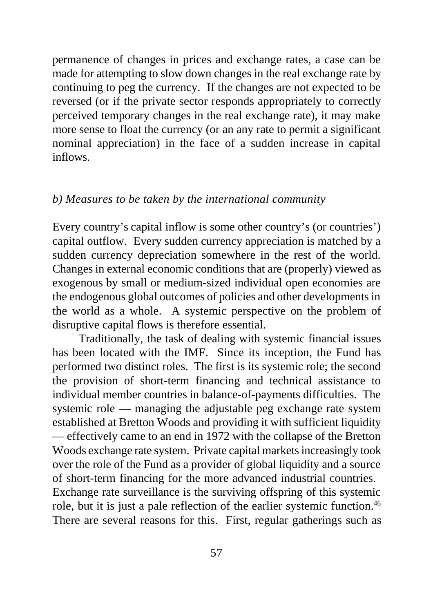permanence of changes in prices and exchange rates, a case can be made for attempting to slow down changes in the real exchange rate by continuing to peg the currency. If the changes are not expected to be reversed (or if the private sector responds appropriately to correctly perceived temporary changes in the real exchange rate), it may make more sense to float the currency (or an any rate to permit a significant nominal appreciation) in the face of a sudden increase in capital inflows.

#### *b) Measures to be taken by the international community*

Every country's capital inflow is some other country's (or countries') capital outflow. Every sudden currency appreciation is matched by a sudden currency depreciation somewhere in the rest of the world. Changes in external economic conditions that are (properly) viewed as exogenous by small or medium-sized individual open economies are the endogenous global outcomes of policies and other developments in the world as a whole. A systemic perspective on the problem of disruptive capital flows is therefore essential.

Traditionally, the task of dealing with systemic financial issues has been located with the IMF. Since its inception, the Fund has performed two distinct roles. The first is its systemic role; the second the provision of short-term financing and technical assistance to individual member countries in balance-of-payments difficulties. The systemic role — managing the adjustable peg exchange rate system established at Bretton Woods and providing it with sufficient liquidity — effectively came to an end in 1972 with the collapse of the Bretton Woods exchange rate system. Private capital markets increasingly took over the role of the Fund as a provider of global liquidity and a source of short-term financing for the more advanced industrial countries. Exchange rate surveillance is the surviving offspring of this systemic role, but it is just a pale reflection of the earlier systemic function.<sup>46</sup> There are several reasons for this. First, regular gatherings such as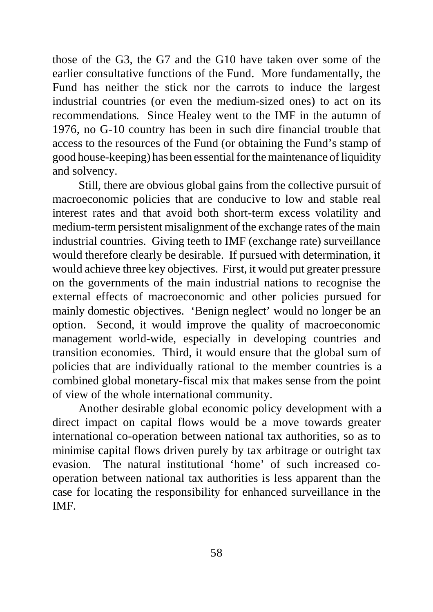those of the G3, the G7 and the G10 have taken over some of the earlier consultative functions of the Fund. More fundamentally, the Fund has neither the stick nor the carrots to induce the largest industrial countries (or even the medium-sized ones) to act on its recommendations. Since Healey went to the IMF in the autumn of 1976, no G-10 country has been in such dire financial trouble that access to the resources of the Fund (or obtaining the Fund's stamp of good house-keeping) has been essential for the maintenance of liquidity and solvency.

Still, there are obvious global gains from the collective pursuit of macroeconomic policies that are conducive to low and stable real interest rates and that avoid both short-term excess volatility and medium-term persistent misalignment of the exchange rates of the main industrial countries. Giving teeth to IMF (exchange rate) surveillance would therefore clearly be desirable. If pursued with determination, it would achieve three key objectives. First, it would put greater pressure on the governments of the main industrial nations to recognise the external effects of macroeconomic and other policies pursued for mainly domestic objectives. 'Benign neglect' would no longer be an option. Second, it would improve the quality of macroeconomic management world-wide, especially in developing countries and transition economies. Third, it would ensure that the global sum of policies that are individually rational to the member countries is a combined global monetary-fiscal mix that makes sense from the point of view of the whole international community.

Another desirable global economic policy development with a direct impact on capital flows would be a move towards greater international co-operation between national tax authorities, so as to minimise capital flows driven purely by tax arbitrage or outright tax evasion. The natural institutional 'home' of such increased cooperation between national tax authorities is less apparent than the case for locating the responsibility for enhanced surveillance in the IMF.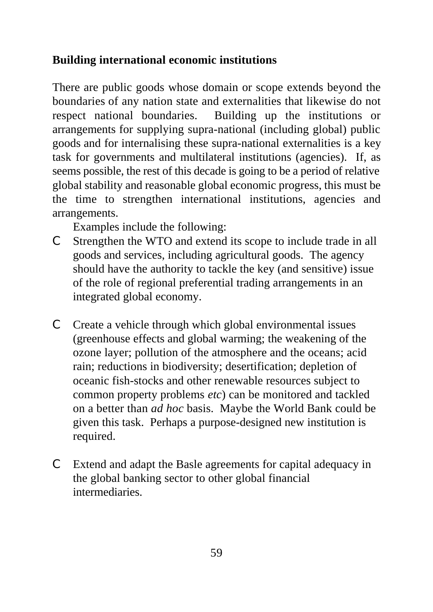# **Building international economic institutions**

There are public goods whose domain or scope extends beyond the boundaries of any nation state and externalities that likewise do not respect national boundaries. Building up the institutions or arrangements for supplying supra-national (including global) public goods and for internalising these supra-national externalities is a key task for governments and multilateral institutions (agencies). If, as seems possible, the rest of this decade is going to be a period of relative global stability and reasonable global economic progress, this must be the time to strengthen international institutions, agencies and arrangements.

Examples include the following:

- C Strengthen the WTO and extend its scope to include trade in all goods and services, including agricultural goods. The agency should have the authority to tackle the key (and sensitive) issue of the role of regional preferential trading arrangements in an integrated global economy.
- C Create a vehicle through which global environmental issues (greenhouse effects and global warming; the weakening of the ozone layer; pollution of the atmosphere and the oceans; acid rain; reductions in biodiversity; desertification; depletion of oceanic fish-stocks and other renewable resources subject to common property problems *etc*) can be monitored and tackled on a better than *ad hoc* basis. Maybe the World Bank could be given this task. Perhaps a purpose-designed new institution is required.
- C Extend and adapt the Basle agreements for capital adequacy in the global banking sector to other global financial intermediaries.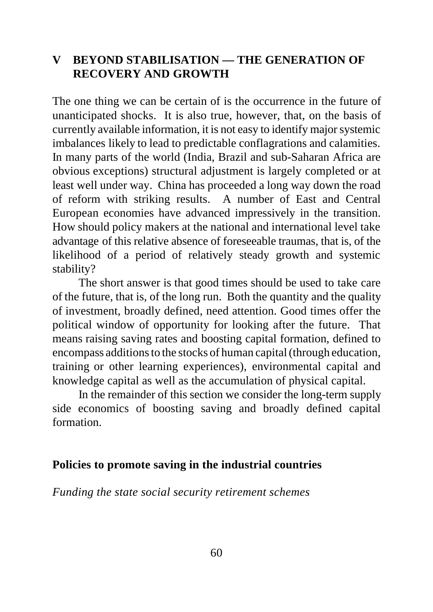## **V BEYOND STABILISATION — THE GENERATION OF RECOVERY AND GROWTH**

The one thing we can be certain of is the occurrence in the future of unanticipated shocks. It is also true, however, that, on the basis of currently available information, it is not easy to identify major systemic imbalances likely to lead to predictable conflagrations and calamities. In many parts of the world (India, Brazil and sub-Saharan Africa are obvious exceptions) structural adjustment is largely completed or at least well under way. China has proceeded a long way down the road of reform with striking results. A number of East and Central European economies have advanced impressively in the transition. How should policy makers at the national and international level take advantage of this relative absence of foreseeable traumas, that is, of the likelihood of a period of relatively steady growth and systemic stability?

The short answer is that good times should be used to take care of the future, that is, of the long run. Both the quantity and the quality of investment, broadly defined, need attention. Good times offer the political window of opportunity for looking after the future. That means raising saving rates and boosting capital formation, defined to encompass additions to the stocks of human capital (through education, training or other learning experiences), environmental capital and knowledge capital as well as the accumulation of physical capital.

In the remainder of this section we consider the long-term supply side economics of boosting saving and broadly defined capital formation.

#### **Policies to promote saving in the industrial countries**

*Funding the state social security retirement schemes*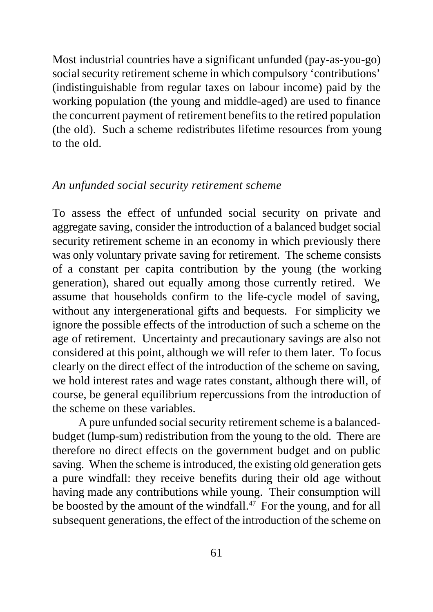Most industrial countries have a significant unfunded (pay-as-you-go) social security retirement scheme in which compulsory 'contributions' (indistinguishable from regular taxes on labour income) paid by the working population (the young and middle-aged) are used to finance the concurrent payment of retirement benefits to the retired population (the old). Such a scheme redistributes lifetime resources from young to the old.

### *An unfunded social security retirement scheme*

To assess the effect of unfunded social security on private and aggregate saving, consider the introduction of a balanced budget social security retirement scheme in an economy in which previously there was only voluntary private saving for retirement. The scheme consists of a constant per capita contribution by the young (the working generation), shared out equally among those currently retired. We assume that households confirm to the life-cycle model of saving, without any intergenerational gifts and bequests. For simplicity we ignore the possible effects of the introduction of such a scheme on the age of retirement. Uncertainty and precautionary savings are also not considered at this point, although we will refer to them later. To focus clearly on the direct effect of the introduction of the scheme on saving, we hold interest rates and wage rates constant, although there will, of course, be general equilibrium repercussions from the introduction of the scheme on these variables.

A pure unfunded social security retirement scheme is a balancedbudget (lump-sum) redistribution from the young to the old. There are therefore no direct effects on the government budget and on public saving. When the scheme is introduced, the existing old generation gets a pure windfall: they receive benefits during their old age without having made any contributions while young. Their consumption will be boosted by the amount of the windfall.<sup>47</sup> For the young, and for all subsequent generations, the effect of the introduction of the scheme on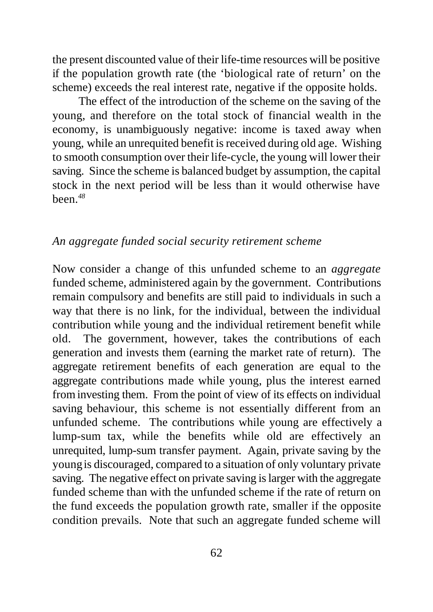the present discounted value of their life-time resources will be positive if the population growth rate (the 'biological rate of return' on the scheme) exceeds the real interest rate, negative if the opposite holds.

The effect of the introduction of the scheme on the saving of the young, and therefore on the total stock of financial wealth in the economy, is unambiguously negative: income is taxed away when young, while an unrequited benefit is received during old age. Wishing to smooth consumption over their life-cycle, the young will lower their saving. Since the scheme is balanced budget by assumption, the capital stock in the next period will be less than it would otherwise have been.*<sup>48</sup>*

#### *An aggregate funded social security retirement scheme*

Now consider a change of this unfunded scheme to an *aggregate* funded scheme, administered again by the government. Contributions remain compulsory and benefits are still paid to individuals in such a way that there is no link, for the individual, between the individual contribution while young and the individual retirement benefit while old. The government, however, takes the contributions of each generation and invests them (earning the market rate of return). The aggregate retirement benefits of each generation are equal to the aggregate contributions made while young, plus the interest earned from investing them. From the point of view of its effects on individual saving behaviour, this scheme is not essentially different from an unfunded scheme. The contributions while young are effectively a lump-sum tax, while the benefits while old are effectively an unrequited, lump-sum transfer payment. Again, private saving by the young is discouraged, compared to a situation of only voluntary private saving. The negative effect on private saving is larger with the aggregate funded scheme than with the unfunded scheme if the rate of return on the fund exceeds the population growth rate, smaller if the opposite condition prevails. Note that such an aggregate funded scheme will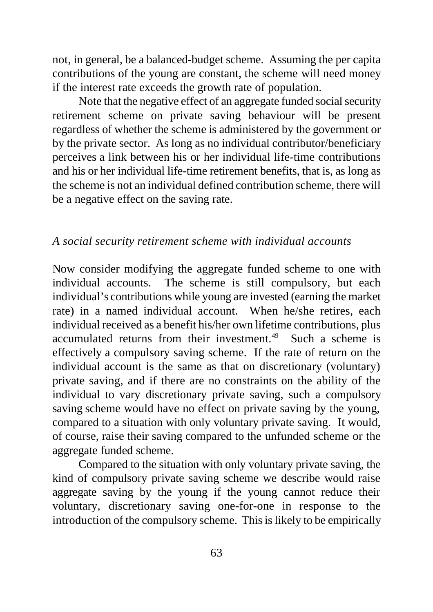not, in general, be a balanced-budget scheme. Assuming the per capita contributions of the young are constant, the scheme will need money if the interest rate exceeds the growth rate of population.

Note that the negative effect of an aggregate funded social security retirement scheme on private saving behaviour will be present regardless of whether the scheme is administered by the government or by the private sector. As long as no individual contributor/beneficiary perceives a link between his or her individual life-time contributions and his or her individual life-time retirement benefits, that is, as long as the scheme is not an individual defined contribution scheme, there will be a negative effect on the saving rate.

## *A social security retirement scheme with individual accounts*

Now consider modifying the aggregate funded scheme to one with individual accounts. The scheme is still compulsory, but each individual's contributions while young are invested (earning the market rate) in a named individual account. When he/she retires, each individual received as a benefit his/her own lifetime contributions, plus accumulated returns from their investment.<sup>49</sup> Such a scheme is effectively a compulsory saving scheme. If the rate of return on the individual account is the same as that on discretionary (voluntary) private saving, and if there are no constraints on the ability of the individual to vary discretionary private saving, such a compulsory saving scheme would have no effect on private saving by the young, compared to a situation with only voluntary private saving. It would, of course, raise their saving compared to the unfunded scheme or the aggregate funded scheme.

Compared to the situation with only voluntary private saving, the kind of compulsory private saving scheme we describe would raise aggregate saving by the young if the young cannot reduce their voluntary, discretionary saving one-for-one in response to the introduction of the compulsory scheme. This is likely to be empirically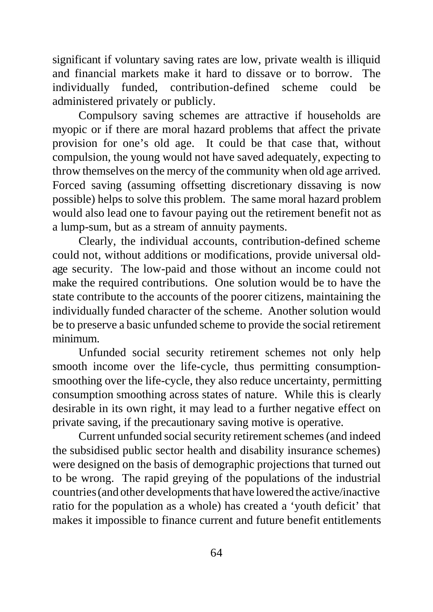significant if voluntary saving rates are low, private wealth is illiquid and financial markets make it hard to dissave or to borrow. The individually funded, contribution-defined scheme could be administered privately or publicly.

Compulsory saving schemes are attractive if households are myopic or if there are moral hazard problems that affect the private provision for one's old age. It could be that case that, without compulsion, the young would not have saved adequately, expecting to throw themselves on the mercy of the community when old age arrived. Forced saving (assuming offsetting discretionary dissaving is now possible) helps to solve this problem. The same moral hazard problem would also lead one to favour paying out the retirement benefit not as a lump-sum, but as a stream of annuity payments.

Clearly, the individual accounts, contribution-defined scheme could not, without additions or modifications, provide universal oldage security. The low-paid and those without an income could not make the required contributions. One solution would be to have the state contribute to the accounts of the poorer citizens, maintaining the individually funded character of the scheme. Another solution would be to preserve a basic unfunded scheme to provide the social retirement minimum.

Unfunded social security retirement schemes not only help smooth income over the life-cycle, thus permitting consumptionsmoothing over the life-cycle, they also reduce uncertainty, permitting consumption smoothing across states of nature. While this is clearly desirable in its own right, it may lead to a further negative effect on private saving, if the precautionary saving motive is operative.

Current unfunded social security retirement schemes (and indeed the subsidised public sector health and disability insurance schemes) were designed on the basis of demographic projections that turned out to be wrong. The rapid greying of the populations of the industrial countries (and other developments that have lowered the active/inactive ratio for the population as a whole) has created a 'youth deficit' that makes it impossible to finance current and future benefit entitlements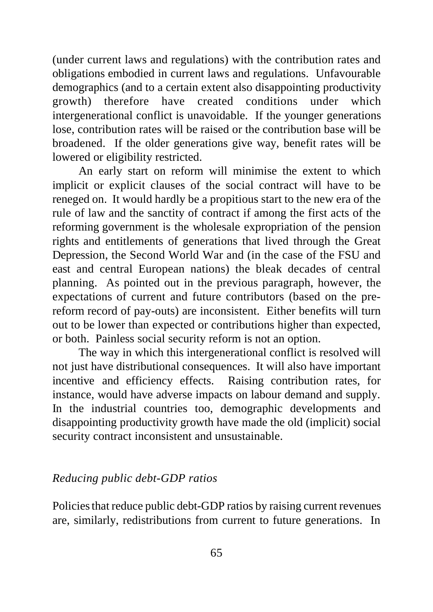(under current laws and regulations) with the contribution rates and obligations embodied in current laws and regulations. Unfavourable demographics (and to a certain extent also disappointing productivity growth) therefore have created conditions under which intergenerational conflict is unavoidable. If the younger generations lose, contribution rates will be raised or the contribution base will be broadened. If the older generations give way, benefit rates will be lowered or eligibility restricted.

An early start on reform will minimise the extent to which implicit or explicit clauses of the social contract will have to be reneged on. It would hardly be a propitious start to the new era of the rule of law and the sanctity of contract if among the first acts of the reforming government is the wholesale expropriation of the pension rights and entitlements of generations that lived through the Great Depression, the Second World War and (in the case of the FSU and east and central European nations) the bleak decades of central planning. As pointed out in the previous paragraph, however, the expectations of current and future contributors (based on the prereform record of pay-outs) are inconsistent. Either benefits will turn out to be lower than expected or contributions higher than expected, or both. Painless social security reform is not an option.

The way in which this intergenerational conflict is resolved will not just have distributional consequences. It will also have important incentive and efficiency effects. Raising contribution rates, for instance, would have adverse impacts on labour demand and supply. In the industrial countries too, demographic developments and disappointing productivity growth have made the old (implicit) social security contract inconsistent and unsustainable.

## *Reducing public debt-GDP ratios*

Policies that reduce public debt-GDP ratios by raising current revenues are, similarly, redistributions from current to future generations. In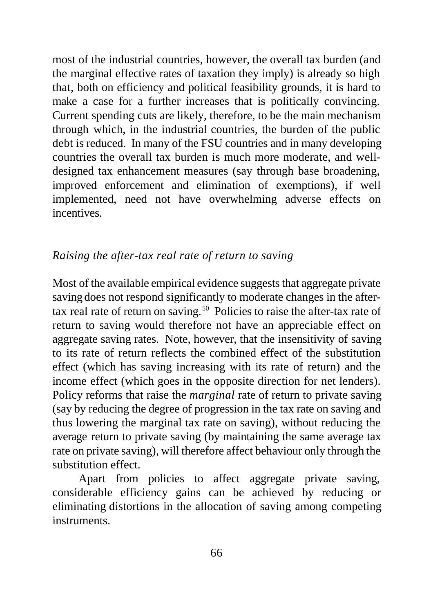most of the industrial countries, however, the overall tax burden (and the marginal effective rates of taxation they imply) is already so high that, both on efficiency and political feasibility grounds, it is hard to make a case for a further increases that is politically convincing. Current spending cuts are likely, therefore, to be the main mechanism through which, in the industrial countries, the burden of the public debt is reduced. In many of the FSU countries and in many developing countries the overall tax burden is much more moderate, and welldesigned tax enhancement measures (say through base broadening, improved enforcement and elimination of exemptions), if well implemented, need not have overwhelming adverse effects on incentives.

## *Raising the after-tax real rate of return to saving*

Most of the available empirical evidence suggests that aggregate private saving does not respond significantly to moderate changes in the aftertax real rate of return on saving.<sup>50</sup> Policies to raise the after-tax rate of return to saving would therefore not have an appreciable effect on aggregate saving rates. Note, however, that the insensitivity of saving to its rate of return reflects the combined effect of the substitution effect (which has saving increasing with its rate of return) and the income effect (which goes in the opposite direction for net lenders). Policy reforms that raise the *marginal* rate of return to private saving (say by reducing the degree of progression in the tax rate on saving and thus lowering the marginal tax rate on saving), without reducing the average return to private saving (by maintaining the same average tax rate on private saving), will therefore affect behaviour only through the substitution effect.

Apart from policies to affect aggregate private saving, considerable efficiency gains can be achieved by reducing or eliminating distortions in the allocation of saving among competing instruments.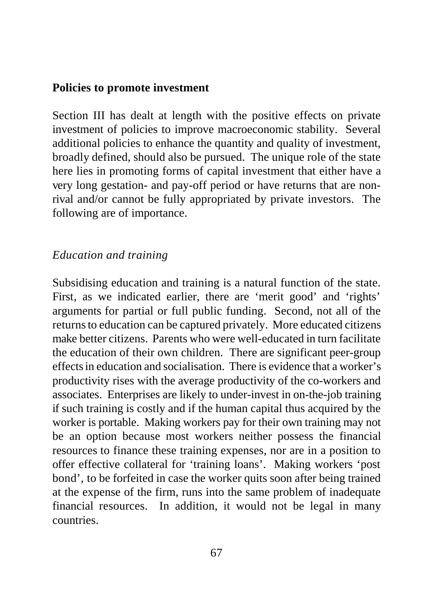#### **Policies to promote investment**

Section III has dealt at length with the positive effects on private investment of policies to improve macroeconomic stability. Several additional policies to enhance the quantity and quality of investment, broadly defined, should also be pursued. The unique role of the state here lies in promoting forms of capital investment that either have a very long gestation- and pay-off period or have returns that are nonrival and/or cannot be fully appropriated by private investors. The following are of importance.

## *Education and training*

Subsidising education and training is a natural function of the state. First, as we indicated earlier, there are 'merit good' and 'rights' arguments for partial or full public funding. Second, not all of the returns to education can be captured privately. More educated citizens make better citizens. Parents who were well-educated in turn facilitate the education of their own children. There are significant peer-group effects in education and socialisation. There is evidence that a worker's productivity rises with the average productivity of the co-workers and associates. Enterprises are likely to under-invest in on-the-job training if such training is costly and if the human capital thus acquired by the worker is portable. Making workers pay for their own training may not be an option because most workers neither possess the financial resources to finance these training expenses, nor are in a position to offer effective collateral for 'training loans'. Making workers 'post bond', to be forfeited in case the worker quits soon after being trained at the expense of the firm, runs into the same problem of inadequate financial resources. In addition, it would not be legal in many countries.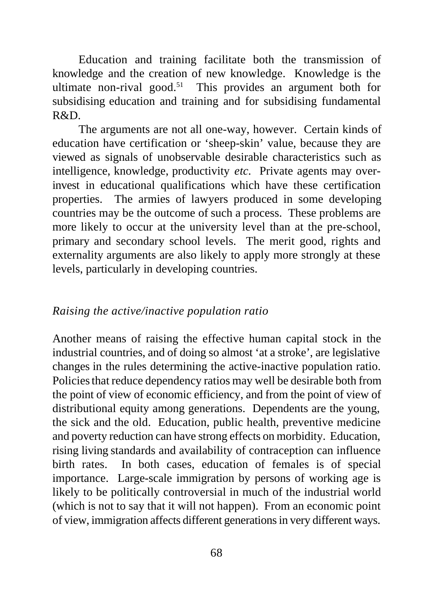Education and training facilitate both the transmission of knowledge and the creation of new knowledge. Knowledge is the ultimate non-rival good.<sup>51</sup> This provides an argument both for subsidising education and training and for subsidising fundamental R&D.

The arguments are not all one-way, however. Certain kinds of education have certification or 'sheep-skin' value, because they are viewed as signals of unobservable desirable characteristics such as intelligence, knowledge, productivity *etc.* Private agents may overinvest in educational qualifications which have these certification properties. The armies of lawyers produced in some developing countries may be the outcome of such a process. These problems are more likely to occur at the university level than at the pre-school, primary and secondary school levels. The merit good, rights and externality arguments are also likely to apply more strongly at these levels, particularly in developing countries.

#### *Raising the active/inactive population ratio*

Another means of raising the effective human capital stock in the industrial countries, and of doing so almost 'at a stroke', are legislative changes in the rules determining the active-inactive population ratio. Policies that reduce dependency ratios may well be desirable both from the point of view of economic efficiency, and from the point of view of distributional equity among generations. Dependents are the young, the sick and the old. Education, public health, preventive medicine and poverty reduction can have strong effects on morbidity. Education, rising living standards and availability of contraception can influence birth rates. In both cases, education of females is of special importance. Large-scale immigration by persons of working age is likely to be politically controversial in much of the industrial world (which is not to say that it will not happen). From an economic point of view, immigration affects different generations in very different ways.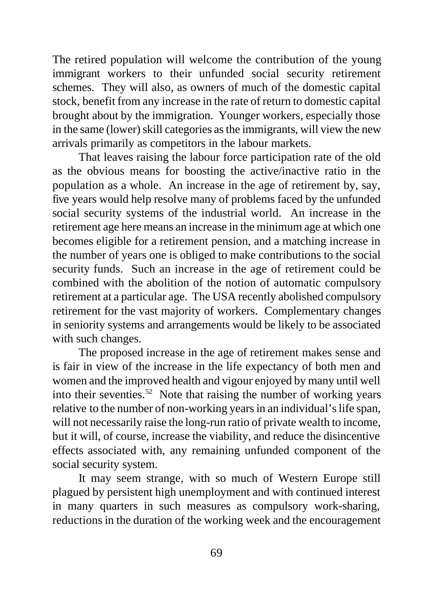The retired population will welcome the contribution of the young immigrant workers to their unfunded social security retirement schemes. They will also, as owners of much of the domestic capital stock, benefit from any increase in the rate of return to domestic capital brought about by the immigration. Younger workers, especially those in the same (lower) skill categories as the immigrants, will view the new arrivals primarily as competitors in the labour markets.

That leaves raising the labour force participation rate of the old as the obvious means for boosting the active/inactive ratio in the population as a whole. An increase in the age of retirement by, say, five years would help resolve many of problems faced by the unfunded social security systems of the industrial world. An increase in the retirement age here means an increase in the minimum age at which one becomes eligible for a retirement pension, and a matching increase in the number of years one is obliged to make contributions to the social security funds. Such an increase in the age of retirement could be combined with the abolition of the notion of automatic compulsory retirement at a particular age. The USA recently abolished compulsory retirement for the vast majority of workers. Complementary changes in seniority systems and arrangements would be likely to be associated with such changes.

The proposed increase in the age of retirement makes sense and is fair in view of the increase in the life expectancy of both men and women and the improved health and vigour enjoyed by many until well into their seventies.<sup>52</sup> Note that raising the number of working years relative to the number of non-working years in an individual's life span, will not necessarily raise the long-run ratio of private wealth to income, but it will, of course, increase the viability, and reduce the disincentive effects associated with, any remaining unfunded component of the social security system.

It may seem strange, with so much of Western Europe still plagued by persistent high unemployment and with continued interest in many quarters in such measures as compulsory work-sharing, reductions in the duration of the working week and the encouragement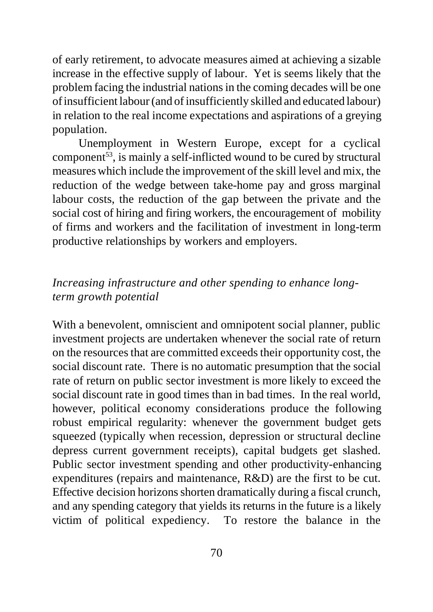of early retirement, to advocate measures aimed at achieving a sizable increase in the effective supply of labour. Yet is seems likely that the problem facing the industrial nations in the coming decades will be one of insufficient labour (and of insufficiently skilled and educated labour) in relation to the real income expectations and aspirations of a greying population.

Unemployment in Western Europe, except for a cyclical component<sup>53</sup>, is mainly a self-inflicted wound to be cured by structural measures which include the improvement of the skill level and mix, the reduction of the wedge between take-home pay and gross marginal labour costs, the reduction of the gap between the private and the social cost of hiring and firing workers, the encouragement of mobility of firms and workers and the facilitation of investment in long-term productive relationships by workers and employers.

## *Increasing infrastructure and other spending to enhance longterm growth potential*

With a benevolent, omniscient and omnipotent social planner, public investment projects are undertaken whenever the social rate of return on the resources that are committed exceeds their opportunity cost, the social discount rate. There is no automatic presumption that the social rate of return on public sector investment is more likely to exceed the social discount rate in good times than in bad times. In the real world, however, political economy considerations produce the following robust empirical regularity: whenever the government budget gets squeezed (typically when recession, depression or structural decline depress current government receipts), capital budgets get slashed. Public sector investment spending and other productivity-enhancing expenditures (repairs and maintenance, R&D) are the first to be cut. Effective decision horizons shorten dramatically during a fiscal crunch, and any spending category that yields its returns in the future is a likely victim of political expediency. To restore the balance in the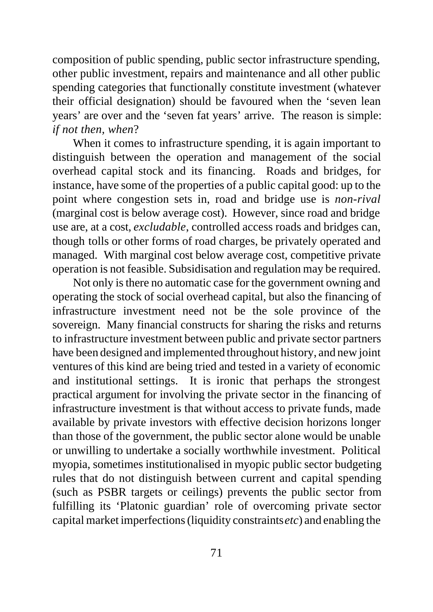composition of public spending, public sector infrastructure spending, other public investment, repairs and maintenance and all other public spending categories that functionally constitute investment (whatever their official designation) should be favoured when the 'seven lean years' are over and the 'seven fat years' arrive. The reason is simple: *if not then, when*?

When it comes to infrastructure spending, it is again important to distinguish between the operation and management of the social overhead capital stock and its financing. Roads and bridges, for instance, have some of the properties of a public capital good: up to the point where congestion sets in, road and bridge use is *non-rival* (marginal cost is below average cost). However, since road and bridge use are, at a cost, *excludable*, controlled access roads and bridges can, though tolls or other forms of road charges, be privately operated and managed. With marginal cost below average cost, competitive private operation is not feasible. Subsidisation and regulation may be required.

Not only is there no automatic case for the government owning and operating the stock of social overhead capital, but also the financing of infrastructure investment need not be the sole province of the sovereign. Many financial constructs for sharing the risks and returns to infrastructure investment between public and private sector partners have been designed and implemented throughout history, and new joint ventures of this kind are being tried and tested in a variety of economic and institutional settings. It is ironic that perhaps the strongest practical argument for involving the private sector in the financing of infrastructure investment is that without access to private funds, made available by private investors with effective decision horizons longer than those of the government, the public sector alone would be unable or unwilling to undertake a socially worthwhile investment. Political myopia, sometimes institutionalised in myopic public sector budgeting rules that do not distinguish between current and capital spending (such as PSBR targets or ceilings) prevents the public sector from fulfilling its 'Platonic guardian' role of overcoming private sector capital market imperfections (liquidity constraints *etc*) and enabling the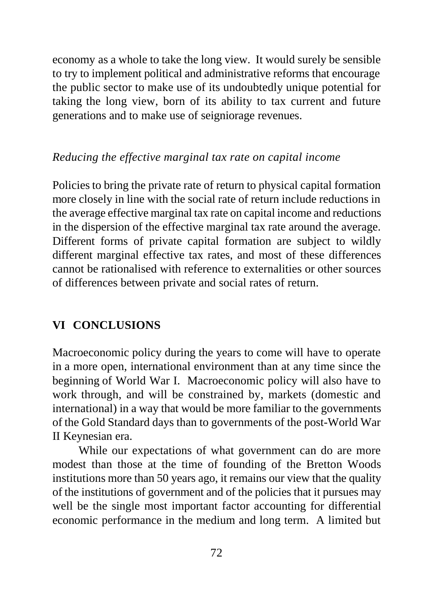economy as a whole to take the long view. It would surely be sensible to try to implement political and administrative reforms that encourage the public sector to make use of its undoubtedly unique potential for taking the long view, born of its ability to tax current and future generations and to make use of seigniorage revenues.

### *Reducing the effective marginal tax rate on capital income*

Policies to bring the private rate of return to physical capital formation more closely in line with the social rate of return include reductions in the average effective marginal tax rate on capital income and reductions in the dispersion of the effective marginal tax rate around the average. Different forms of private capital formation are subject to wildly different marginal effective tax rates, and most of these differences cannot be rationalised with reference to externalities or other sources of differences between private and social rates of return.

# **VI CONCLUSIONS**

Macroeconomic policy during the years to come will have to operate in a more open, international environment than at any time since the beginning of World War I. Macroeconomic policy will also have to work through, and will be constrained by, markets (domestic and international) in a way that would be more familiar to the governments of the Gold Standard days than to governments of the post-World War II Keynesian era.

While our expectations of what government can do are more modest than those at the time of founding of the Bretton Woods institutions more than 50 years ago, it remains our view that the quality of the institutions of government and of the policies that it pursues may well be the single most important factor accounting for differential economic performance in the medium and long term. A limited but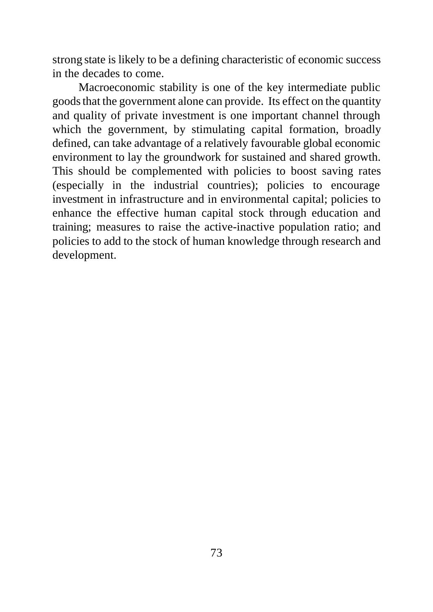strong state is likely to be a defining characteristic of economic success in the decades to come.

Macroeconomic stability is one of the key intermediate public goods that the government alone can provide. Its effect on the quantity and quality of private investment is one important channel through which the government, by stimulating capital formation, broadly defined, can take advantage of a relatively favourable global economic environment to lay the groundwork for sustained and shared growth. This should be complemented with policies to boost saving rates (especially in the industrial countries); policies to encourage investment in infrastructure and in environmental capital; policies to enhance the effective human capital stock through education and training; measures to raise the active-inactive population ratio; and policies to add to the stock of human knowledge through research and development.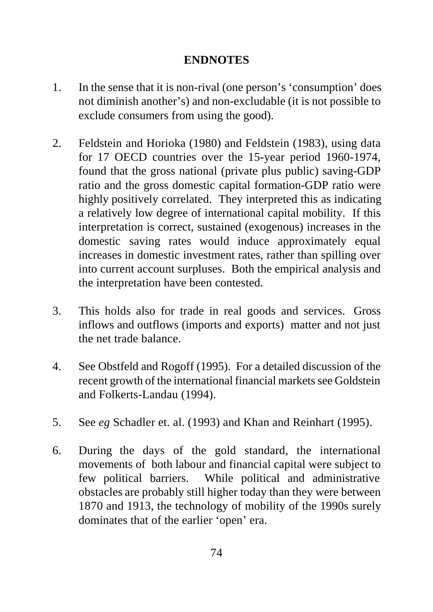## **ENDNOTES**

- 1. In the sense that it is non-rival (one person's 'consumption' does not diminish another's) and non-excludable (it is not possible to exclude consumers from using the good).
- 2. Feldstein and Horioka (1980) and Feldstein (1983), using data for 17 OECD countries over the 15-year period 1960-1974, found that the gross national (private plus public) saving-GDP ratio and the gross domestic capital formation-GDP ratio were highly positively correlated. They interpreted this as indicating a relatively low degree of international capital mobility. If this interpretation is correct, sustained (exogenous) increases in the domestic saving rates would induce approximately equal increases in domestic investment rates, rather than spilling over into current account surpluses. Both the empirical analysis and the interpretation have been contested.
- 3. This holds also for trade in real goods and services. Gross inflows and outflows (imports and exports) matter and not just the net trade balance.
- 4. See Obstfeld and Rogoff (1995). For a detailed discussion of the recent growth of the international financial markets see Goldstein and Folkerts-Landau (1994).
- 5. See *eg* Schadler et. al. (1993) and Khan and Reinhart (1995).
- 6. During the days of the gold standard, the international movements of both labour and financial capital were subject to few political barriers. While political and administrative obstacles are probably still higher today than they were between 1870 and 1913, the technology of mobility of the 1990s surely dominates that of the earlier 'open' era.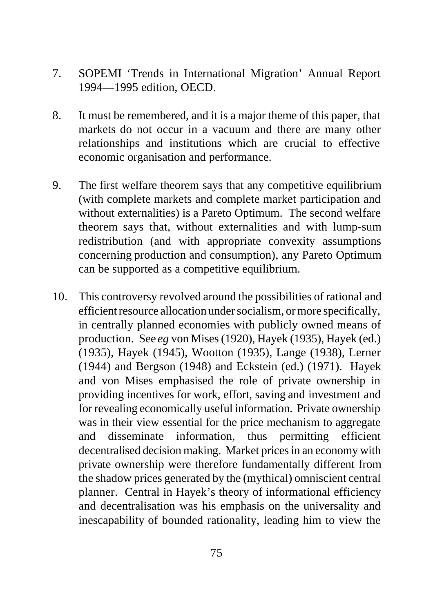- 7. SOPEMI 'Trends in International Migration' Annual Report 1994—1995 edition, OECD.
- 8. It must be remembered, and it is a major theme of this paper, that markets do not occur in a vacuum and there are many other relationships and institutions which are crucial to effective economic organisation and performance.
- 9. The first welfare theorem says that any competitive equilibrium (with complete markets and complete market participation and without externalities) is a Pareto Optimum. The second welfare theorem says that, without externalities and with lump-sum redistribution (and with appropriate convexity assumptions concerning production and consumption), any Pareto Optimum can be supported as a competitive equilibrium.
- 10. This controversy revolved around the possibilities of rational and efficient resource allocation under socialism, or more specifically, in centrally planned economies with publicly owned means of production. See *eg* von Mises (1920), Hayek (1935), Hayek (ed.) (1935), Hayek (1945), Wootton (1935), Lange (1938), Lerner (1944) and Bergson (1948) and Eckstein (ed.) (1971). Hayek and von Mises emphasised the role of private ownership in providing incentives for work, effort, saving and investment and for revealing economically useful information. Private ownership was in their view essential for the price mechanism to aggregate and disseminate information, thus permitting efficient decentralised decision making. Market prices in an economy with private ownership were therefore fundamentally different from the shadow prices generated by the (mythical) omniscient central planner. Central in Hayek's theory of informational efficiency and decentralisation was his emphasis on the universality and inescapability of bounded rationality, leading him to view the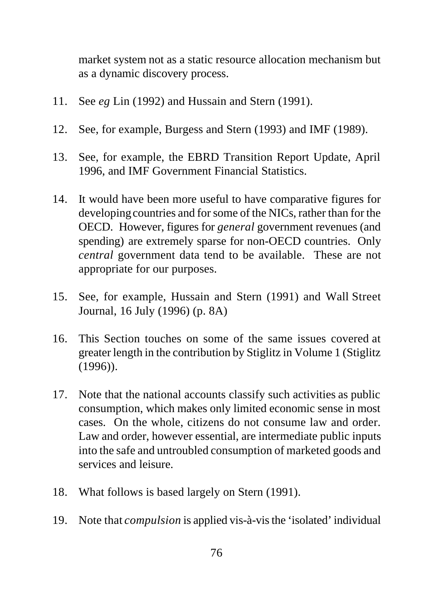market system not as a static resource allocation mechanism but as a dynamic discovery process.

- 11. See *eg* Lin (1992) and Hussain and Stern (1991).
- 12. See, for example, Burgess and Stern (1993) and IMF (1989).
- 13. See, for example, the EBRD Transition Report Update, April 1996, and IMF Government Financial Statistics.
- 14. It would have been more useful to have comparative figures for developing countries and for some of the NICs, rather than for the OECD. However, figures for *general* government revenues (and spending) are extremely sparse for non-OECD countries. Only *central* government data tend to be available. These are not appropriate for our purposes.
- 15. See, for example, Hussain and Stern (1991) and Wall Street Journal, 16 July (1996) (p. 8A)
- 16. This Section touches on some of the same issues covered at greater length in the contribution by Stiglitz in Volume 1 (Stiglitz (1996)).
- 17. Note that the national accounts classify such activities as public consumption, which makes only limited economic sense in most cases. On the whole, citizens do not consume law and order. Law and order, however essential, are intermediate public inputs into the safe and untroubled consumption of marketed goods and services and leisure.
- 18. What follows is based largely on Stern (1991).
- 19. Note that *compulsion* is applied vis-à-vis the 'isolated' individual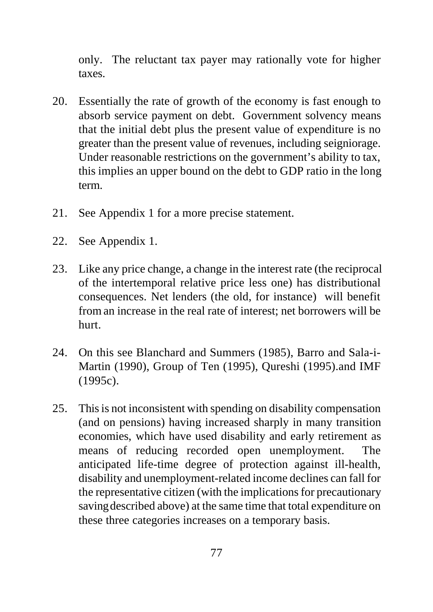only. The reluctant tax payer may rationally vote for higher taxes.

- 20. Essentially the rate of growth of the economy is fast enough to absorb service payment on debt. Government solvency means that the initial debt plus the present value of expenditure is no greater than the present value of revenues, including seigniorage. Under reasonable restrictions on the government's ability to tax, this implies an upper bound on the debt to GDP ratio in the long term.
- 21. See Appendix 1 for a more precise statement.
- 22. See Appendix 1.
- 23. Like any price change, a change in the interest rate (the reciprocal of the intertemporal relative price less one) has distributional consequences. Net lenders (the old, for instance) will benefit from an increase in the real rate of interest; net borrowers will be hurt.
- 24. On this see Blanchard and Summers (1985), Barro and Sala-i-Martin (1990), Group of Ten (1995), Qureshi (1995).and IMF (1995c).
- 25. This is not inconsistent with spending on disability compensation (and on pensions) having increased sharply in many transition economies, which have used disability and early retirement as means of reducing recorded open unemployment. The anticipated life-time degree of protection against ill-health, disability and unemployment-related income declines can fall for the representative citizen (with the implications for precautionary saving described above) at the same time that total expenditure on these three categories increases on a temporary basis.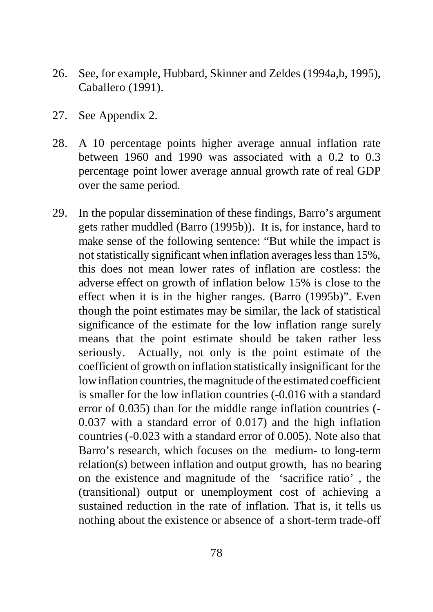- 26. See, for example, Hubbard, Skinner and Zeldes (1994a,b, 1995), Caballero (1991).
- 27. See Appendix 2.
- 28. A 10 percentage points higher average annual inflation rate between 1960 and 1990 was associated with a 0.2 to 0.3 percentage point lower average annual growth rate of real GDP over the same period.
- 29. In the popular dissemination of these findings, Barro's argument gets rather muddled (Barro (1995b)). It is, for instance, hard to make sense of the following sentence: "But while the impact is not statistically significant when inflation averages less than 15%, this does not mean lower rates of inflation are costless: the adverse effect on growth of inflation below 15% is close to the effect when it is in the higher ranges. (Barro (1995b)". Even though the point estimates may be similar, the lack of statistical significance of the estimate for the low inflation range surely means that the point estimate should be taken rather less seriously. Actually, not only is the point estimate of the coefficient of growth on inflation statistically insignificant for the low inflation countries, the magnitude of the estimated coefficient is smaller for the low inflation countries (-0.016 with a standard error of 0.035) than for the middle range inflation countries (- 0.037 with a standard error of 0.017) and the high inflation countries (-0.023 with a standard error of 0.005). Note also that Barro's research, which focuses on the medium- to long-term relation(s) between inflation and output growth, has no bearing on the existence and magnitude of the 'sacrifice ratio' , the (transitional) output or unemployment cost of achieving a sustained reduction in the rate of inflation. That is, it tells us nothing about the existence or absence of a short-term trade-off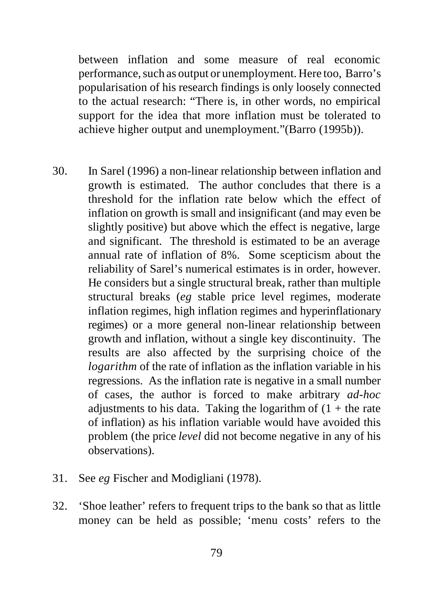between inflation and some measure of real economic performance, such as output or unemployment. Here too, Barro's popularisation of his research findings is only loosely connected to the actual research: "There is, in other words, no empirical support for the idea that more inflation must be tolerated to achieve higher output and unemployment."(Barro (1995b)).

- 30. In Sarel (1996) a non-linear relationship between inflation and growth is estimated. The author concludes that there is a threshold for the inflation rate below which the effect of inflation on growth is small and insignificant (and may even be slightly positive) but above which the effect is negative, large and significant. The threshold is estimated to be an average annual rate of inflation of 8%. Some scepticism about the reliability of Sarel's numerical estimates is in order, however. He considers but a single structural break, rather than multiple structural breaks (*eg* stable price level regimes, moderate inflation regimes, high inflation regimes and hyperinflationary regimes) or a more general non-linear relationship between growth and inflation, without a single key discontinuity. The results are also affected by the surprising choice of the *logarithm* of the rate of inflation as the inflation variable in his regressions. As the inflation rate is negative in a small number of cases, the author is forced to make arbitrary *ad-hoc* adjustments to his data. Taking the logarithm of  $(1 +$  the rate of inflation) as his inflation variable would have avoided this problem (the price *level* did not become negative in any of his observations).
- 31. See *eg* Fischer and Modigliani (1978).
- 32. 'Shoe leather' refers to frequent trips to the bank so that as little money can be held as possible; 'menu costs' refers to the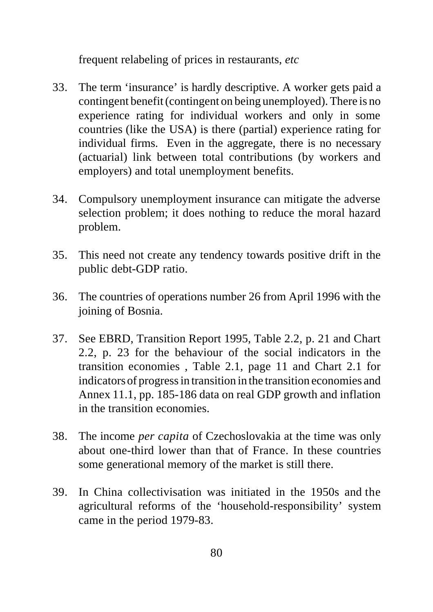frequent relabeling of prices in restaurants, *etc*

- 33. The term 'insurance' is hardly descriptive. A worker gets paid a contingent benefit (contingent on being unemployed). There is no experience rating for individual workers and only in some countries (like the USA) is there (partial) experience rating for individual firms. Even in the aggregate, there is no necessary (actuarial) link between total contributions (by workers and employers) and total unemployment benefits.
- 34. Compulsory unemployment insurance can mitigate the adverse selection problem; it does nothing to reduce the moral hazard problem.
- 35. This need not create any tendency towards positive drift in the public debt-GDP ratio.
- 36. The countries of operations number 26 from April 1996 with the joining of Bosnia.
- 37. See EBRD, Transition Report 1995, Table 2.2, p. 21 and Chart 2.2, p. 23 for the behaviour of the social indicators in the transition economies , Table 2.1, page 11 and Chart 2.1 for indicators of progress in transition in the transition economies and Annex 11.1, pp. 185-186 data on real GDP growth and inflation in the transition economies.
- 38. The income *per capita* of Czechoslovakia at the time was only about one-third lower than that of France. In these countries some generational memory of the market is still there.
- 39. In China collectivisation was initiated in the 1950s and the agricultural reforms of the 'household-responsibility' system came in the period 1979-83.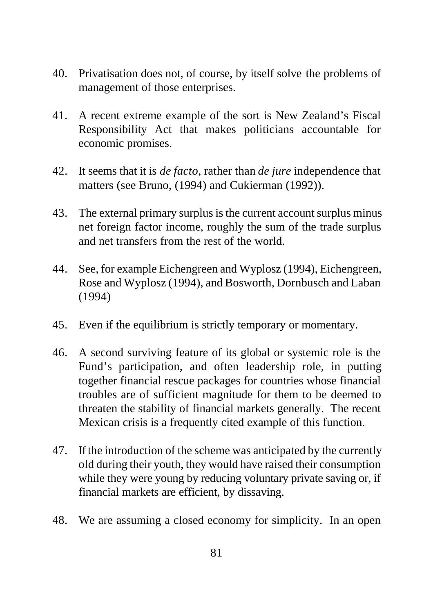- 40. Privatisation does not, of course, by itself solve the problems of management of those enterprises.
- 41. A recent extreme example of the sort is New Zealand's Fiscal Responsibility Act that makes politicians accountable for economic promises.
- 42. It seems that it is *de facto*, rather than *de jure* independence that matters (see Bruno, (1994) and Cukierman (1992)).
- 43. The external primary surplus is the current account surplus minus net foreign factor income, roughly the sum of the trade surplus and net transfers from the rest of the world.
- 44. See, for example Eichengreen and Wyplosz (1994), Eichengreen, Rose and Wyplosz (1994), and Bosworth, Dornbusch and Laban (1994)
- 45. Even if the equilibrium is strictly temporary or momentary.
- 46. A second surviving feature of its global or systemic role is the Fund's participation, and often leadership role, in putting together financial rescue packages for countries whose financial troubles are of sufficient magnitude for them to be deemed to threaten the stability of financial markets generally. The recent Mexican crisis is a frequently cited example of this function.
- 47. If the introduction of the scheme was anticipated by the currently old during their youth, they would have raised their consumption while they were young by reducing voluntary private saving or, if financial markets are efficient, by dissaving.
- 48. We are assuming a closed economy for simplicity. In an open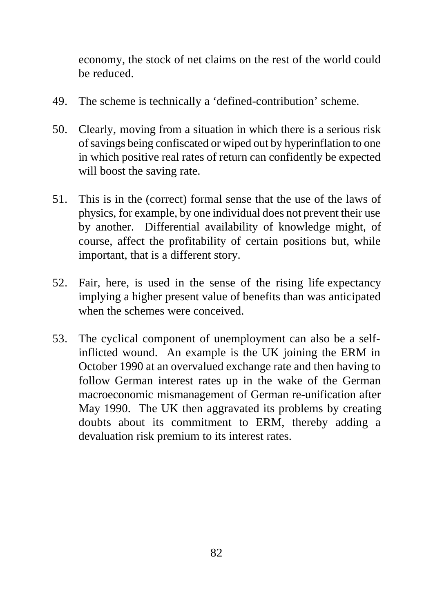economy, the stock of net claims on the rest of the world could be reduced.

- 49. The scheme is technically a 'defined-contribution' scheme.
- 50. Clearly, moving from a situation in which there is a serious risk of savings being confiscated or wiped out by hyperinflation to one in which positive real rates of return can confidently be expected will boost the saving rate.
- 51. This is in the (correct) formal sense that the use of the laws of physics, for example, by one individual does not prevent their use by another. Differential availability of knowledge might, of course, affect the profitability of certain positions but, while important, that is a different story.
- 52. Fair, here, is used in the sense of the rising life expectancy implying a higher present value of benefits than was anticipated when the schemes were conceived.
- 53. The cyclical component of unemployment can also be a selfinflicted wound. An example is the UK joining the ERM in October 1990 at an overvalued exchange rate and then having to follow German interest rates up in the wake of the German macroeconomic mismanagement of German re-unification after May 1990. The UK then aggravated its problems by creating doubts about its commitment to ERM, thereby adding a devaluation risk premium to its interest rates.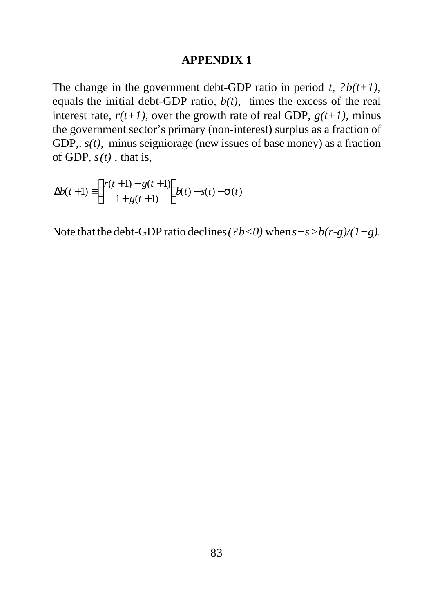#### **APPENDIX 1**

The change in the government debt-GDP ratio in period *t*, *?b(t+1)*, equals the initial debt-GDP ratio,  $b(t)$ , times the excess of the real interest rate,  $r(t+1)$ , over the growth rate of real GDP,  $g(t+1)$ , minus the government sector's primary (non-interest) surplus as a fraction of GDP,.  $s(t)$ , minus seigniorage (new issues of base money) as a fraction of GDP, *s(t) ,* that is,

$$
\Delta b(t+1) \equiv \left(\frac{r(t+1) - g(t+1)}{1 + g(t+1)}\right) b(t) - s(t) - \mathbf{S}(t)
$$

Note that the debt-GDP ratio declines  $(?b<0)$  when  $s+s>b(r-g)/(1+g)$ .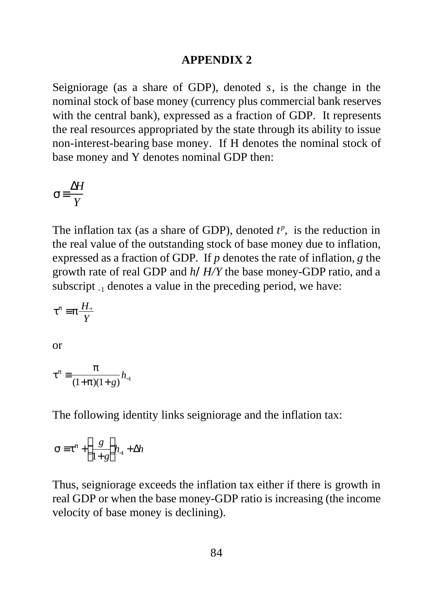#### **APPENDIX 2**

Seigniorage (as a share of GDP), denoted *s*, is the change in the nominal stock of base money (currency plus commercial bank reserves with the central bank), expressed as a fraction of GDP. It represents the real resources appropriated by the state through its ability to issue non-interest-bearing base money. If H denotes the nominal stock of base money and Y denotes nominal GDP then:

$$
s = \frac{\Delta H}{Y}
$$

The inflation tax (as a share of GDP), denoted  $t^p$ , is the reduction in the real value of the outstanding stock of base money due to inflation, expressed as a fraction of GDP. If *p* denotes the rate of inflation, *g* the growth rate of real GDP and *h/H/Y* the base money-GDP ratio, and a subscript  $_{-1}$  denotes a value in the preceding period, we have:

$$
t^p \equiv p \frac{H_1}{Y}
$$

or

$$
t^{p} = \frac{p}{(1+p)(1+g)} h_{-1}
$$

The following identity links seigniorage and the inflation tax:

$$
\mathbf{S} \equiv \mathbf{t}^p + \left(\frac{g}{1+g}\right) h_1 + \Delta h
$$

Thus, seigniorage exceeds the inflation tax either if there is growth in real GDP or when the base money-GDP ratio is increasing (the income velocity of base money is declining).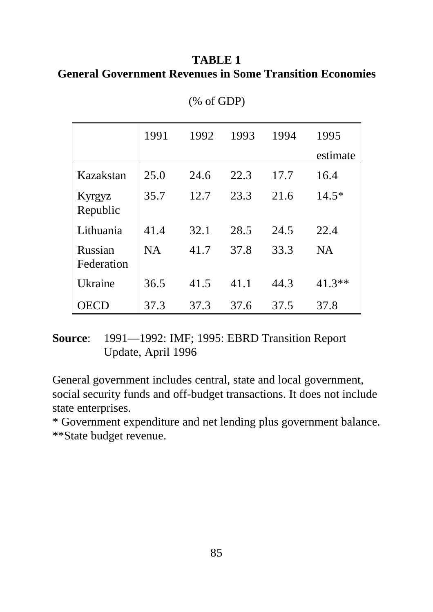## **TABLE 1 General Government Revenues in Some Transition Economies**

|                       | 1991      | 1992 | 1993 | 1994 | 1995      |
|-----------------------|-----------|------|------|------|-----------|
|                       |           |      |      |      | estimate  |
| Kazakstan             | 25.0      | 24.6 | 22.3 | 17.7 | 16.4      |
| Kyrgyz<br>Republic    | 35.7      | 12.7 | 23.3 | 21.6 | $14.5*$   |
| Lithuania             | 41.4      | 32.1 | 28.5 | 24.5 | 22.4      |
| Russian<br>Federation | <b>NA</b> | 41.7 | 37.8 | 33.3 | <b>NA</b> |
| Ukraine               | 36.5      | 41.5 | 41.1 | 44.3 | $41.3**$  |
| OECD                  | 37.3      | 37.3 | 37.6 | 37.5 | 37.8      |

(% of GDP)

## **Source**: 1991—1992: IMF; 1995: EBRD Transition Report Update, April 1996

General government includes central, state and local government, social security funds and off-budget transactions. It does not include state enterprises.

\* Government expenditure and net lending plus government balance. \*\*State budget revenue.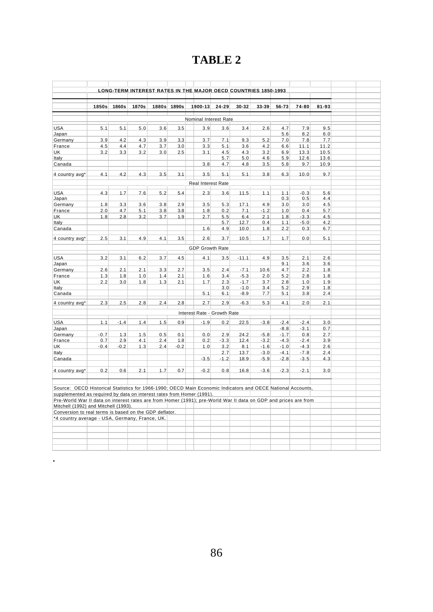# **TABLE 2**

|                                                                                                                 |        |        |       |     |             | <b>LONG-TERM INTEREST RATES IN THE MAJOR OECD COUNTRIES 1850-1993</b> |        |         |        |        |        |       |  |
|-----------------------------------------------------------------------------------------------------------------|--------|--------|-------|-----|-------------|-----------------------------------------------------------------------|--------|---------|--------|--------|--------|-------|--|
|                                                                                                                 |        |        |       |     |             |                                                                       |        |         |        |        |        |       |  |
|                                                                                                                 | 1850s  | 1860s  | 1870s |     | 1880s 1890s | 1900-13                                                               | 24-29  | 30-32   | 33-39  | 56-73  | 74-80  | 81-93 |  |
|                                                                                                                 |        |        |       |     |             | Nominal Interest Rate                                                 |        |         |        |        |        |       |  |
| <b>USA</b>                                                                                                      | 5.1    | 5.1    | 5.0   | 3.6 | 3.5         | 3.9                                                                   | 3.6    | 3.4     | 2.6    | 4.7    | 7.9    | 9.5   |  |
| Japan                                                                                                           |        |        |       |     |             |                                                                       |        |         |        | 5.6    | 8.2    | 6.0   |  |
| Germany                                                                                                         | 3.9    | 4.2    | 4.3   | 3.9 | 3.3         | 3.7                                                                   | 7.1    | 9.3     | 5.2    | 7.0    | 7.8    | 7.7   |  |
| France                                                                                                          | 4.5    | 4.4    | 4.7   | 3.7 | 3.0         | 3.3                                                                   | 5.1    | 3.6     | 4.2    | 6.6    | 11.1   | 11.2  |  |
| UK                                                                                                              | 3.2    | 3.3    | 3.2   | 3.0 | 2.5         | 3.1                                                                   | 4.5    | 4.3     | 3.2    | 6.9    | 13.3   | 10.5  |  |
| Italy                                                                                                           |        |        |       |     |             |                                                                       | 5.7    | 5.0     | 4.6    | 5.9    | 12.6   | 13.6  |  |
| Canada                                                                                                          |        |        |       |     |             | 3.8                                                                   | 4.7    | 4.8     | 3.5    | 5.8    | 9.7    | 10.9  |  |
| 4 country avg*                                                                                                  | 4.1    | 4.2    | 4.3   | 3.5 | 3.1         | 3.5                                                                   | 5.1    | 5.1     | 3.8    | 6.3    | 10.0   | 9.7   |  |
|                                                                                                                 |        |        |       |     |             | Real Interest Rate                                                    |        |         |        |        |        |       |  |
| <b>USA</b>                                                                                                      | 4.3    | 1.7    | 7.6   | 5.2 | 5.4         | 2.3                                                                   | 3.6    | 11.5    | 1.1    | 1.1    | $-0.3$ | 5.6   |  |
| Japan                                                                                                           |        |        |       |     |             |                                                                       |        |         |        | 0.3    | 0.5    | 4.4   |  |
| Germany                                                                                                         | 1.8    | 3.3    | 3.6   | 3.8 | 2.9         | 3.5                                                                   | 5.3    | 17.1    | 4.9    | 3.0    | 3.0    | 4.5   |  |
| France                                                                                                          | 2.0    | 4.7    | 5.1   | 3.8 | 3.8         | 1.8                                                                   | 0.2    | 7.1     | $-1.2$ | 1.0    | 0.4    | 5.7   |  |
| UK.                                                                                                             | 1.8    | 2.8    | 3.2   | 3.7 | 1.9         | 2.7                                                                   | 5.5    | 6.4     | 2.1    | 1.8    | $-3.3$ | 4.5   |  |
| Italy                                                                                                           |        |        |       |     |             |                                                                       | 5.7    | 12.7    | 0.4    | 1.1    | $-5.0$ | 4.2   |  |
| Canada                                                                                                          |        |        |       |     |             | 1.6                                                                   | 4.9    | 10.0    | 1.8    | 2.2    | 0.3    | 6.7   |  |
| 4 country avg*                                                                                                  | 2.5    | 3.1    | 4.9   | 4.1 | 3.5         | 2.6                                                                   | 3.7    | 10.5    | 1.7    | 1.7    | 0.0    | 5.1   |  |
|                                                                                                                 |        |        |       |     |             | <b>GDP Growth Rate</b>                                                |        |         |        |        |        |       |  |
| <b>USA</b>                                                                                                      | 3.2    | 3.1    |       | 3.7 | 4.5         | 4.1                                                                   |        | $-11.1$ | 4.9    | 3.5    | 2.1    | 2.6   |  |
| Japan                                                                                                           |        |        | 6.2   |     |             |                                                                       | 3.5    |         |        | 9.1    | 3.6    | 3.6   |  |
| Germany                                                                                                         | 2.6    | 2.1    | 2.1   | 3.3 | 2.7         | 3.5                                                                   | 2.4    | $-7.1$  | 10.6   | 4.7    | 2.2    | 1.8   |  |
| France                                                                                                          | 1.3    | 1.8    | 1.0   | 1.4 | 2.1         | 1.6                                                                   | 3.4    | $-5.3$  | 2.0    | 5.2    | 2.8    | 1.8   |  |
| UK                                                                                                              | 2.2    | 3.0    | 1.8   | 1.3 | 2.1         | 1.7                                                                   | 2.3    | $-1.7$  | 3.7    | 2.8    | 1.0    | 1.9   |  |
| Italy                                                                                                           |        |        |       |     |             |                                                                       | 3.0    | $-1.0$  | 3.4    | 5.2    | 2.9    | 1.8   |  |
| Canada                                                                                                          |        |        |       |     |             | 5.1                                                                   | 6.1    | $-8.9$  | 7.7    | 5.1    | 3.8    | 2.4   |  |
| 4 country avg*                                                                                                  | 2.3    | 2.5    | 2.8   | 2.4 | 2.8         | 2.7                                                                   | 2.9    | $-6.3$  | 5.3    | 4.1    | 2.0    | 2.1   |  |
|                                                                                                                 |        |        |       |     |             | Interest Rate - Growth Rate                                           |        |         |        |        |        |       |  |
| <b>USA</b>                                                                                                      | 1.1    | $-1.4$ | 1.4   | 1.5 | 0.9         | $-1.9$                                                                | 0.2    | 22.5    | $-3.8$ | $-2.4$ | $-2.4$ | 3.0   |  |
| Japan                                                                                                           |        |        |       |     |             |                                                                       |        |         |        | $-8.8$ | $-3.1$ | 0.7   |  |
| Germany                                                                                                         | $-0.7$ | 1.3    | 1.5   | 0.5 | 0.1         | 0.0                                                                   | 2.9    | 24.2    | $-5.8$ | $-1.7$ | 0.8    | 2.7   |  |
| France                                                                                                          | 0.7    | 2.9    | 4.1   | 2.4 | 1.8         | 0.2                                                                   | $-3.3$ | 12.4    | $-3.2$ | $-4.3$ | $-2.4$ | 3.9   |  |
| UK                                                                                                              | $-0.4$ | $-0.2$ | 1.3   | 2.4 | $-0.2$      | 1.0                                                                   | 3.2    | 8.1     | $-1.6$ | $-1.0$ | $-4.3$ | 2.6   |  |
| Italy                                                                                                           |        |        |       |     |             |                                                                       | 2.7    | 13.7    | $-3.0$ | $-4.1$ | $-7.8$ | 2.4   |  |
| Canada                                                                                                          |        |        |       |     |             | $-3.5$                                                                | $-1.2$ | 18.9    | $-5.9$ | $-2.8$ | $-3.5$ | 4.3   |  |
| 4 country avg*                                                                                                  | 0.2    | 0.6    | 2.1   | 1.7 | 0.7         | $-0.2$                                                                | 0.8    | 16.8    | $-3.6$ | $-2.3$ | $-2.1$ | 3.0   |  |
|                                                                                                                 |        |        |       |     |             |                                                                       |        |         |        |        |        |       |  |
| Source: OECD Historical Statistics for 1966-1990; OECD Main Economic Indicators and OECE National Accounts,     |        |        |       |     |             |                                                                       |        |         |        |        |        |       |  |
| supplemented as required by data on interest rates from Homer (1991).                                           |        |        |       |     |             |                                                                       |        |         |        |        |        |       |  |
| Pre-World War II data on interest rates are from Homer (1991); pre-World War II data on GDP and prices are from |        |        |       |     |             |                                                                       |        |         |        |        |        |       |  |
| Mitchell (1992) and Mitchell (1993).                                                                            |        |        |       |     |             |                                                                       |        |         |        |        |        |       |  |
| Conversion to real terms is based on the GDP deflator.                                                          |        |        |       |     |             |                                                                       |        |         |        |        |        |       |  |
| *4 country average - USA, Germany, France, UK.                                                                  |        |        |       |     |             |                                                                       |        |         |        |        |        |       |  |
|                                                                                                                 |        |        |       |     |             |                                                                       |        |         |        |        |        |       |  |
|                                                                                                                 |        |        |       |     |             |                                                                       |        |         |        |        |        |       |  |
|                                                                                                                 |        |        |       |     |             |                                                                       |        |         |        |        |        |       |  |
|                                                                                                                 |        |        |       |     |             |                                                                       |        |         |        |        |        |       |  |
|                                                                                                                 |        |        |       |     |             |                                                                       |        |         |        |        |        |       |  |

.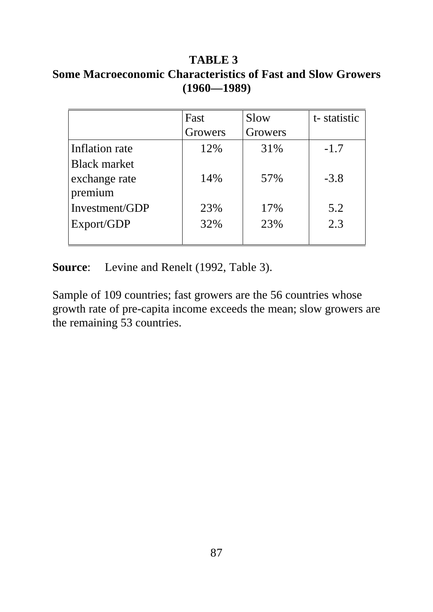## **TABLE 3 Some Macroeconomic Characteristics of Fast and Slow Growers (1960—1989)**

|                     | Fast    | Slow    | t-statistic |  |  |
|---------------------|---------|---------|-------------|--|--|
|                     | Growers | Growers |             |  |  |
| Inflation rate      | 12%     | 31%     | $-1.7$      |  |  |
| <b>Black market</b> |         |         |             |  |  |
| exchange rate       | 14%     | 57%     | $-3.8$      |  |  |
| premium             |         |         |             |  |  |
| Investment/GDP      | 23%     | 17%     | 5.2         |  |  |
| Export/GDP          | 32%     | 23%     | 2.3         |  |  |
|                     |         |         |             |  |  |

**Source**: Levine and Renelt (1992, Table 3).

Sample of 109 countries; fast growers are the 56 countries whose growth rate of pre-capita income exceeds the mean; slow growers are the remaining 53 countries.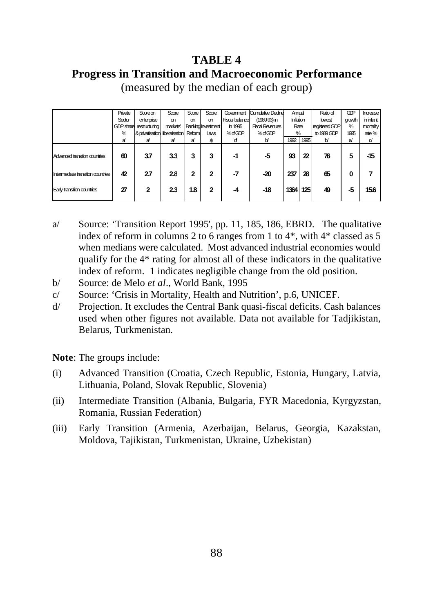## **TABLE 4 Progress in Transition and Macroeconomic Performance**

|                                   | Private | Scoreon                       | Score    | Score  | Score                     | Government     | Cumulative Dedine      | Amual            |                  | Ratio of       | <b>GDP</b> | Increase  |
|-----------------------------------|---------|-------------------------------|----------|--------|---------------------------|----------------|------------------------|------------------|------------------|----------------|------------|-----------|
|                                   | Sector  | enterprise                    | m        | m      | m                         | Fiscal balance | $(1989.93)$ in         | <b>Inflation</b> |                  | lowest         | growth     | in infant |
|                                   |         | GDP share restructuring       | markets' |        | <b>Banking Investment</b> | in 1995        | <b>Fiscal Revenues</b> | Rate<br>$\%$     |                  | registered GDP | %          | mortality |
|                                   | %       | & privatisation liberaisation |          | Reform | Laws                      | %dGDP          | %dGDP                  |                  |                  | to 1989 GDP    | 1995       | rate%     |
|                                   | a       | ə                             | ə        | a      | a                         | ď              | b                      | 1992             | 1995             | b              | a          | d         |
| Advanced transition countries     | ഩ       | 37                            | 3.3      | 3      | 3                         | -1             | -5                     | 93               | $\boldsymbol{z}$ | 76             | 5          | -15       |
| Intermediate transition countries | 42      | 27                            | 2.8      | 2      | 2                         | -7             | $-20$                  | 237              | 28               | 65             | 0          |           |
| Early transition countries        | 27      | 2                             | 2.3      | 1.8    | 2                         | -4             | $-18$                  | 1364             | 125              | 49             | -5         | 15.6      |

(measured by the median of each group)

- a/ Source: 'Transition Report 1995', pp. 11, 185, 186, EBRD. The qualitative index of reform in columns 2 to 6 ranges from 1 to 4\*, with 4\* classed as 5 when medians were calculated. Most advanced industrial economies would qualify for the 4\* rating for almost all of these indicators in the qualitative index of reform. 1 indicates negligible change from the old position.
- b/ Source: de Melo *et al*., World Bank, 1995
- c/ Source: 'Crisis in Mortality, Health and Nutrition', p.6, UNICEF.
- d/ Projection. It excludes the Central Bank quasi-fiscal deficits. Cash balances used when other figures not available. Data not available for Tadjikistan, Belarus, Turkmenistan.

**Note**: The groups include:

- (i) Advanced Transition (Croatia, Czech Republic, Estonia, Hungary, Latvia, Lithuania, Poland, Slovak Republic, Slovenia)
- (ii) Intermediate Transition (Albania, Bulgaria, FYR Macedonia, Kyrgyzstan, Romania, Russian Federation)
- (iii) Early Transition (Armenia, Azerbaijan, Belarus, Georgia, Kazakstan, Moldova, Tajikistan, Turkmenistan, Ukraine, Uzbekistan)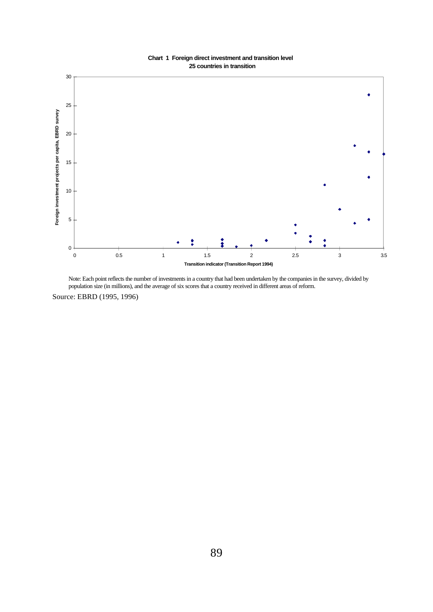#### **Chart 1 Foreign direct investment and transition level 25 countries in transition**



Note: Each point reflects the number of investments in a country that had been undertaken by the companies in the survey, divided by population size (in millions), and the average of six scores that a country received in different areas of reform.

Source: EBRD (1995, 1996)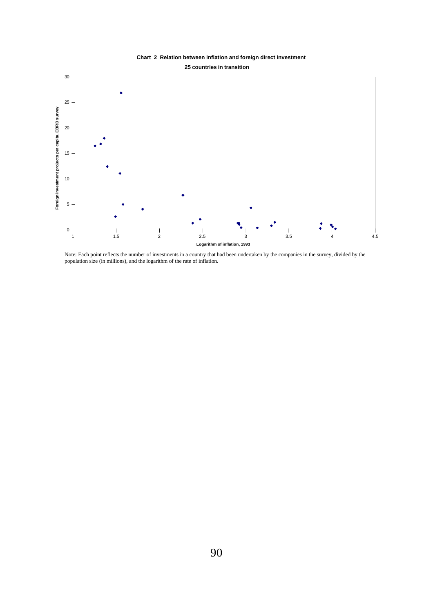#### **Chart 2 Relation between inflation and foreign direct investment 25 countries in transition**



Note: Each point reflects the number of investments in a country that had been undertaken by the companies in the survey, divided by the population size (in millions), and the logarithm of the rate of inflation.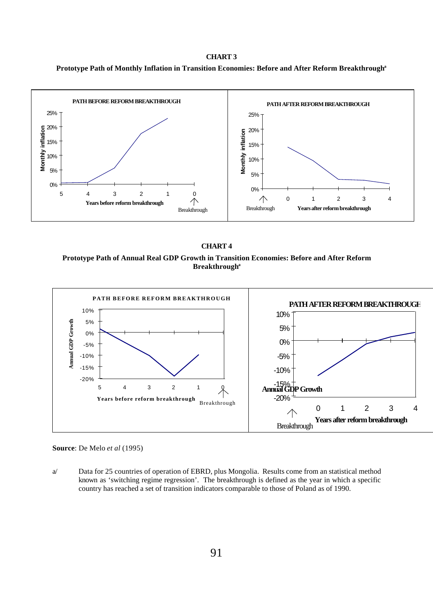#### **CHART 3**





#### **CHART 4**

**Prototype Path of Annual Real GDP Growth in Transition Economies: Before and After Reform Breakthrough<sup>a</sup>**



**Source**: De Melo *et al* (1995)

a/ Data for 25 countries of operation of EBRD, plus Mongolia. Results come from an statistical method known as 'switching regime regression'. The breakthrough is defined as the year in which a specific country has reached a set of transition indicators comparable to those of Poland as of 1990.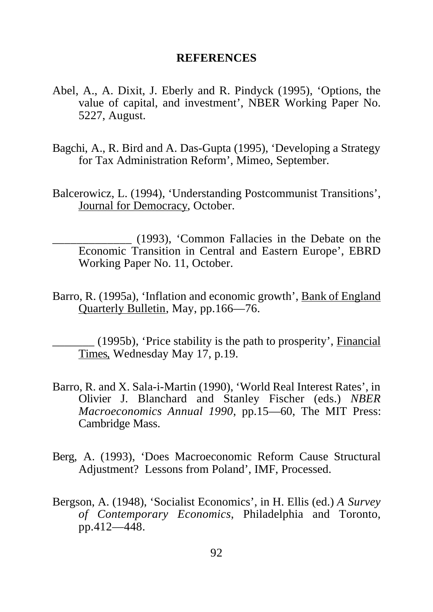#### **REFERENCES**

- Abel, A., A. Dixit, J. Eberly and R. Pindyck (1995), 'Options, the value of capital, and investment', NBER Working Paper No. 5227, August.
- Bagchi, A., R. Bird and A. Das-Gupta (1995), 'Developing a Strategy for Tax Administration Reform', Mimeo, September.
- Balcerowicz, L. (1994), 'Understanding Postcommunist Transitions', Journal for Democracy, October.

\_\_\_\_\_\_\_\_\_\_\_\_\_ (1993), 'Common Fallacies in the Debate on the Economic Transition in Central and Eastern Europe', EBRD Working Paper No. 11, October.

Barro, R. (1995a), 'Inflation and economic growth', Bank of England Quarterly Bulletin, May, pp.166—76.

\_\_\_\_\_\_\_ (1995b), 'Price stability is the path to prosperity', Financial Times*,* Wednesday May 17, p.19.

- Barro, R. and X. Sala-i-Martin (1990), 'World Real Interest Rates', in Olivier J. Blanchard and Stanley Fischer (eds.) *NBER Macroeconomics Annual 1990*, pp.15—60, The MIT Press: Cambridge Mass.
- Berg, A. (1993), 'Does Macroeconomic Reform Cause Structural Adjustment? Lessons from Poland', IMF, Processed.
- Bergson, A. (1948), 'Socialist Economics', in H. Ellis (ed.) *A Survey of Contemporary Economics*, Philadelphia and Toronto, pp.412—448.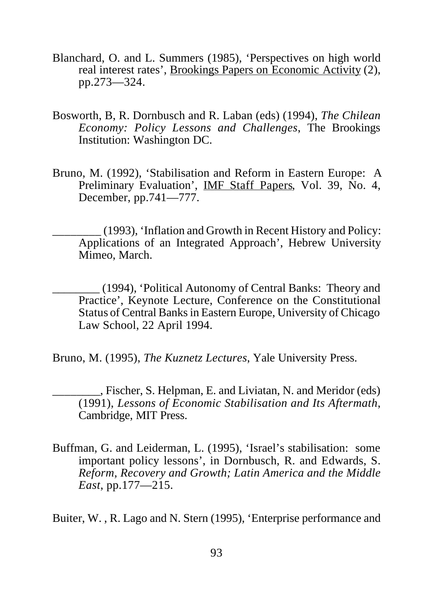- Blanchard, O. and L. Summers (1985), 'Perspectives on high world real interest rates', Brookings Papers on Economic Activity (2), pp.273—324.
- Bosworth, B, R. Dornbusch and R. Laban (eds) (1994), *The Chilean Economy: Policy Lessons and Challenges*, The Brookings Institution: Washington DC.
- Bruno, M. (1992), 'Stabilisation and Reform in Eastern Europe: A Preliminary Evaluation', IMF Staff Papers, Vol. 39, No. 4, December, pp.741—777.
	- \_\_\_\_\_\_\_\_ (1993), 'Inflation and Growth in Recent History and Policy: Applications of an Integrated Approach', Hebrew University Mimeo, March.
	- \_\_\_\_\_\_\_\_ (1994), 'Political Autonomy of Central Banks: Theory and Practice', Keynote Lecture, Conference on the Constitutional Status of Central Banks in Eastern Europe, University of Chicago Law School, 22 April 1994.
- Bruno, M. (1995), *The Kuznetz Lectures*, Yale University Press.
	- \_\_\_\_\_\_\_\_, Fischer, S. Helpman, E. and Liviatan, N. and Meridor (eds) (1991), *Lessons of Economic Stabilisation and Its Aftermath*, Cambridge, MIT Press.
- Buffman, G. and Leiderman, L. (1995), 'Israel's stabilisation: some important policy lessons', in Dornbusch, R. and Edwards, S. *Reform, Recovery and Growth; Latin America and the Middle East*, pp.177—215.

Buiter, W. , R. Lago and N. Stern (1995), 'Enterprise performance and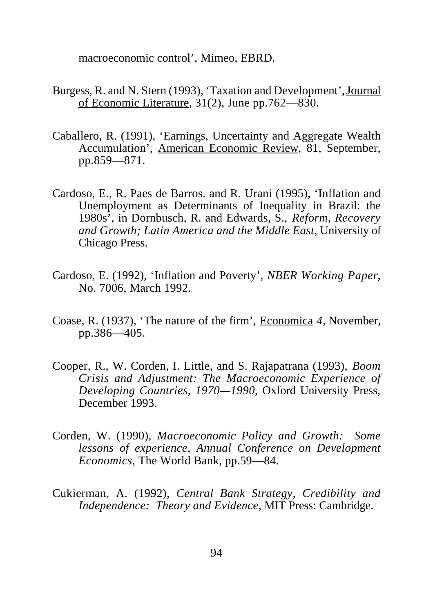macroeconomic control', Mimeo, EBRD.

- Burgess, R. and N. Stern (1993), 'Taxation and Development', Journal of Economic Literature*,* 31(2), June pp.762—830.
- Caballero, R. (1991), 'Earnings, Uncertainty and Aggregate Wealth Accumulation', American Economic Review, 81, September, pp.859—871.
- Cardoso, E., R. Paes de Barros. and R. Urani (1995), 'Inflation and Unemployment as Determinants of Inequality in Brazil: the 1980s', in Dornbusch, R. and Edwards, S., *Reform, Recovery and Growth; Latin America and the Middle East*, University of Chicago Press.
- Cardoso, E. (1992), 'Inflation and Poverty', *NBER Working Paper*, No. 7006, March 1992.
- Coase, R. (1937), 'The nature of the firm', Economica *4*, November, pp.386—405.
- Cooper, R., W. Corden, I. Little, and S. Rajapatrana (1993), *Boom Crisis and Adjustment: The Macroeconomic Experience of Developing Countries, 1970—1990*, Oxford University Press, December 1993.
- Corden, W. (1990), *Macroeconomic Policy and Growth: Some lessons of experience, Annual Conference on Development Economics*, The World Bank, pp.59—84.
- Cukierman, A. (1992), *Central Bank Strategy, Credibility and Independence: Theory and Evidence*, MIT Press: Cambridge.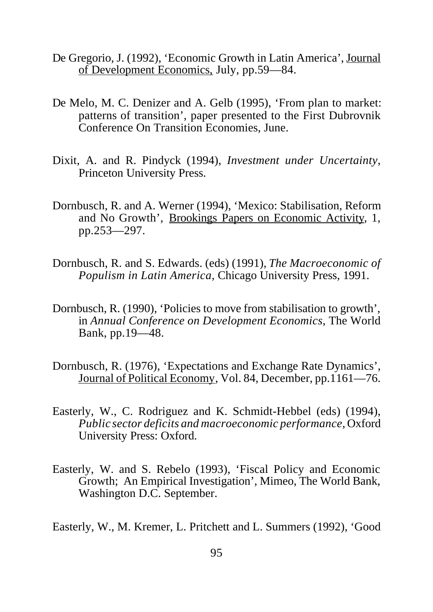- De Gregorio, J. (1992), 'Economic Growth in Latin America', Journal of Development Economics, July, pp.59—84.
- De Melo, M. C. Denizer and A. Gelb (1995), 'From plan to market: patterns of transition', paper presented to the First Dubrovnik Conference On Transition Economies, June.
- Dixit, A. and R. Pindyck (1994), *Investment under Uncertainty*, Princeton University Press.
- Dornbusch, R. and A. Werner (1994), 'Mexico: Stabilisation, Reform and No Growth', Brookings Papers on Economic Activity, 1, pp.253—297.
- Dornbusch, R. and S. Edwards. (eds) (1991), *The Macroeconomic of Populism in Latin America*, Chicago University Press, 1991.
- Dornbusch, R. (1990), 'Policies to move from stabilisation to growth', in *Annual Conference on Development Economics*, The World Bank, pp.19—48.
- Dornbusch, R. (1976), 'Expectations and Exchange Rate Dynamics', Journal of Political Economy, Vol. 84, December, pp.1161—76.
- Easterly, W., C. Rodriguez and K. Schmidt-Hebbel (eds) (1994), *Public sector deficits and macroeconomic performance*, Oxford University Press: Oxford.
- Easterly, W. and S. Rebelo (1993), 'Fiscal Policy and Economic Growth; An Empirical Investigation', Mimeo, The World Bank, Washington D.C. September.

Easterly, W., M. Kremer, L. Pritchett and L. Summers (1992), 'Good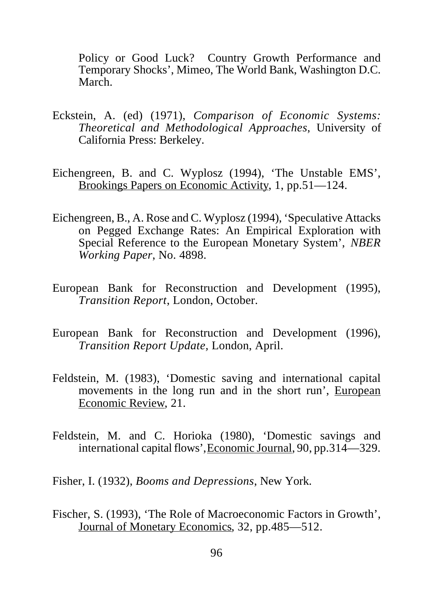Policy or Good Luck? Country Growth Performance and Temporary Shocks', Mimeo, The World Bank, Washington D.C. March.

- Eckstein, A. (ed) (1971), *Comparison of Economic Systems: Theoretical and Methodological Approaches*, University of California Press: Berkeley.
- Eichengreen, B. and C. Wyplosz (1994), 'The Unstable EMS', Brookings Papers on Economic Activity, 1, pp.51—124.
- Eichengreen, B., A. Rose and C. Wyplosz (1994), 'Speculative Attacks on Pegged Exchange Rates: An Empirical Exploration with Special Reference to the European Monetary System', *NBER Working Paper*, No. 4898.
- European Bank for Reconstruction and Development (1995), *Transition Report*, London, October.
- European Bank for Reconstruction and Development (1996), *Transition Report Update,* London, April.
- Feldstein, M. (1983), 'Domestic saving and international capital movements in the long run and in the short run', European Economic Review, 21.
- Feldstein, M. and C. Horioka (1980), 'Domestic savings and international capital flows', Economic Journal, 90, pp.314—329.

Fisher, I. (1932), *Booms and Depressions*, New York.

Fischer, S. (1993), 'The Role of Macroeconomic Factors in Growth', Journal of Monetary Economics, 32, pp.485—512.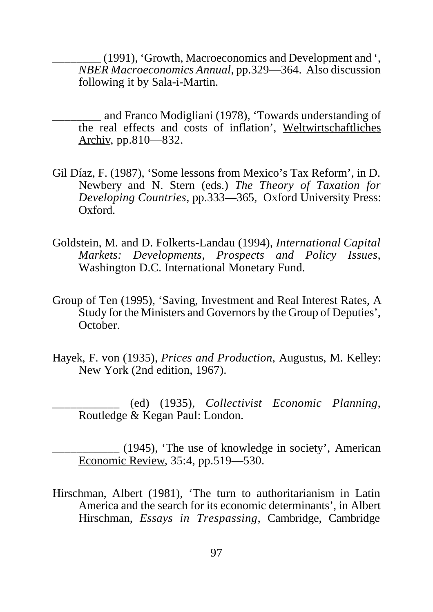\_\_\_\_\_\_\_\_ (1991), 'Growth, Macroeconomics and Development and ', *NBER Macroeconomics Annual*, pp.329—364. Also discussion following it by Sala-i-Martin.

- \_\_\_\_\_\_\_\_ and Franco Modigliani (1978), 'Towards understanding of the real effects and costs of inflation', Weltwirtschaftliches Archiv, pp.810—832.
- Gil Díaz, F. (1987), 'Some lessons from Mexico's Tax Reform', in D. Newbery and N. Stern (eds.) *The Theory of Taxation for Developing Countries*, pp.333—365, Oxford University Press: Oxford.
- Goldstein, M. and D. Folkerts-Landau (1994), *International Capital Markets: Developments, Prospects and Policy Issues*, Washington D.C. International Monetary Fund.
- Group of Ten (1995), 'Saving, Investment and Real Interest Rates, A Study for the Ministers and Governors by the Group of Deputies', October.
- Hayek, F. von (1935), *Prices and Production*, Augustus, M. Kelley: New York (2nd edition, 1967).

\_\_\_\_\_\_\_\_\_\_\_ (ed) (1935), *Collectivist Economic Planning*, Routledge & Kegan Paul: London.

\_\_\_\_\_\_\_\_\_\_\_ (1945), 'The use of knowledge in society', American Economic Review, 35:4, pp.519—530.

Hirschman, Albert (1981), 'The turn to authoritarianism in Latin America and the search for its economic determinants', in Albert Hirschman, *Essays in Trespassing*, Cambridge, Cambridge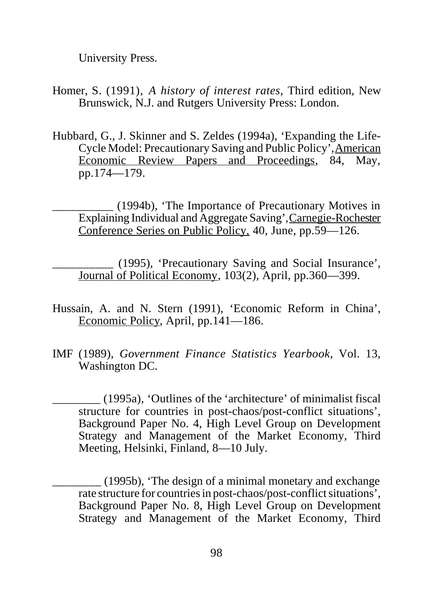University Press.

- Homer, S. (1991), *A history of interest rates*, Third edition, New Brunswick, N.J. and Rutgers University Press: London.
- Hubbard, G., J. Skinner and S. Zeldes (1994a), 'Expanding the Life-Cycle Model: Precautionary Saving and Public Policy', American Economic Review Papers and Proceedings, 84, May, pp.174—179.
	- \_\_\_\_\_\_\_\_\_\_ (1994b), 'The Importance of Precautionary Motives in Explaining Individual and Aggregate Saving', Carnegie-Rochester Conference Series on Public Policy, 40, June, pp.59—126.

\_\_\_\_\_\_\_\_\_\_ (1995), 'Precautionary Saving and Social Insurance', Journal of Political Economy, 103(2), April, pp.360—399.

- Hussain, A. and N. Stern (1991), 'Economic Reform in China', Economic Policy, April, pp.141—186.
- IMF (1989), *Government Finance Statistics Yearbook*, Vol. 13, Washington DC.
	- \_\_\_\_\_\_\_\_ (1995a), 'Outlines of the 'architecture' of minimalist fiscal structure for countries in post-chaos/post-conflict situations', Background Paper No. 4, High Level Group on Development Strategy and Management of the Market Economy, Third Meeting, Helsinki, Finland, 8—10 July.
		- \_\_\_\_\_\_\_\_ (1995b), 'The design of a minimal monetary and exchange rate structure for countries in post-chaos/post-conflict situations', Background Paper No. 8, High Level Group on Development Strategy and Management of the Market Economy, Third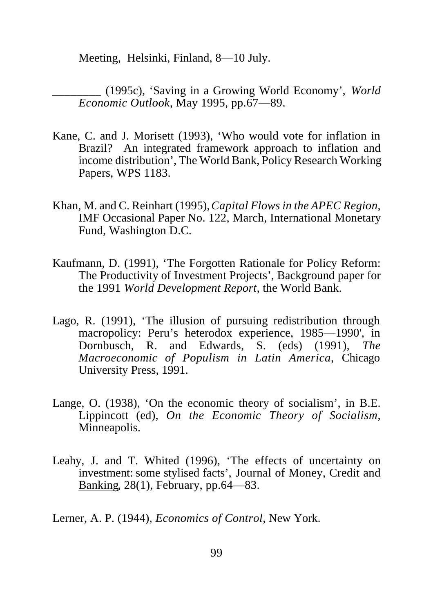Meeting, Helsinki, Finland, 8—10 July.

\_\_\_\_\_\_\_\_ (1995c), 'Saving in a Growing World Economy', *World Economic Outlook*, May 1995, pp.67—89.

- Kane, C. and J. Morisett (1993), 'Who would vote for inflation in Brazil? An integrated framework approach to inflation and income distribution', The World Bank, Policy Research Working Papers, WPS 1183.
- Khan, M. and C. Reinhart (1995), *Capital Flows in the APEC Region*, IMF Occasional Paper No. 122, March, International Monetary Fund, Washington D.C.
- Kaufmann, D. (1991), 'The Forgotten Rationale for Policy Reform: The Productivity of Investment Projects', Background paper for the 1991 *World Development Report*, the World Bank.
- Lago, R. (1991), 'The illusion of pursuing redistribution through macropolicy: Peru's heterodox experience, 1985—1990', in Dornbusch, R. and Edwards, S. (eds) (1991), *The Macroeconomic of Populism in Latin America*, Chicago University Press, 1991.
- Lange, O. (1938), 'On the economic theory of socialism', in B.E. Lippincott (ed), *On the Economic Theory of Socialism*, Minneapolis.
- Leahy, J. and T. Whited (1996), 'The effects of uncertainty on investment: some stylised facts', Journal of Money, Credit and Banking, 28(1), February, pp.64—83.

Lerner, A. P. (1944), *Economics of Control*, New York.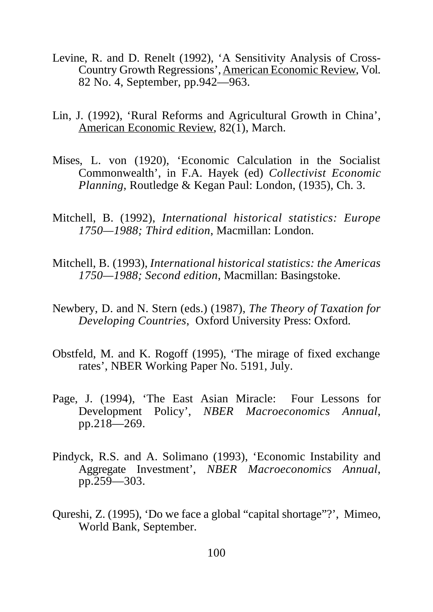- Levine, R. and D. Renelt (1992), 'A Sensitivity Analysis of Cross-Country Growth Regressions', American Economic Review, Vol. 82 No. 4, September, pp.942—963.
- Lin, J. (1992), 'Rural Reforms and Agricultural Growth in China', American Economic Review, 82(1), March.
- Mises, L. von (1920), 'Economic Calculation in the Socialist Commonwealth', in F.A. Hayek (ed) *Collectivist Economic Planning*, Routledge & Kegan Paul: London, (1935), Ch. 3.
- Mitchell, B. (1992), *International historical statistics: Europe 1750—1988; Third edition*, Macmillan: London.
- Mitchell, B. (1993), *International historical statistics: the Americas 1750—1988; Second edition*, Macmillan: Basingstoke.
- Newbery, D. and N. Stern (eds.) (1987), *The Theory of Taxation for Developing Countries*, Oxford University Press: Oxford.
- Obstfeld, M. and K. Rogoff (1995), 'The mirage of fixed exchange rates', NBER Working Paper No. 5191, July.
- Page, J. (1994), 'The East Asian Miracle: Four Lessons for Development Policy', *NBER Macroeconomics Annual*, pp.218—269.
- Pindyck, R.S. and A. Solimano (1993), 'Economic Instability and Aggregate Investment', *NBER Macroeconomics Annual*, pp.259—303.
- Qureshi, Z. (1995), 'Do we face a global "capital shortage"?', Mimeo, World Bank, September.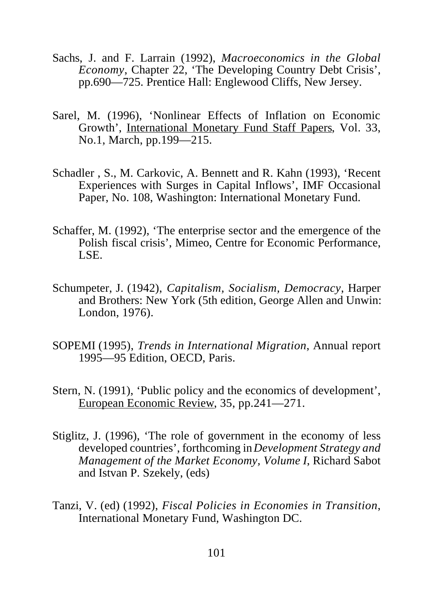- Sachs, J. and F. Larrain (1992), *Macroeconomics in the Global Economy*, Chapter 22, 'The Developing Country Debt Crisis', pp.690—725. Prentice Hall: Englewood Cliffs, New Jersey.
- Sarel, M. (1996), 'Nonlinear Effects of Inflation on Economic Growth', International Monetary Fund Staff Papers, Vol. 33, No.1, March, pp.199—215.
- Schadler , S., M. Carkovic, A. Bennett and R. Kahn (1993), 'Recent Experiences with Surges in Capital Inflows', IMF Occasional Paper, No. 108, Washington: International Monetary Fund.
- Schaffer, M. (1992), 'The enterprise sector and the emergence of the Polish fiscal crisis', Mimeo, Centre for Economic Performance, LSE.
- Schumpeter, J. (1942), *Capitalism, Socialism, Democracy*, Harper and Brothers: New York (5th edition, George Allen and Unwin: London, 1976).
- SOPEMI (1995), *Trends in International Migration*, Annual report 1995—95 Edition, OECD, Paris.
- Stern, N. (1991), 'Public policy and the economics of development', European Economic Review, 35, pp.241—271.
- Stiglitz, J. (1996), 'The role of government in the economy of less developed countries', forthcoming in *Development Strategy and Management of the Market Economy, Volume I*, Richard Sabot and Istvan P. Szekely, (eds)
- Tanzi, V. (ed) (1992), *Fiscal Policies in Economies in Transition*, International Monetary Fund, Washington DC.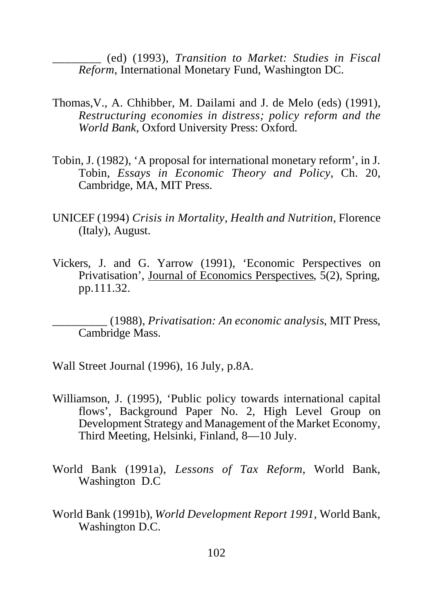\_\_\_\_\_\_\_\_ (ed) (1993), *Transition to Market: Studies in Fiscal Reform*, International Monetary Fund, Washington DC.

- Thomas,V., A. Chhibber, M. Dailami and J. de Melo (eds) (1991), *Restructuring economies in distress; policy reform and the World Bank*, Oxford University Press: Oxford.
- Tobin, J. (1982), 'A proposal for international monetary reform', in J. Tobin, *Essays in Economic Theory and Policy*, Ch. 20, Cambridge, MA, MIT Press.
- UNICEF (1994) *Crisis in Mortality, Health and Nutrition*, Florence (Italy), August.
- Vickers, J. and G. Yarrow (1991), 'Economic Perspectives on Privatisation', Journal of Economics Perspectives,  $\bar{5}(2)$ , Spring, pp.111.32.

\_\_\_\_\_\_\_\_\_ (1988), *Privatisation: An economic analysis*, MIT Press, Cambridge Mass.

Wall Street Journal (1996), 16 July, p.8A.

- Williamson, J. (1995), 'Public policy towards international capital flows', Background Paper No. 2, High Level Group on Development Strategy and Management of the Market Economy, Third Meeting, Helsinki, Finland, 8—10 July.
- World Bank (1991a), *Lessons of Tax Reform*, World Bank, Washington D.C
- World Bank (1991b), *World Development Report 1991*, World Bank, Washington D.C.